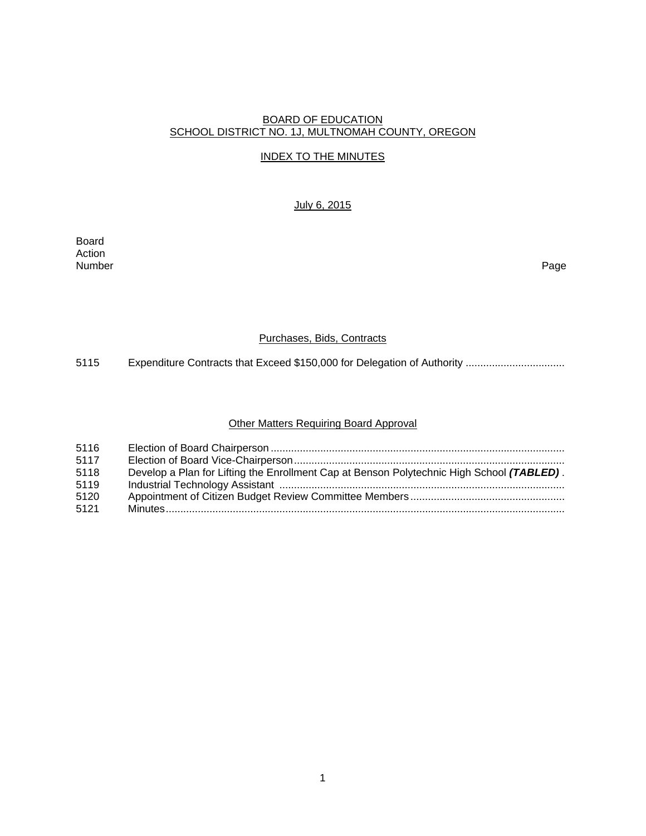### BOARD OF EDUCATION SCHOOL DISTRICT NO. 1J, MULTNOMAH COUNTY, OREGON

### INDEX TO THE MINUTES

# July 6, 2015

Board Action<br>Number Number Page

### Purchases, Bids, Contracts

5115 Expenditure Contracts that Exceed \$150,000 for Delegation of Authority .................................

# Other Matters Requiring Board Approval

| 5116 |                                                                                           |
|------|-------------------------------------------------------------------------------------------|
| 5117 |                                                                                           |
| 5118 | Develop a Plan for Lifting the Enrollment Cap at Benson Polytechnic High School (TABLED). |
| 5119 |                                                                                           |
| 5120 |                                                                                           |
| 5121 |                                                                                           |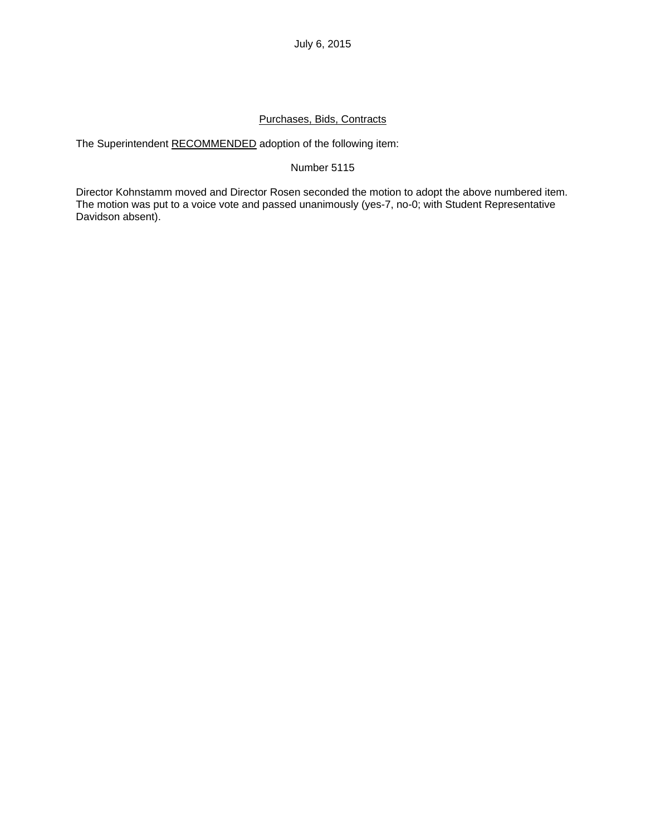## Purchases, Bids, Contracts

The Superintendent RECOMMENDED adoption of the following item:

### Number 5115

Director Kohnstamm moved and Director Rosen seconded the motion to adopt the above numbered item. The motion was put to a voice vote and passed unanimously (yes-7, no-0; with Student Representative Davidson absent).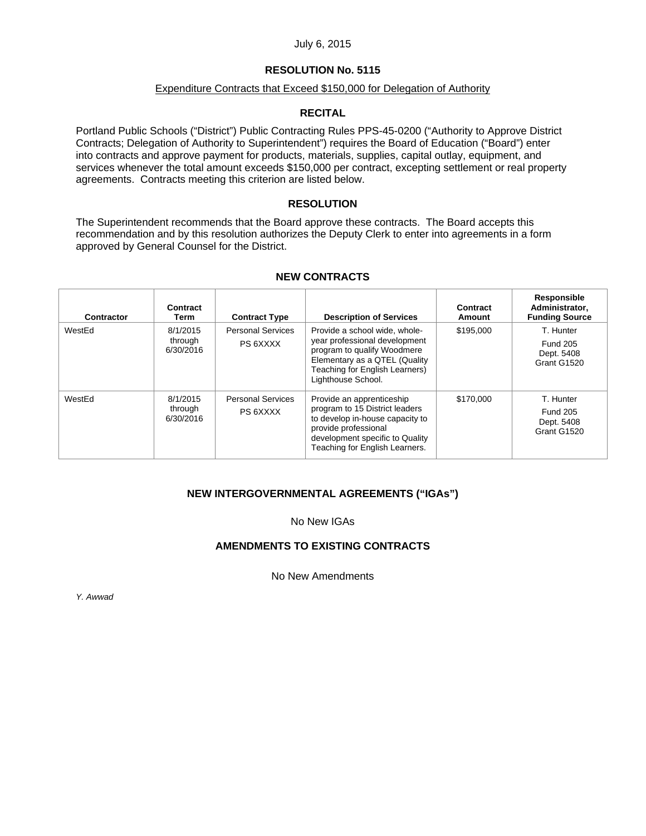#### July 6, 2015

### **RESOLUTION No. 5115**

#### Expenditure Contracts that Exceed \$150,000 for Delegation of Authority

### **RECITAL**

Portland Public Schools ("District") Public Contracting Rules PPS-45-0200 ("Authority to Approve District Contracts; Delegation of Authority to Superintendent") requires the Board of Education ("Board") enter into contracts and approve payment for products, materials, supplies, capital outlay, equipment, and services whenever the total amount exceeds \$150,000 per contract, excepting settlement or real property agreements. Contracts meeting this criterion are listed below.

#### **RESOLUTION**

The Superintendent recommends that the Board approve these contracts. The Board accepts this recommendation and by this resolution authorizes the Deputy Clerk to enter into agreements in a form approved by General Counsel for the District.

| Contractor | Contract<br>Term                 | <b>Contract Type</b>                 | <b>Description of Services</b>                                                                                                                                                              | Contract<br>Amount | Responsible<br>Administrator,<br><b>Funding Source</b>    |
|------------|----------------------------------|--------------------------------------|---------------------------------------------------------------------------------------------------------------------------------------------------------------------------------------------|--------------------|-----------------------------------------------------------|
| WestEd     | 8/1/2015<br>through<br>6/30/2016 | <b>Personal Services</b><br>PS 6XXXX | Provide a school wide, whole-<br>year professional development<br>program to qualify Woodmere<br>Elementary as a QTEL (Quality<br>Teaching for English Learners)<br>Lighthouse School.      | \$195,000          | T. Hunter<br><b>Fund 205</b><br>Dept. 5408<br>Grant G1520 |
| WestEd     | 8/1/2015<br>through<br>6/30/2016 | <b>Personal Services</b><br>PS 6XXXX | Provide an apprenticeship<br>program to 15 District leaders<br>to develop in-house capacity to<br>provide professional<br>development specific to Quality<br>Teaching for English Learners. | \$170,000          | T. Hunter<br><b>Fund 205</b><br>Dept. 5408<br>Grant G1520 |

#### **NEW CONTRACTS**

### **NEW INTERGOVERNMENTAL AGREEMENTS ("IGAs")**

No New IGAs

#### **AMENDMENTS TO EXISTING CONTRACTS**

No New Amendments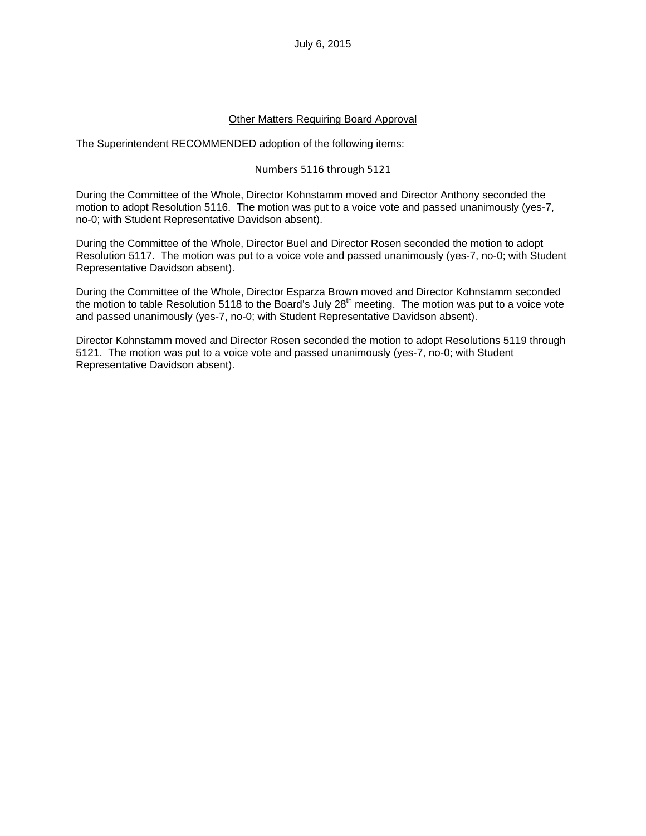### Other Matters Requiring Board Approval

The Superintendent RECOMMENDED adoption of the following items:

### Numbers 5116 through 5121

During the Committee of the Whole, Director Kohnstamm moved and Director Anthony seconded the motion to adopt Resolution 5116. The motion was put to a voice vote and passed unanimously (yes-7, no-0; with Student Representative Davidson absent).

During the Committee of the Whole, Director Buel and Director Rosen seconded the motion to adopt Resolution 5117. The motion was put to a voice vote and passed unanimously (yes-7, no-0; with Student Representative Davidson absent).

During the Committee of the Whole, Director Esparza Brown moved and Director Kohnstamm seconded the motion to table Resolution 5118 to the Board's July  $28<sup>th</sup>$  meeting. The motion was put to a voice vote and passed unanimously (yes-7, no-0; with Student Representative Davidson absent).

Director Kohnstamm moved and Director Rosen seconded the motion to adopt Resolutions 5119 through 5121. The motion was put to a voice vote and passed unanimously (yes-7, no-0; with Student Representative Davidson absent).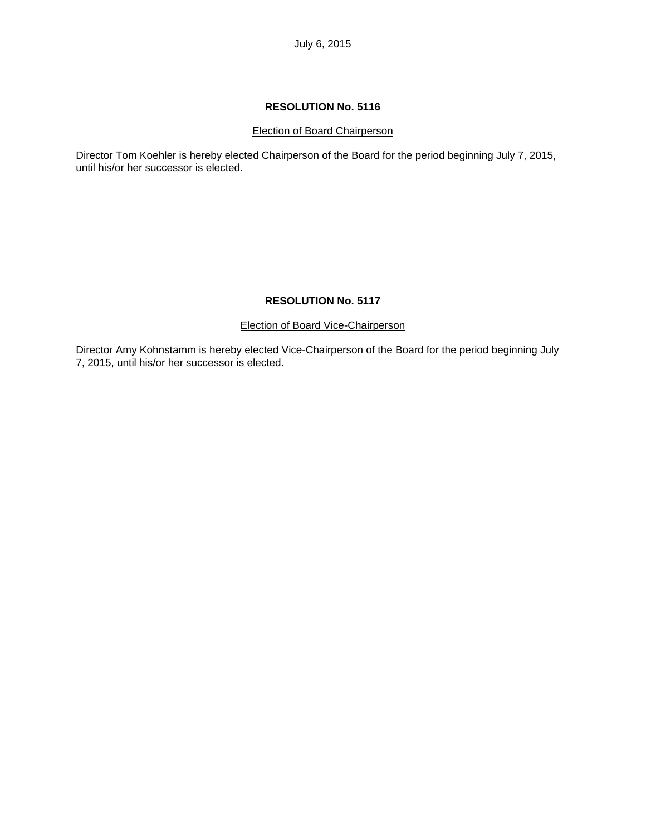#### Election of Board Chairperson

Director Tom Koehler is hereby elected Chairperson of the Board for the period beginning July 7, 2015, until his/or her successor is elected.

### **RESOLUTION No. 5117**

#### Election of Board Vice-Chairperson

Director Amy Kohnstamm is hereby elected Vice-Chairperson of the Board for the period beginning July 7, 2015, until his/or her successor is elected.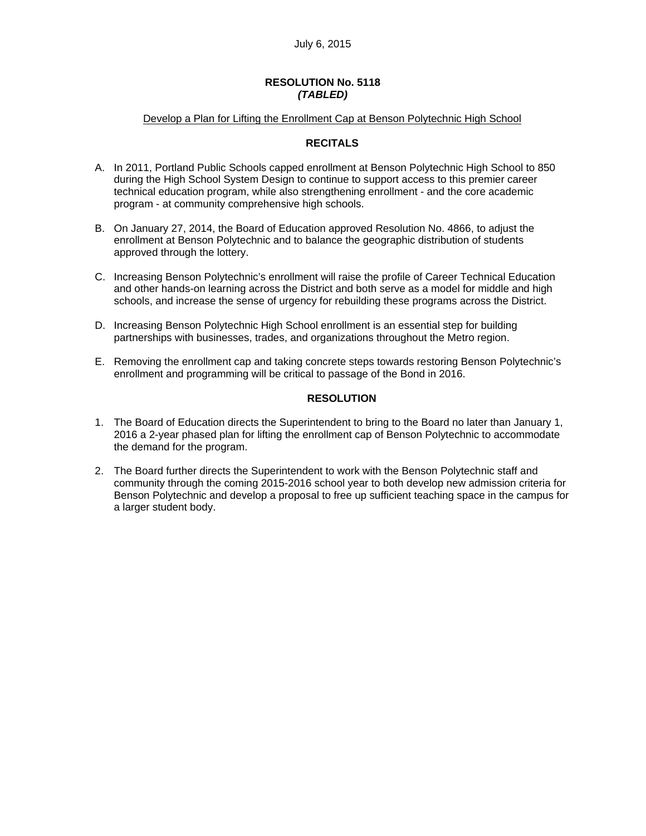#### **RESOLUTION No. 5118**  *(TABLED)*

#### Develop a Plan for Lifting the Enrollment Cap at Benson Polytechnic High School

### **RECITALS**

- A. In 2011, Portland Public Schools capped enrollment at Benson Polytechnic High School to 850 during the High School System Design to continue to support access to this premier career technical education program, while also strengthening enrollment - and the core academic program - at community comprehensive high schools.
- B. On January 27, 2014, the Board of Education approved Resolution No. 4866, to adjust the enrollment at Benson Polytechnic and to balance the geographic distribution of students approved through the lottery.
- C. Increasing Benson Polytechnic's enrollment will raise the profile of Career Technical Education and other hands-on learning across the District and both serve as a model for middle and high schools, and increase the sense of urgency for rebuilding these programs across the District.
- D. Increasing Benson Polytechnic High School enrollment is an essential step for building partnerships with businesses, trades, and organizations throughout the Metro region.
- E. Removing the enrollment cap and taking concrete steps towards restoring Benson Polytechnic's enrollment and programming will be critical to passage of the Bond in 2016.

### **RESOLUTION**

- 1. The Board of Education directs the Superintendent to bring to the Board no later than January 1, 2016 a 2-year phased plan for lifting the enrollment cap of Benson Polytechnic to accommodate the demand for the program.
- 2. The Board further directs the Superintendent to work with the Benson Polytechnic staff and community through the coming 2015-2016 school year to both develop new admission criteria for Benson Polytechnic and develop a proposal to free up sufficient teaching space in the campus for a larger student body.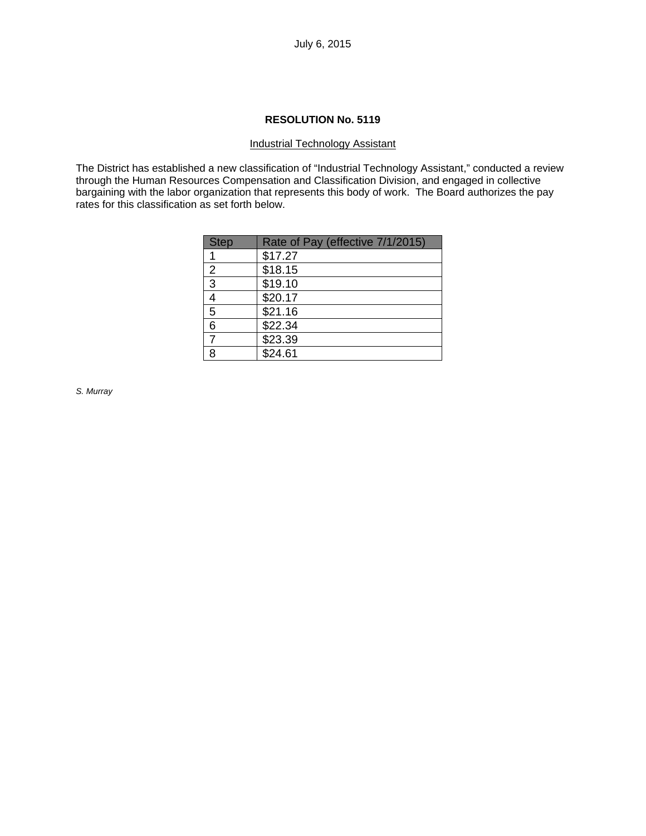### Industrial Technology Assistant

The District has established a new classification of "Industrial Technology Assistant," conducted a review through the Human Resources Compensation and Classification Division, and engaged in collective bargaining with the labor organization that represents this body of work. The Board authorizes the pay rates for this classification as set forth below.

| <b>Step</b> | Rate of Pay (effective 7/1/2015) |
|-------------|----------------------------------|
| 1           | \$17.27                          |
| 2           | \$18.15                          |
| 3           | \$19.10                          |
| 4           | \$20.17                          |
| 5           | \$21.16                          |
| 6           | \$22.34                          |
|             | \$23.39                          |
| 8           | \$24.61                          |

*S. Murray*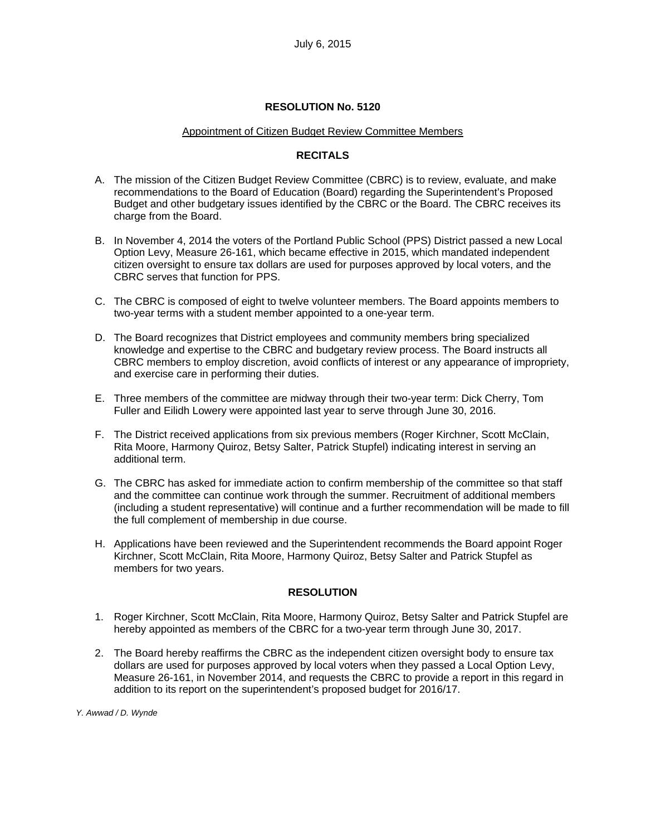#### Appointment of Citizen Budget Review Committee Members

### **RECITALS**

- A. The mission of the Citizen Budget Review Committee (CBRC) is to review, evaluate, and make recommendations to the Board of Education (Board) regarding the Superintendent's Proposed Budget and other budgetary issues identified by the CBRC or the Board. The CBRC receives its charge from the Board.
- B. In November 4, 2014 the voters of the Portland Public School (PPS) District passed a new Local Option Levy, Measure 26-161, which became effective in 2015, which mandated independent citizen oversight to ensure tax dollars are used for purposes approved by local voters, and the CBRC serves that function for PPS.
- C. The CBRC is composed of eight to twelve volunteer members. The Board appoints members to two-year terms with a student member appointed to a one-year term.
- D. The Board recognizes that District employees and community members bring specialized knowledge and expertise to the CBRC and budgetary review process. The Board instructs all CBRC members to employ discretion, avoid conflicts of interest or any appearance of impropriety, and exercise care in performing their duties.
- E. Three members of the committee are midway through their two-year term: Dick Cherry, Tom Fuller and Eilidh Lowery were appointed last year to serve through June 30, 2016.
- F. The District received applications from six previous members (Roger Kirchner, Scott McClain, Rita Moore, Harmony Quiroz, Betsy Salter, Patrick Stupfel) indicating interest in serving an additional term.
- G. The CBRC has asked for immediate action to confirm membership of the committee so that staff and the committee can continue work through the summer. Recruitment of additional members (including a student representative) will continue and a further recommendation will be made to fill the full complement of membership in due course.
- H. Applications have been reviewed and the Superintendent recommends the Board appoint Roger Kirchner, Scott McClain, Rita Moore, Harmony Quiroz, Betsy Salter and Patrick Stupfel as members for two years.

### **RESOLUTION**

- 1. Roger Kirchner, Scott McClain, Rita Moore, Harmony Quiroz, Betsy Salter and Patrick Stupfel are hereby appointed as members of the CBRC for a two-year term through June 30, 2017.
- 2. The Board hereby reaffirms the CBRC as the independent citizen oversight body to ensure tax dollars are used for purposes approved by local voters when they passed a Local Option Levy, Measure 26-161, in November 2014, and requests the CBRC to provide a report in this regard in addition to its report on the superintendent's proposed budget for 2016/17.

*Y. Awwad / D. Wynde*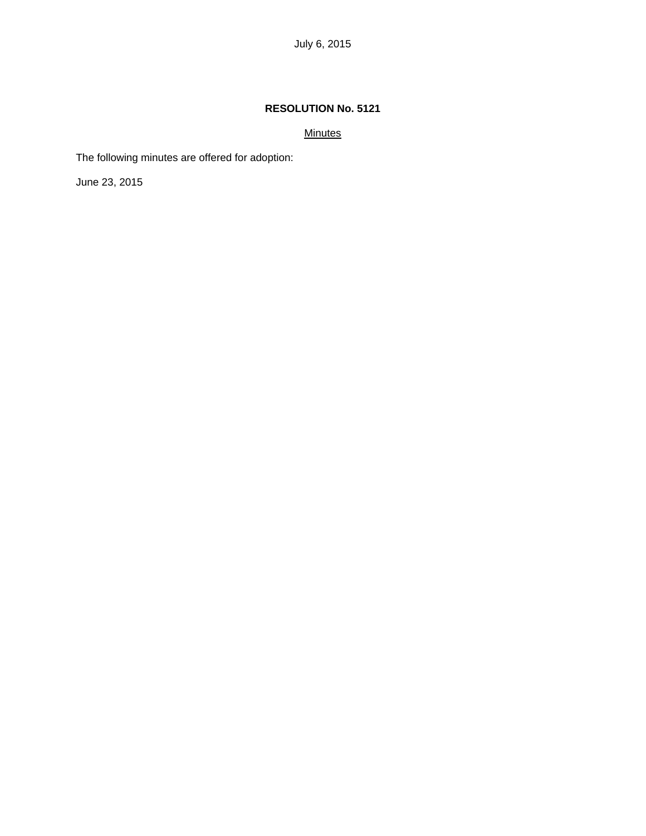## **Minutes**

The following minutes are offered for adoption:

June 23, 2015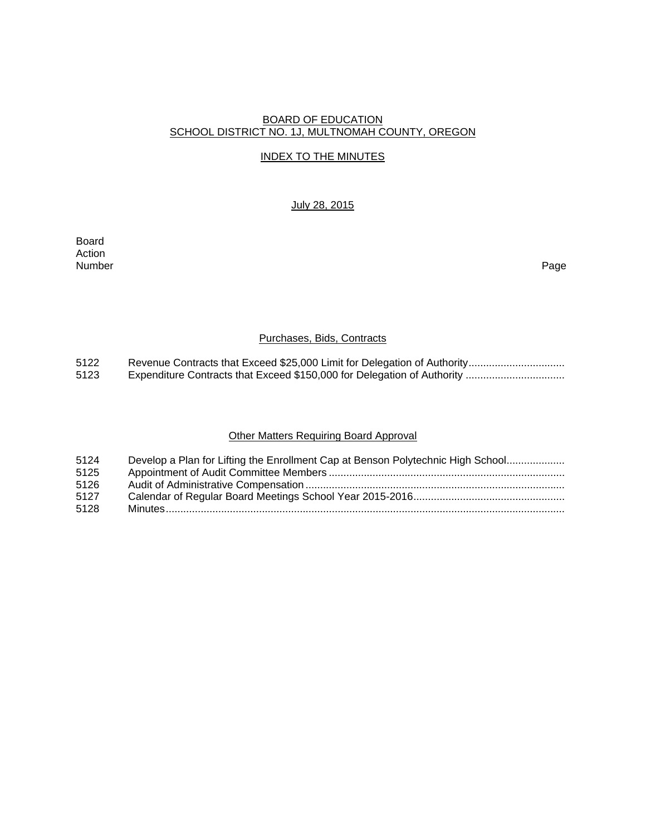### BOARD OF EDUCATION SCHOOL DISTRICT NO. 1J, MULTNOMAH COUNTY, OREGON

### INDEX TO THE MINUTES

### July 28, 2015

Board Action Number Page

### Purchases, Bids, Contracts

5122 Revenue Contracts that Exceed \$25,000 Limit for Delegation of Authority ................................<br>5123 Expenditure Contracts that Exceed \$150,000 for Delegation of Authority ................................. 5123 Expenditure Contracts that Exceed \$150,000 for Delegation of Authority ..................................

# Other Matters Requiring Board Approval

| 5124 | Develop a Plan for Lifting the Enrollment Cap at Benson Polytechnic High School |
|------|---------------------------------------------------------------------------------|
| 5125 |                                                                                 |
| 5126 |                                                                                 |
| 5127 |                                                                                 |
| 5128 |                                                                                 |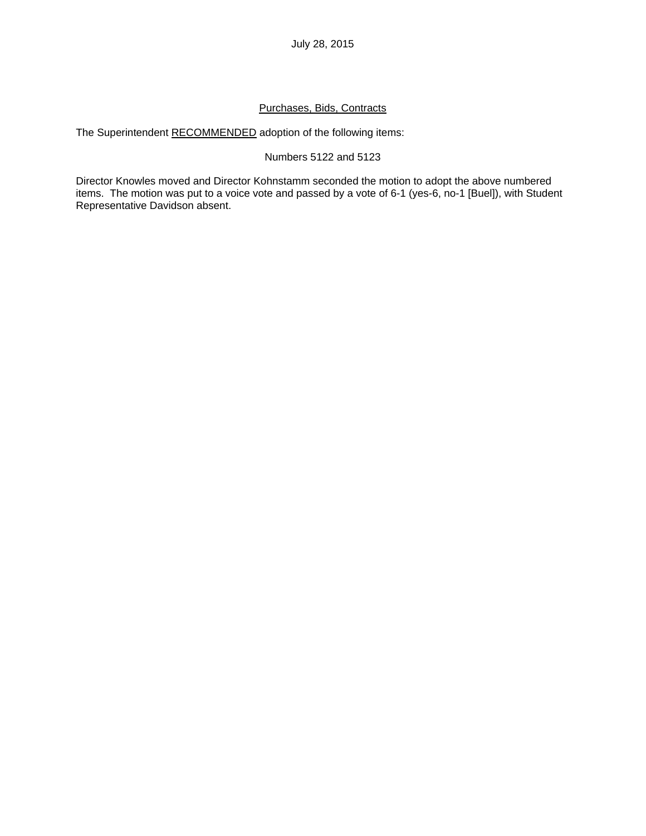## Purchases, Bids, Contracts

The Superintendent RECOMMENDED adoption of the following items:

### Numbers 5122 and 5123

Director Knowles moved and Director Kohnstamm seconded the motion to adopt the above numbered items. The motion was put to a voice vote and passed by a vote of 6-1 (yes-6, no-1 [Buel]), with Student Representative Davidson absent.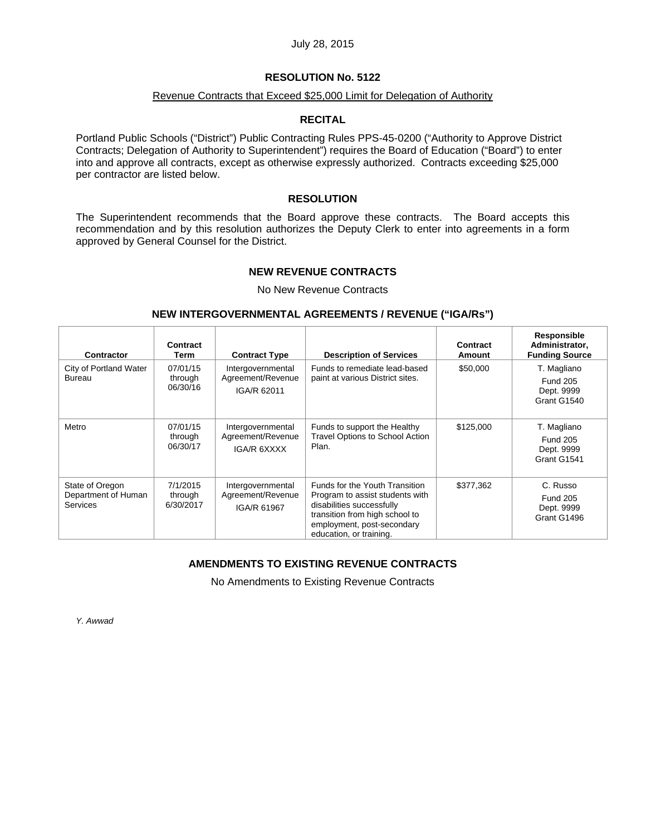### **RESOLUTION No. 5122**

#### Revenue Contracts that Exceed \$25,000 Limit for Delegation of Authority

### **RECITAL**

Portland Public Schools ("District") Public Contracting Rules PPS-45-0200 ("Authority to Approve District Contracts; Delegation of Authority to Superintendent") requires the Board of Education ("Board") to enter into and approve all contracts, except as otherwise expressly authorized. Contracts exceeding \$25,000 per contractor are listed below.

### **RESOLUTION**

The Superintendent recommends that the Board approve these contracts. The Board accepts this recommendation and by this resolution authorizes the Deputy Clerk to enter into agreements in a form approved by General Counsel for the District.

### **NEW REVENUE CONTRACTS**

No New Revenue Contracts

#### **NEW INTERGOVERNMENTAL AGREEMENTS / REVENUE ("IGA/Rs")**

| <b>Contractor</b>                                  | Contract<br>Term                 | <b>Contract Type</b>                                  | <b>Description of Services</b>                                                                                                                                                            | Contract<br><b>Amount</b> | Responsible<br>Administrator,<br><b>Funding Source</b>      |
|----------------------------------------------------|----------------------------------|-------------------------------------------------------|-------------------------------------------------------------------------------------------------------------------------------------------------------------------------------------------|---------------------------|-------------------------------------------------------------|
| City of Portland Water<br>Bureau                   | 07/01/15<br>through<br>06/30/16  | Intergovernmental<br>Agreement/Revenue<br>IGA/R 62011 | Funds to remediate lead-based<br>paint at various District sites.                                                                                                                         | \$50,000                  | T. Magliano<br><b>Fund 205</b><br>Dept. 9999<br>Grant G1540 |
| Metro                                              | 07/01/15<br>through<br>06/30/17  | Intergovernmental<br>Agreement/Revenue<br>IGA/R 6XXXX | Funds to support the Healthy<br><b>Travel Options to School Action</b><br>Plan.                                                                                                           | \$125,000                 | T. Magliano<br><b>Fund 205</b><br>Dept. 9999<br>Grant G1541 |
| State of Oregon<br>Department of Human<br>Services | 7/1/2015<br>through<br>6/30/2017 | Intergovernmental<br>Agreement/Revenue<br>IGA/R 61967 | Funds for the Youth Transition<br>Program to assist students with<br>disabilities successfully<br>transition from high school to<br>employment, post-secondary<br>education, or training. | \$377,362                 | C. Russo<br><b>Fund 205</b><br>Dept. 9999<br>Grant G1496    |

### **AMENDMENTS TO EXISTING REVENUE CONTRACTS**

No Amendments to Existing Revenue Contracts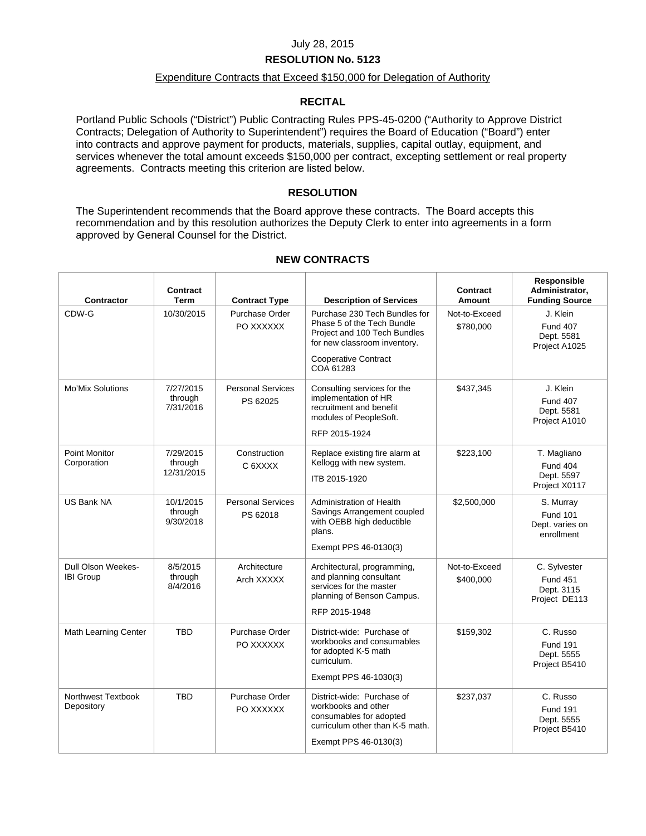### **RESOLUTION No. 5123**

### Expenditure Contracts that Exceed \$150,000 for Delegation of Authority

### **RECITAL**

Portland Public Schools ("District") Public Contracting Rules PPS-45-0200 ("Authority to Approve District Contracts; Delegation of Authority to Superintendent") requires the Board of Education ("Board") enter into contracts and approve payment for products, materials, supplies, capital outlay, equipment, and services whenever the total amount exceeds \$150,000 per contract, excepting settlement or real property agreements. Contracts meeting this criterion are listed below.

### **RESOLUTION**

The Superintendent recommends that the Board approve these contracts. The Board accepts this recommendation and by this resolution authorizes the Deputy Clerk to enter into agreements in a form approved by General Counsel for the District.

| <b>Contractor</b>                      | Contract<br>Term                   | <b>Contract Type</b>                 | <b>Description of Services</b>                                                                                                                                          | Contract<br>Amount         | <b>Responsible</b><br>Administrator,<br><b>Funding Source</b>  |
|----------------------------------------|------------------------------------|--------------------------------------|-------------------------------------------------------------------------------------------------------------------------------------------------------------------------|----------------------------|----------------------------------------------------------------|
| CDW-G                                  | 10/30/2015                         | Purchase Order<br>PO XXXXXX          | Purchase 230 Tech Bundles for<br>Phase 5 of the Tech Bundle<br>Project and 100 Tech Bundles<br>for new classroom inventory.<br><b>Cooperative Contract</b><br>COA 61283 | Not-to-Exceed<br>\$780,000 | J. Klein<br><b>Fund 407</b><br>Dept. 5581<br>Project A1025     |
| <b>Mo'Mix Solutions</b>                | 7/27/2015<br>through<br>7/31/2016  | <b>Personal Services</b><br>PS 62025 | Consulting services for the<br>implementation of HR<br>recruitment and benefit<br>modules of PeopleSoft.<br>RFP 2015-1924                                               | \$437,345                  | J. Klein<br><b>Fund 407</b><br>Dept. 5581<br>Project A1010     |
| Point Monitor<br>Corporation           | 7/29/2015<br>through<br>12/31/2015 | Construction<br>C 6XXXX              | Replace existing fire alarm at<br>Kellogg with new system.<br>ITB 2015-1920                                                                                             | \$223,100                  | T. Magliano<br><b>Fund 404</b><br>Dept. 5597<br>Project X0117  |
| <b>US Bank NA</b>                      | 10/1/2015<br>through<br>9/30/2018  | <b>Personal Services</b><br>PS 62018 | Administration of Health<br>Savings Arrangement coupled<br>with OEBB high deductible<br>plans.<br>Exempt PPS 46-0130(3)                                                 | \$2,500,000                | S. Murray<br><b>Fund 101</b><br>Dept. varies on<br>enrollment  |
| Dull Olson Weekes-<br><b>IBI Group</b> | 8/5/2015<br>through<br>8/4/2016    | Architecture<br>Arch XXXXX           | Architectural, programming,<br>and planning consultant<br>services for the master<br>planning of Benson Campus.<br>RFP 2015-1948                                        | Not-to-Exceed<br>\$400,000 | C. Sylvester<br><b>Fund 451</b><br>Dept. 3115<br>Project DE113 |
| <b>Math Learning Center</b>            | <b>TBD</b>                         | Purchase Order<br>PO XXXXXX          | District-wide: Purchase of<br>workbooks and consumables<br>for adopted K-5 math<br>curriculum.<br>Exempt PPS 46-1030(3)                                                 | \$159,302                  | C. Russo<br><b>Fund 191</b><br>Dept. 5555<br>Project B5410     |
| Northwest Textbook<br>Depository       | <b>TBD</b>                         | Purchase Order<br>PO XXXXXX          | District-wide: Purchase of<br>workbooks and other<br>consumables for adopted<br>curriculum other than K-5 math.<br>Exempt PPS 46-0130(3)                                | \$237,037                  | C. Russo<br><b>Fund 191</b><br>Dept. 5555<br>Project B5410     |

#### **NEW CONTRACTS**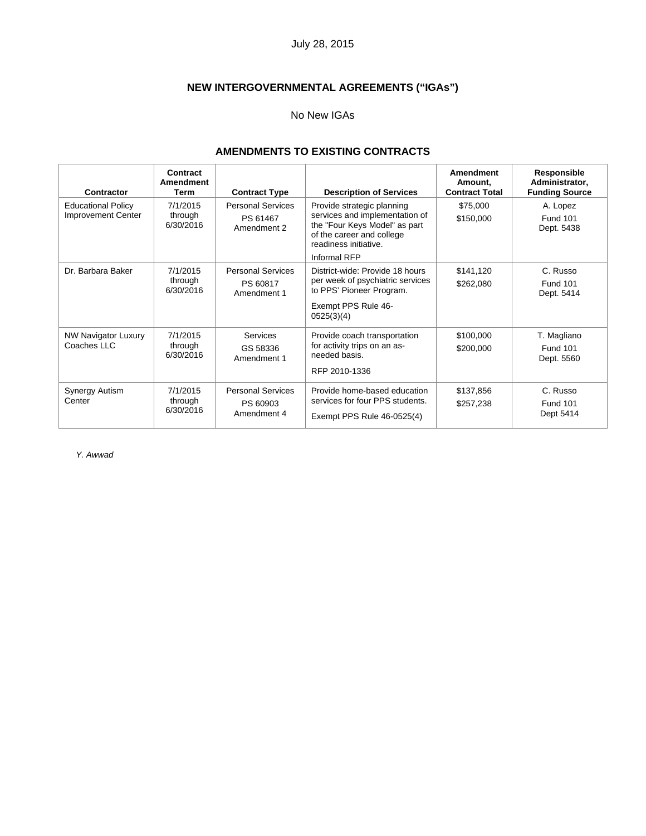# **NEW INTERGOVERNMENTAL AGREEMENTS ("IGAs")**

#### No New IGAs

# **AMENDMENTS TO EXISTING CONTRACTS**

| Contractor                                             | Contract<br><b>Amendment</b><br><b>Term</b> | <b>Contract Type</b>                                | <b>Description of Services</b>                                                                                                                                      | Amendment<br>Amount.<br><b>Contract Total</b> | Responsible<br>Administrator,<br><b>Funding Source</b> |
|--------------------------------------------------------|---------------------------------------------|-----------------------------------------------------|---------------------------------------------------------------------------------------------------------------------------------------------------------------------|-----------------------------------------------|--------------------------------------------------------|
| <b>Educational Policy</b><br><b>Improvement Center</b> | 7/1/2015<br>through<br>6/30/2016            | <b>Personal Services</b><br>PS 61467<br>Amendment 2 | Provide strategic planning<br>services and implementation of<br>the "Four Keys Model" as part<br>of the career and college<br>readiness initiative.<br>Informal RFP | \$75,000<br>\$150,000                         | A. Lopez<br><b>Fund 101</b><br>Dept. 5438              |
| Dr. Barbara Baker                                      | 7/1/2015<br>through<br>6/30/2016            | <b>Personal Services</b><br>PS 60817<br>Amendment 1 | District-wide: Provide 18 hours<br>per week of psychiatric services<br>to PPS' Pioneer Program.<br>Exempt PPS Rule 46-<br>0525(3)(4)                                | \$141,120<br>\$262,080                        | C. Russo<br><b>Fund 101</b><br>Dept. 5414              |
| <b>NW Navigator Luxury</b><br>Coaches LLC              | 7/1/2015<br>through<br>6/30/2016            | <b>Services</b><br>GS 58336<br>Amendment 1          | Provide coach transportation<br>for activity trips on an as-<br>needed basis.<br>RFP 2010-1336                                                                      | \$100,000<br>\$200,000                        | T. Magliano<br><b>Fund 101</b><br>Dept. 5560           |
| Synergy Autism<br>Center                               | 7/1/2015<br>through<br>6/30/2016            | <b>Personal Services</b><br>PS 60903<br>Amendment 4 | Provide home-based education<br>services for four PPS students.<br>Exempt PPS Rule 46-0525(4)                                                                       | \$137,856<br>\$257,238                        | C. Russo<br><b>Fund 101</b><br>Dept 5414               |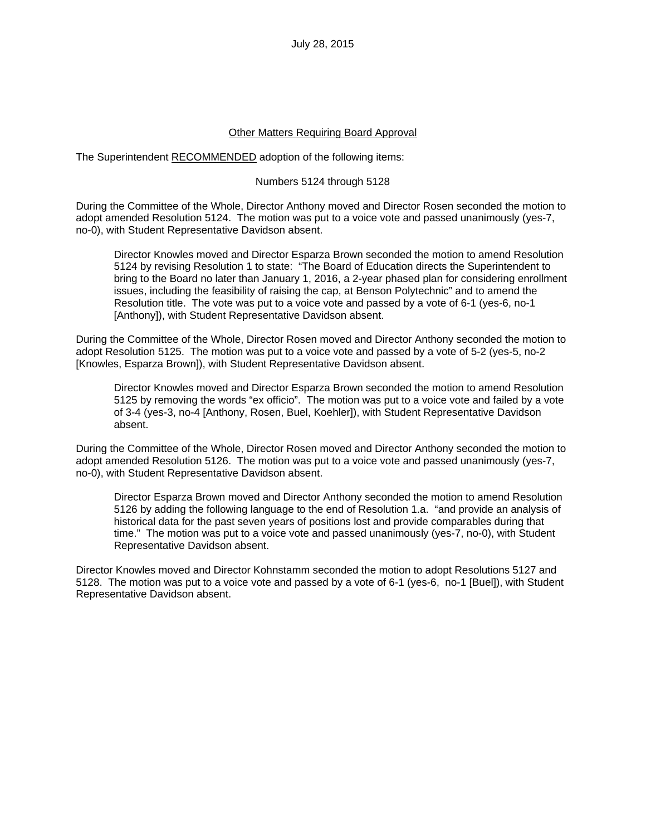#### Other Matters Requiring Board Approval

The Superintendent RECOMMENDED adoption of the following items:

#### Numbers 5124 through 5128

During the Committee of the Whole, Director Anthony moved and Director Rosen seconded the motion to adopt amended Resolution 5124. The motion was put to a voice vote and passed unanimously (yes-7, no-0), with Student Representative Davidson absent.

Director Knowles moved and Director Esparza Brown seconded the motion to amend Resolution 5124 by revising Resolution 1 to state: "The Board of Education directs the Superintendent to bring to the Board no later than January 1, 2016, a 2-year phased plan for considering enrollment issues, including the feasibility of raising the cap, at Benson Polytechnic" and to amend the Resolution title. The vote was put to a voice vote and passed by a vote of 6-1 (yes-6, no-1 [Anthony]), with Student Representative Davidson absent.

During the Committee of the Whole, Director Rosen moved and Director Anthony seconded the motion to adopt Resolution 5125. The motion was put to a voice vote and passed by a vote of 5-2 (yes-5, no-2 [Knowles, Esparza Brown]), with Student Representative Davidson absent.

Director Knowles moved and Director Esparza Brown seconded the motion to amend Resolution 5125 by removing the words "ex officio". The motion was put to a voice vote and failed by a vote of 3-4 (yes-3, no-4 [Anthony, Rosen, Buel, Koehler]), with Student Representative Davidson absent.

During the Committee of the Whole, Director Rosen moved and Director Anthony seconded the motion to adopt amended Resolution 5126. The motion was put to a voice vote and passed unanimously (yes-7, no-0), with Student Representative Davidson absent.

Director Esparza Brown moved and Director Anthony seconded the motion to amend Resolution 5126 by adding the following language to the end of Resolution 1.a. "and provide an analysis of historical data for the past seven years of positions lost and provide comparables during that time." The motion was put to a voice vote and passed unanimously (yes-7, no-0), with Student Representative Davidson absent.

Director Knowles moved and Director Kohnstamm seconded the motion to adopt Resolutions 5127 and 5128. The motion was put to a voice vote and passed by a vote of 6-1 (yes-6, no-1 [Buel]), with Student Representative Davidson absent.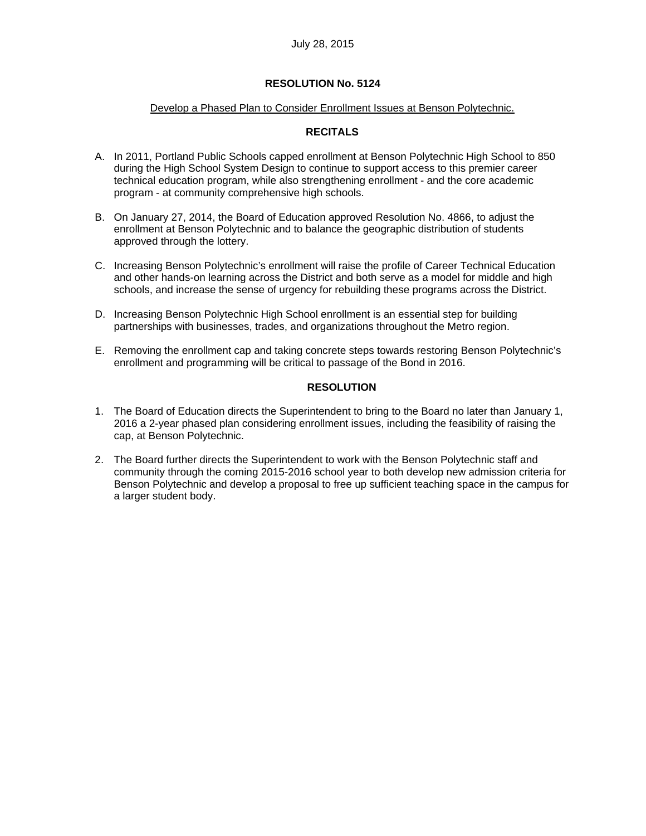#### Develop a Phased Plan to Consider Enrollment Issues at Benson Polytechnic.

### **RECITALS**

- A. In 2011, Portland Public Schools capped enrollment at Benson Polytechnic High School to 850 during the High School System Design to continue to support access to this premier career technical education program, while also strengthening enrollment - and the core academic program - at community comprehensive high schools.
- B. On January 27, 2014, the Board of Education approved Resolution No. 4866, to adjust the enrollment at Benson Polytechnic and to balance the geographic distribution of students approved through the lottery.
- C. Increasing Benson Polytechnic's enrollment will raise the profile of Career Technical Education and other hands-on learning across the District and both serve as a model for middle and high schools, and increase the sense of urgency for rebuilding these programs across the District.
- D. Increasing Benson Polytechnic High School enrollment is an essential step for building partnerships with businesses, trades, and organizations throughout the Metro region.
- E. Removing the enrollment cap and taking concrete steps towards restoring Benson Polytechnic's enrollment and programming will be critical to passage of the Bond in 2016.

#### **RESOLUTION**

- 1. The Board of Education directs the Superintendent to bring to the Board no later than January 1, 2016 a 2-year phased plan considering enrollment issues, including the feasibility of raising the cap, at Benson Polytechnic.
- 2. The Board further directs the Superintendent to work with the Benson Polytechnic staff and community through the coming 2015-2016 school year to both develop new admission criteria for Benson Polytechnic and develop a proposal to free up sufficient teaching space in the campus for a larger student body.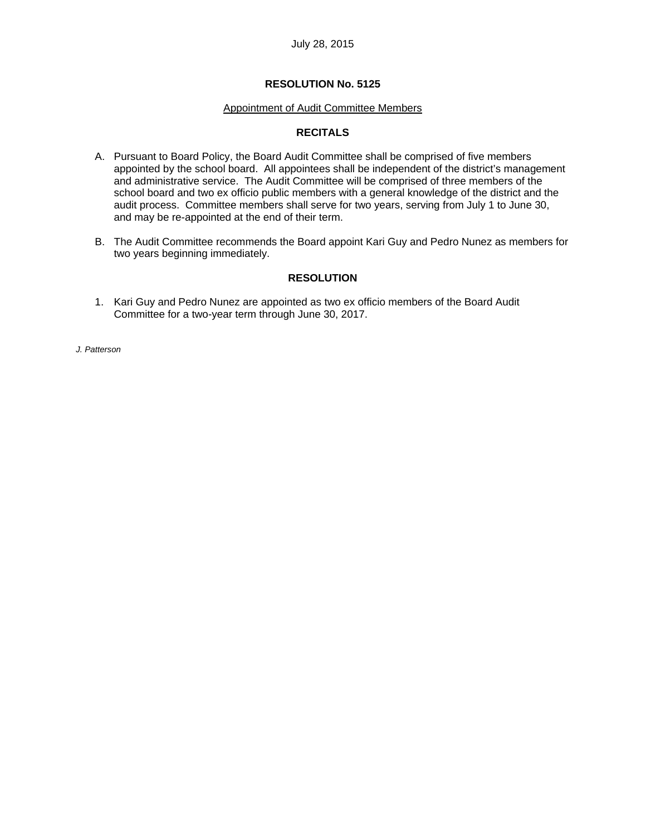### Appointment of Audit Committee Members

### **RECITALS**

- A. Pursuant to Board Policy, the Board Audit Committee shall be comprised of five members appointed by the school board. All appointees shall be independent of the district's management and administrative service. The Audit Committee will be comprised of three members of the school board and two ex officio public members with a general knowledge of the district and the audit process. Committee members shall serve for two years, serving from July 1 to June 30, and may be re-appointed at the end of their term.
- B. The Audit Committee recommends the Board appoint Kari Guy and Pedro Nunez as members for two years beginning immediately.

### **RESOLUTION**

1. Kari Guy and Pedro Nunez are appointed as two ex officio members of the Board Audit Committee for a two-year term through June 30, 2017.

*J. Patterson*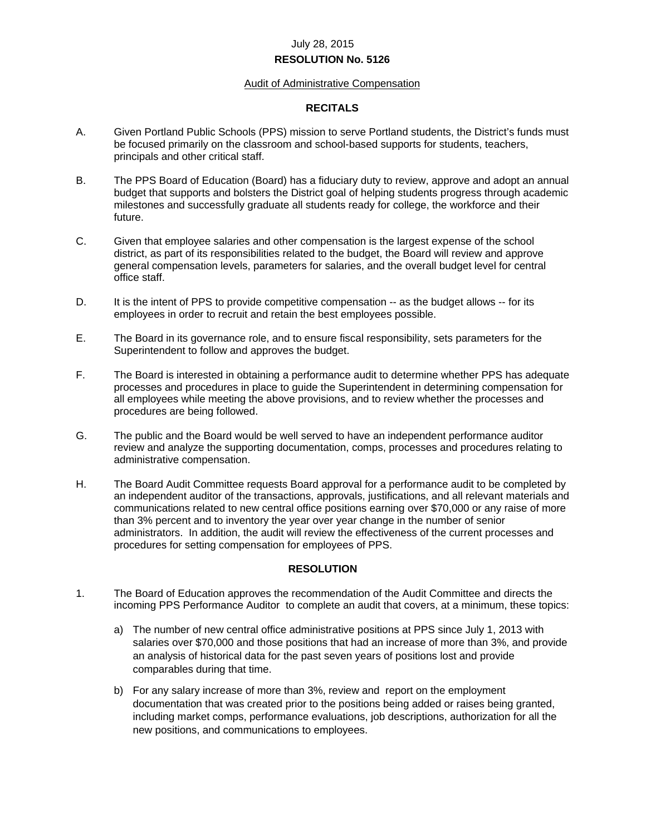### **RESOLUTION No. 5126**

#### Audit of Administrative Compensation

### **RECITALS**

- A. Given Portland Public Schools (PPS) mission to serve Portland students, the District's funds must be focused primarily on the classroom and school-based supports for students, teachers, principals and other critical staff.
- B. The PPS Board of Education (Board) has a fiduciary duty to review, approve and adopt an annual budget that supports and bolsters the District goal of helping students progress through academic milestones and successfully graduate all students ready for college, the workforce and their future.
- C. Given that employee salaries and other compensation is the largest expense of the school district, as part of its responsibilities related to the budget, the Board will review and approve general compensation levels, parameters for salaries, and the overall budget level for central office staff.
- D. It is the intent of PPS to provide competitive compensation -- as the budget allows -- for its employees in order to recruit and retain the best employees possible.
- E. The Board in its governance role, and to ensure fiscal responsibility, sets parameters for the Superintendent to follow and approves the budget.
- F. The Board is interested in obtaining a performance audit to determine whether PPS has adequate processes and procedures in place to guide the Superintendent in determining compensation for all employees while meeting the above provisions, and to review whether the processes and procedures are being followed.
- G. The public and the Board would be well served to have an independent performance auditor review and analyze the supporting documentation, comps, processes and procedures relating to administrative compensation.
- H. The Board Audit Committee requests Board approval for a performance audit to be completed by an independent auditor of the transactions, approvals, justifications, and all relevant materials and communications related to new central office positions earning over \$70,000 or any raise of more than 3% percent and to inventory the year over year change in the number of senior administrators. In addition, the audit will review the effectiveness of the current processes and procedures for setting compensation for employees of PPS.

### **RESOLUTION**

- 1. The Board of Education approves the recommendation of the Audit Committee and directs the incoming PPS Performance Auditor to complete an audit that covers, at a minimum, these topics:
	- a) The number of new central office administrative positions at PPS since July 1, 2013 with salaries over \$70,000 and those positions that had an increase of more than 3%, and provide an analysis of historical data for the past seven years of positions lost and provide comparables during that time.
	- b) For any salary increase of more than 3%, review and report on the employment documentation that was created prior to the positions being added or raises being granted, including market comps, performance evaluations, job descriptions, authorization for all the new positions, and communications to employees.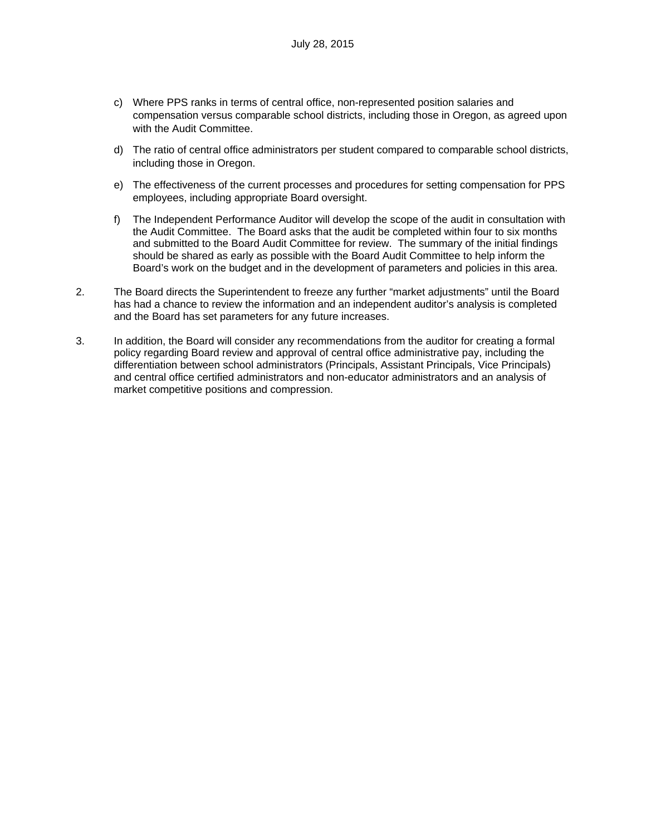- c) Where PPS ranks in terms of central office, non-represented position salaries and compensation versus comparable school districts, including those in Oregon, as agreed upon with the Audit Committee.
- d) The ratio of central office administrators per student compared to comparable school districts, including those in Oregon.
- e) The effectiveness of the current processes and procedures for setting compensation for PPS employees, including appropriate Board oversight.
- f) The Independent Performance Auditor will develop the scope of the audit in consultation with the Audit Committee. The Board asks that the audit be completed within four to six months and submitted to the Board Audit Committee for review. The summary of the initial findings should be shared as early as possible with the Board Audit Committee to help inform the Board's work on the budget and in the development of parameters and policies in this area.
- 2. The Board directs the Superintendent to freeze any further "market adjustments" until the Board has had a chance to review the information and an independent auditor's analysis is completed and the Board has set parameters for any future increases.
- 3. In addition, the Board will consider any recommendations from the auditor for creating a formal policy regarding Board review and approval of central office administrative pay, including the differentiation between school administrators (Principals, Assistant Principals, Vice Principals) and central office certified administrators and non-educator administrators and an analysis of market competitive positions and compression.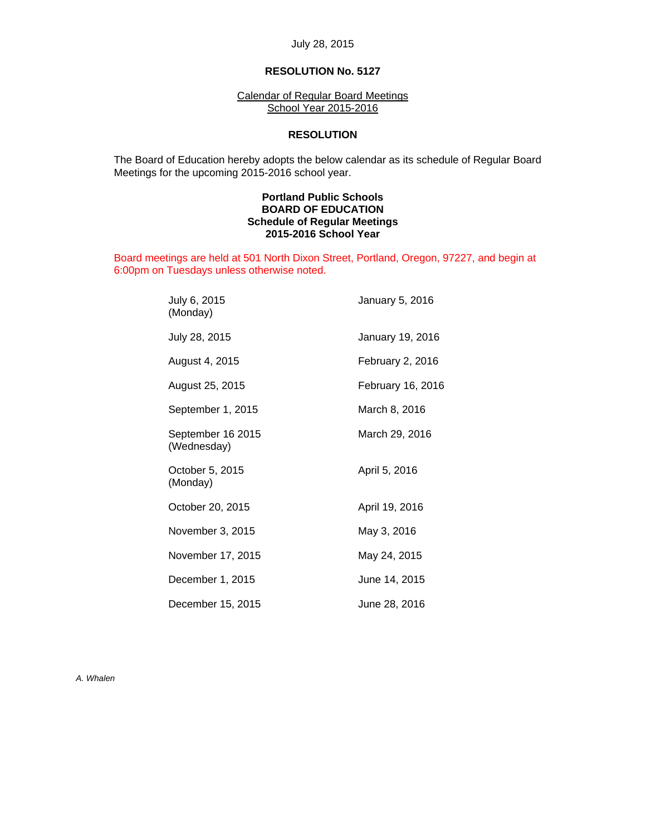### **RESOLUTION No. 5127**

Calendar of Regular Board Meetings School Year 2015-2016

#### **RESOLUTION**

 The Board of Education hereby adopts the below calendar as its schedule of Regular Board Meetings for the upcoming 2015-2016 school year.

#### **Portland Public Schools BOARD OF EDUCATION Schedule of Regular Meetings 2015-2016 School Year**

Board meetings are held at 501 North Dixon Street, Portland, Oregon, 97227, and begin at 6:00pm on Tuesdays unless otherwise noted.

| July 6, 2015<br>(Monday)         | January 5, 2016   |
|----------------------------------|-------------------|
| July 28, 2015                    | January 19, 2016  |
| August 4, 2015                   | February 2, 2016  |
| August 25, 2015                  | February 16, 2016 |
| September 1, 2015                | March 8, 2016     |
| September 16 2015<br>(Wednesday) | March 29, 2016    |
| October 5, 2015<br>(Monday)      | April 5, 2016     |
| October 20, 2015                 | April 19, 2016    |
| November 3, 2015                 | May 3, 2016       |
| November 17, 2015                | May 24, 2015      |
| December 1, 2015                 | June 14, 2015     |
| December 15, 2015                | June 28, 2016     |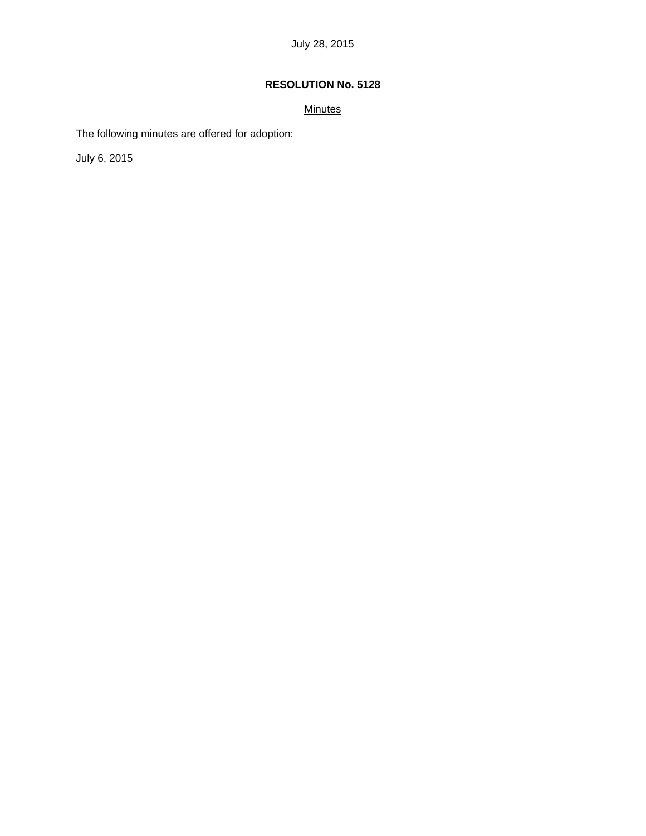## **Minutes**

The following minutes are offered for adoption:

July 6, 2015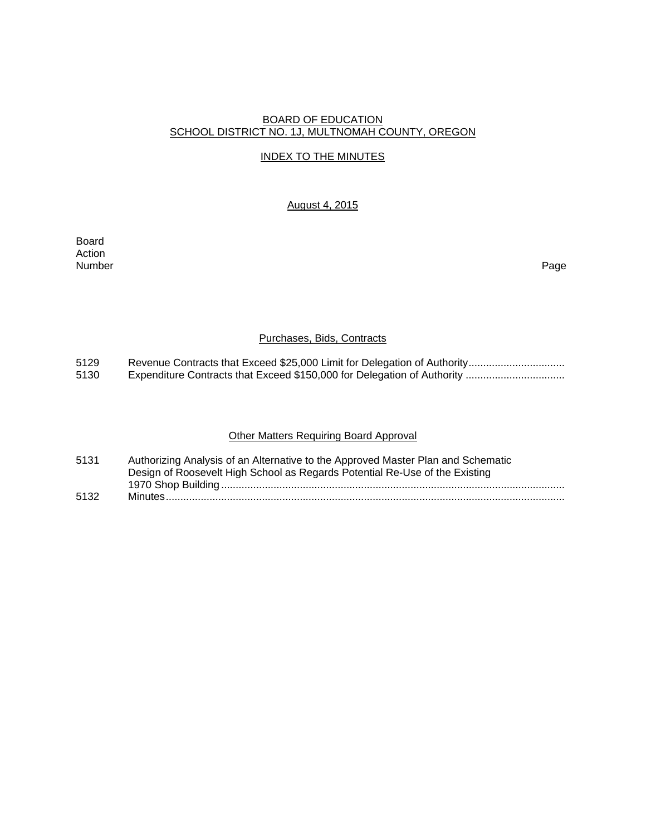### BOARD OF EDUCATION SCHOOL DISTRICT NO. 1J, MULTNOMAH COUNTY, OREGON

### INDEX TO THE MINUTES

### August 4, 2015

Board Action Number Page

#### Purchases, Bids, Contracts

- 5129 Revenue Contracts that Exceed \$25,000 Limit for Delegation of Authority ................................<br>5130 Expenditure Contracts that Exceed \$150,000 for Delegation of Authority .................................
- 5130 Expenditure Contracts that Exceed \$150,000 for Delegation of Authority ..................................

### Other Matters Requiring Board Approval

| 5131 | Authorizing Analysis of an Alternative to the Approved Master Plan and Schematic |
|------|----------------------------------------------------------------------------------|
|      | Design of Roosevelt High School as Regards Potential Re-Use of the Existing      |
|      |                                                                                  |
| 5132 |                                                                                  |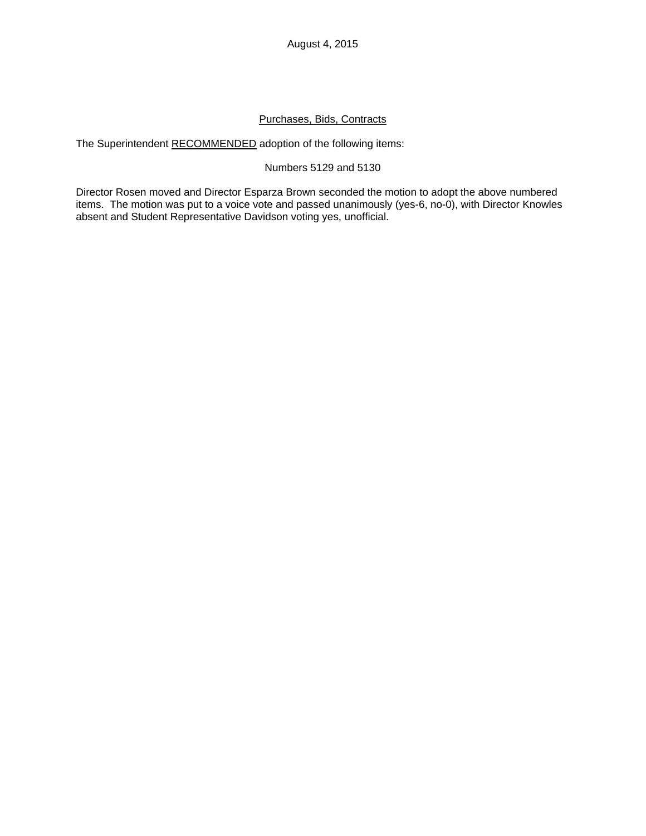# Purchases, Bids, Contracts

The Superintendent RECOMMENDED adoption of the following items:

## Numbers 5129 and 5130

Director Rosen moved and Director Esparza Brown seconded the motion to adopt the above numbered items. The motion was put to a voice vote and passed unanimously (yes-6, no-0), with Director Knowles absent and Student Representative Davidson voting yes, unofficial.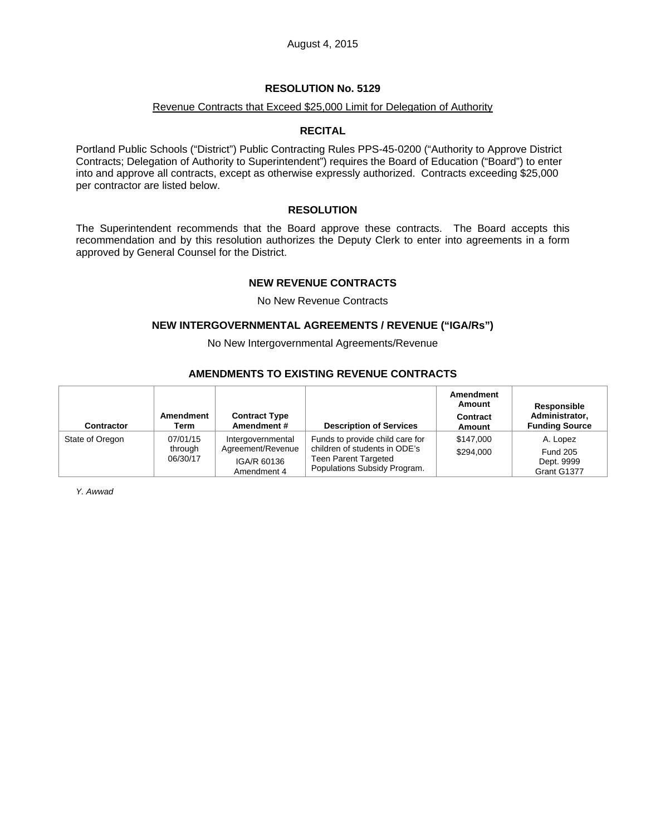### Revenue Contracts that Exceed \$25,000 Limit for Delegation of Authority

#### **RECITAL**

Portland Public Schools ("District") Public Contracting Rules PPS-45-0200 ("Authority to Approve District Contracts; Delegation of Authority to Superintendent") requires the Board of Education ("Board") to enter into and approve all contracts, except as otherwise expressly authorized. Contracts exceeding \$25,000 per contractor are listed below.

### **RESOLUTION**

The Superintendent recommends that the Board approve these contracts. The Board accepts this recommendation and by this resolution authorizes the Deputy Clerk to enter into agreements in a form approved by General Counsel for the District.

#### **NEW REVENUE CONTRACTS**

No New Revenue Contracts

### **NEW INTERGOVERNMENTAL AGREEMENTS / REVENUE ("IGA/Rs")**

No New Intergovernmental Agreements/Revenue

### **AMENDMENTS TO EXISTING REVENUE CONTRACTS**

| Contractor      | Amendment<br>Term               | <b>Contract Type</b><br>Amendment#                                   | <b>Description of Services</b>                                                                                                  | Amendment<br>Amount<br>Contract<br>Amount | Responsible<br>Administrator,<br><b>Funding Source</b>   |
|-----------------|---------------------------------|----------------------------------------------------------------------|---------------------------------------------------------------------------------------------------------------------------------|-------------------------------------------|----------------------------------------------------------|
| State of Oregon | 07/01/15<br>through<br>06/30/17 | Intergovernmental<br>Agreement/Revenue<br>IGA/R 60136<br>Amendment 4 | Funds to provide child care for<br>children of students in ODE's<br><b>Teen Parent Targeted</b><br>Populations Subsidy Program. | \$147,000<br>\$294.000                    | A. Lopez<br><b>Fund 205</b><br>Dept. 9999<br>Grant G1377 |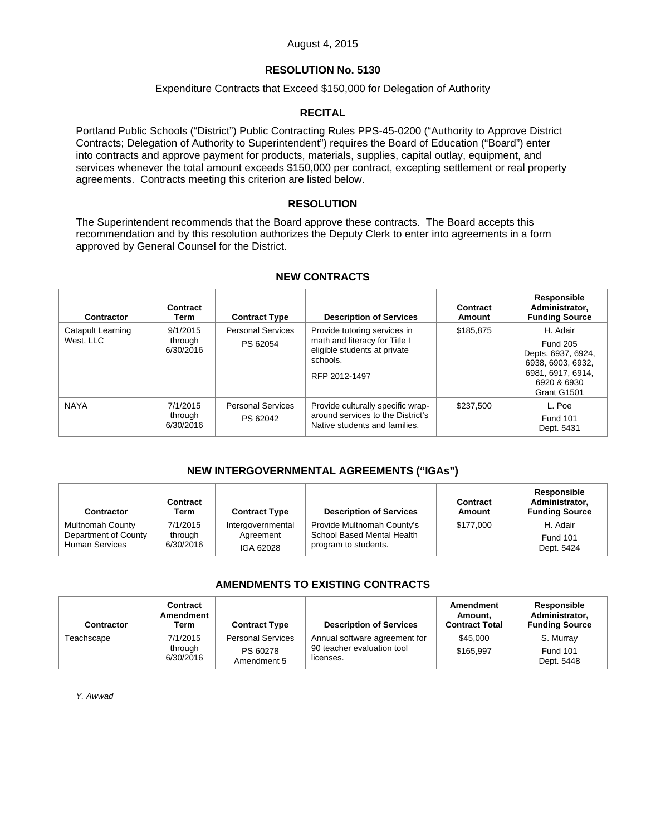### August 4, 2015

### **RESOLUTION No. 5130**

#### Expenditure Contracts that Exceed \$150,000 for Delegation of Authority

### **RECITAL**

Portland Public Schools ("District") Public Contracting Rules PPS-45-0200 ("Authority to Approve District Contracts; Delegation of Authority to Superintendent") requires the Board of Education ("Board") enter into contracts and approve payment for products, materials, supplies, capital outlay, equipment, and services whenever the total amount exceeds \$150,000 per contract, excepting settlement or real property agreements. Contracts meeting this criterion are listed below.

### **RESOLUTION**

The Superintendent recommends that the Board approve these contracts. The Board accepts this recommendation and by this resolution authorizes the Deputy Clerk to enter into agreements in a form approved by General Counsel for the District.

| Contractor                            | Contract<br>Term                 | <b>Contract Type</b>                 | <b>Description of Services</b>                                                                                             | Contract<br>Amount | Responsible<br>Administrator,<br><b>Funding Source</b>                                                                    |
|---------------------------------------|----------------------------------|--------------------------------------|----------------------------------------------------------------------------------------------------------------------------|--------------------|---------------------------------------------------------------------------------------------------------------------------|
| <b>Catapult Learning</b><br>West. LLC | 9/1/2015<br>through<br>6/30/2016 | <b>Personal Services</b><br>PS 62054 | Provide tutoring services in<br>math and literacy for Title I<br>eligible students at private<br>schools.<br>RFP 2012-1497 | \$185.875          | H. Adair<br><b>Fund 205</b><br>Depts. 6937, 6924,<br>6938, 6903, 6932,<br>6981, 6917, 6914,<br>6920 & 6930<br>Grant G1501 |
| <b>NAYA</b>                           | 7/1/2015<br>through<br>6/30/2016 | <b>Personal Services</b><br>PS 62042 | Provide culturally specific wrap-<br>around services to the District's<br>Native students and families.                    | \$237,500          | L. Poe<br>Fund 101<br>Dept. 5431                                                                                          |

#### **NEW CONTRACTS**

### **NEW INTERGOVERNMENTAL AGREEMENTS ("IGAs")**

| <b>Contractor</b>       | Contract<br>Term | <b>Contract Type</b> | <b>Description of Services</b> | Contract<br>Amount | Responsible<br>Administrator,<br><b>Funding Source</b> |
|-------------------------|------------------|----------------------|--------------------------------|--------------------|--------------------------------------------------------|
| <b>Multnomah County</b> | 7/1/2015         | Intergovernmental    | Provide Multnomah County's     | \$177,000          | H. Adair                                               |
| Department of County    | through          | Agreement            | School Based Mental Health     |                    | <b>Fund 101</b>                                        |
| <b>Human Services</b>   | 6/30/2016        | IGA 62028            | program to students.           |                    | Dept. 5424                                             |

### **AMENDMENTS TO EXISTING CONTRACTS**

| Contractor | Contract<br>Amendment<br>Term    | <b>Contract Type</b>                                | <b>Description of Services</b>                                           | <b>Amendment</b><br>Amount.<br><b>Contract Total</b> | Responsible<br>Administrator.<br><b>Funding Source</b> |
|------------|----------------------------------|-----------------------------------------------------|--------------------------------------------------------------------------|------------------------------------------------------|--------------------------------------------------------|
| Teachscape | 7/1/2015<br>through<br>6/30/2016 | <b>Personal Services</b><br>PS 60278<br>Amendment 5 | Annual software agreement for<br>90 teacher evaluation tool<br>licenses. | \$45,000<br>\$165.997                                | S. Murray<br><b>Fund 101</b><br>Dept. 5448             |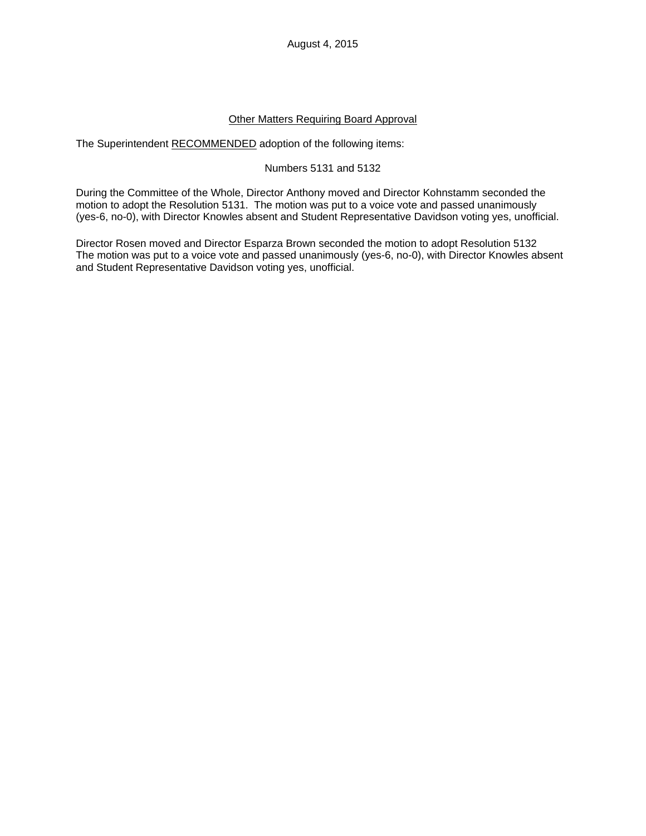### Other Matters Requiring Board Approval

The Superintendent RECOMMENDED adoption of the following items:

### Numbers 5131 and 5132

During the Committee of the Whole, Director Anthony moved and Director Kohnstamm seconded the motion to adopt the Resolution 5131. The motion was put to a voice vote and passed unanimously (yes-6, no-0), with Director Knowles absent and Student Representative Davidson voting yes, unofficial.

Director Rosen moved and Director Esparza Brown seconded the motion to adopt Resolution 5132 The motion was put to a voice vote and passed unanimously (yes-6, no-0), with Director Knowles absent and Student Representative Davidson voting yes, unofficial.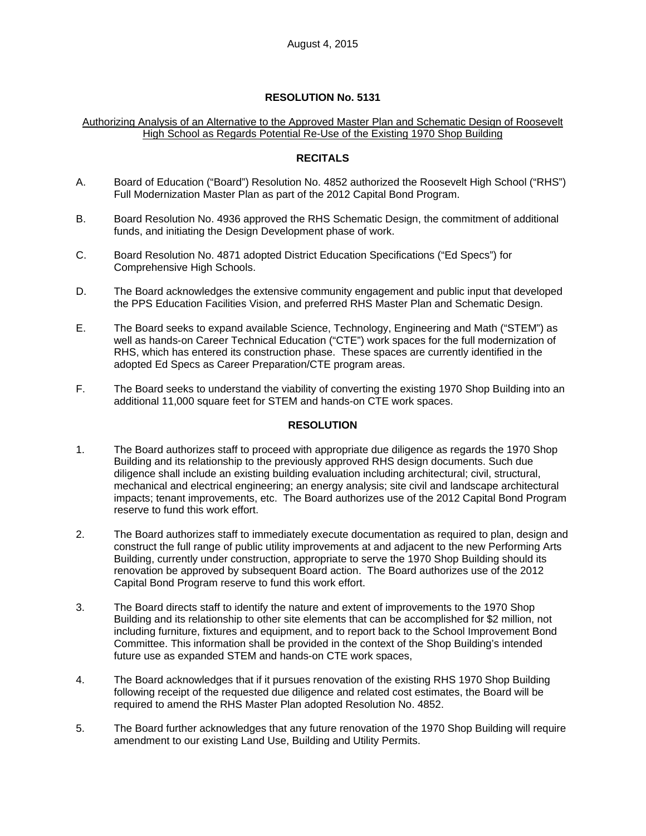### Authorizing Analysis of an Alternative to the Approved Master Plan and Schematic Design of Roosevelt High School as Regards Potential Re-Use of the Existing 1970 Shop Building

### **RECITALS**

- A. Board of Education ("Board") Resolution No. 4852 authorized the Roosevelt High School ("RHS") Full Modernization Master Plan as part of the 2012 Capital Bond Program.
- B. Board Resolution No. 4936 approved the RHS Schematic Design, the commitment of additional funds, and initiating the Design Development phase of work.
- C. Board Resolution No. 4871 adopted District Education Specifications ("Ed Specs") for Comprehensive High Schools.
- D. The Board acknowledges the extensive community engagement and public input that developed the PPS Education Facilities Vision, and preferred RHS Master Plan and Schematic Design.
- E. The Board seeks to expand available Science, Technology, Engineering and Math ("STEM") as well as hands-on Career Technical Education ("CTE") work spaces for the full modernization of RHS, which has entered its construction phase. These spaces are currently identified in the adopted Ed Specs as Career Preparation/CTE program areas.
- F. The Board seeks to understand the viability of converting the existing 1970 Shop Building into an additional 11,000 square feet for STEM and hands-on CTE work spaces.

### **RESOLUTION**

- 1. The Board authorizes staff to proceed with appropriate due diligence as regards the 1970 Shop Building and its relationship to the previously approved RHS design documents. Such due diligence shall include an existing building evaluation including architectural; civil, structural, mechanical and electrical engineering; an energy analysis; site civil and landscape architectural impacts; tenant improvements, etc. The Board authorizes use of the 2012 Capital Bond Program reserve to fund this work effort.
- 2. The Board authorizes staff to immediately execute documentation as required to plan, design and construct the full range of public utility improvements at and adjacent to the new Performing Arts Building, currently under construction, appropriate to serve the 1970 Shop Building should its renovation be approved by subsequent Board action. The Board authorizes use of the 2012 Capital Bond Program reserve to fund this work effort.
- 3. The Board directs staff to identify the nature and extent of improvements to the 1970 Shop Building and its relationship to other site elements that can be accomplished for \$2 million, not including furniture, fixtures and equipment, and to report back to the School Improvement Bond Committee. This information shall be provided in the context of the Shop Building's intended future use as expanded STEM and hands-on CTE work spaces,
- 4. The Board acknowledges that if it pursues renovation of the existing RHS 1970 Shop Building following receipt of the requested due diligence and related cost estimates, the Board will be required to amend the RHS Master Plan adopted Resolution No. 4852.
- 5. The Board further acknowledges that any future renovation of the 1970 Shop Building will require amendment to our existing Land Use, Building and Utility Permits.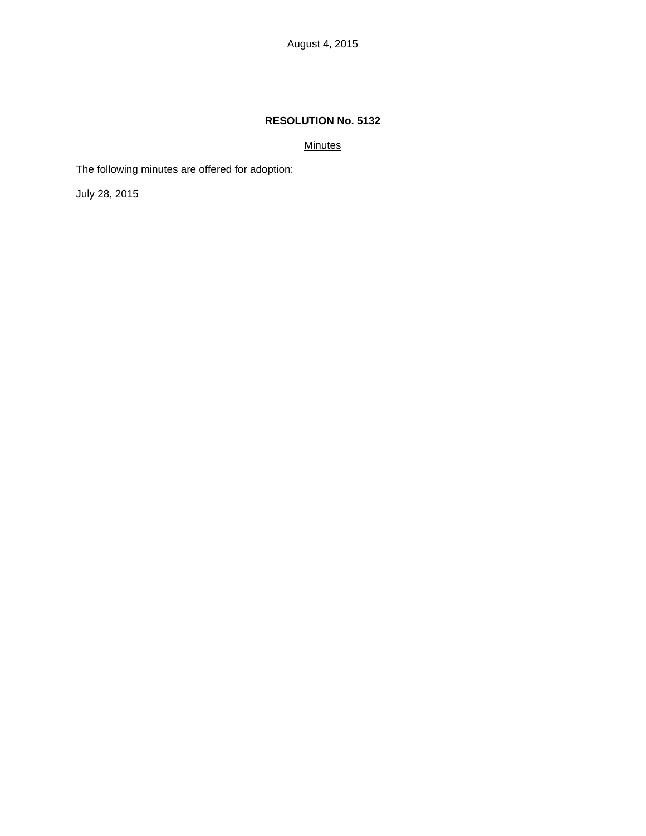### **Minutes**

The following minutes are offered for adoption:

July 28, 2015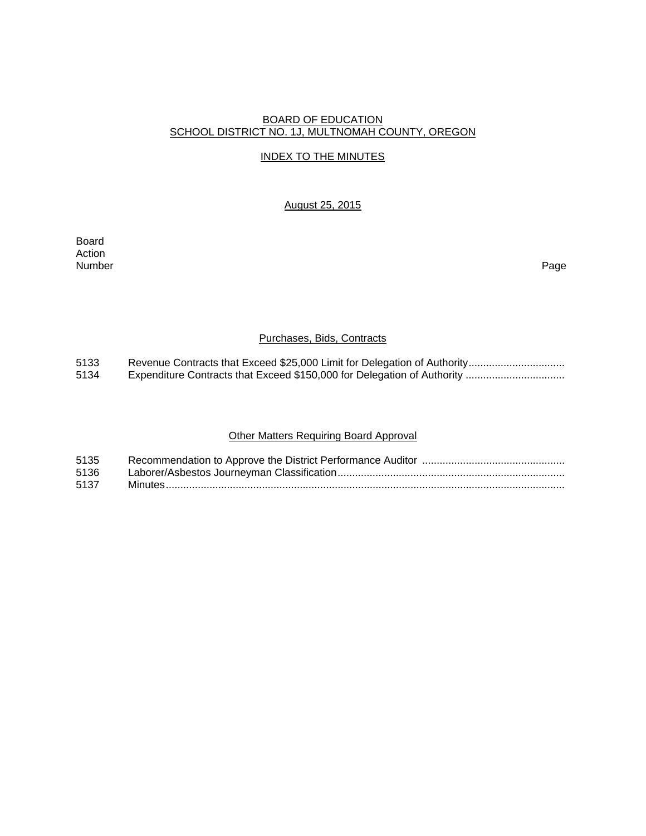### BOARD OF EDUCATION SCHOOL DISTRICT NO. 1J, MULTNOMAH COUNTY, OREGON

### INDEX TO THE MINUTES

### August 25, 2015

Board Action Number Page

### Purchases, Bids, Contracts

5133 Revenue Contracts that Exceed \$25,000 Limit for Delegation of Authority ................................<br>5134 Expenditure Contracts that Exceed \$150,000 for Delegation of Authority ................................. 5134 Expenditure Contracts that Exceed \$150,000 for Delegation of Authority ..................................

### Other Matters Requiring Board Approval

| 5135 |  |
|------|--|
| 5136 |  |
| 5137 |  |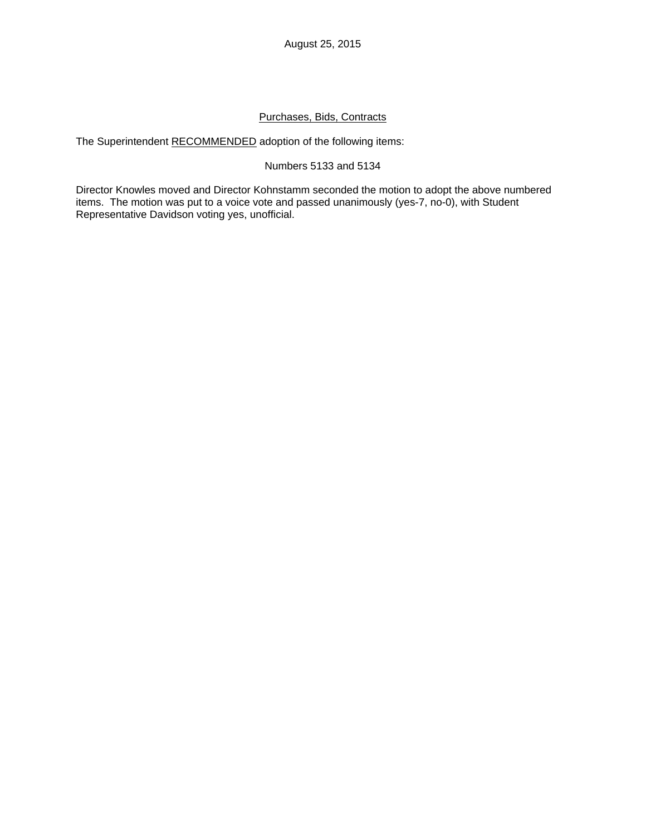### Purchases, Bids, Contracts

The Superintendent RECOMMENDED adoption of the following items:

### Numbers 5133 and 5134

Director Knowles moved and Director Kohnstamm seconded the motion to adopt the above numbered items. The motion was put to a voice vote and passed unanimously (yes-7, no-0), with Student Representative Davidson voting yes, unofficial.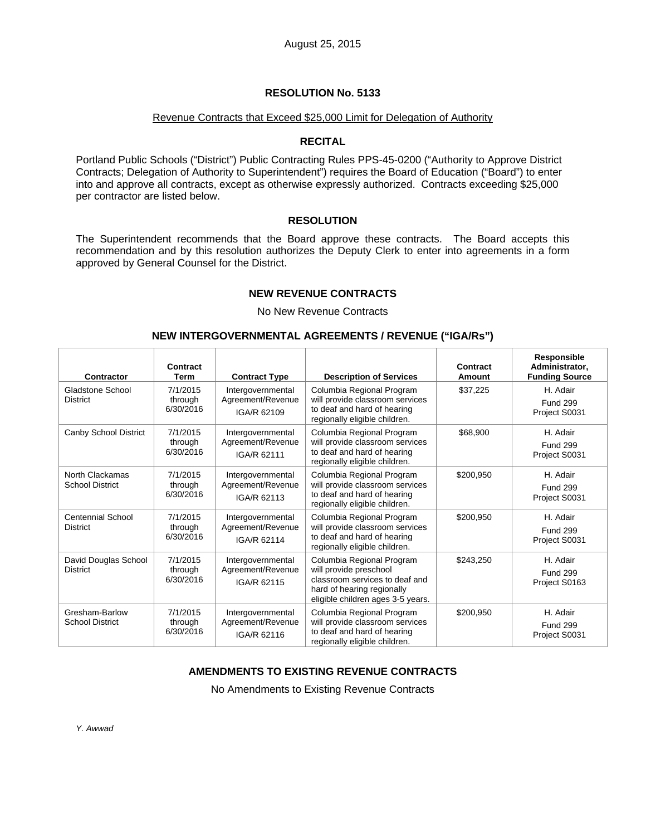#### Revenue Contracts that Exceed \$25,000 Limit for Delegation of Authority

### **RECITAL**

Portland Public Schools ("District") Public Contracting Rules PPS-45-0200 ("Authority to Approve District Contracts; Delegation of Authority to Superintendent") requires the Board of Education ("Board") to enter into and approve all contracts, except as otherwise expressly authorized. Contracts exceeding \$25,000 per contractor are listed below.

### **RESOLUTION**

The Superintendent recommends that the Board approve these contracts. The Board accepts this recommendation and by this resolution authorizes the Deputy Clerk to enter into agreements in a form approved by General Counsel for the District.

### **NEW REVENUE CONTRACTS**

No New Revenue Contracts

#### **NEW INTERGOVERNMENTAL AGREEMENTS / REVENUE ("IGA/Rs")**

| <b>Contractor</b>                         | Contract<br>Term                 | <b>Contract Type</b>                                  | <b>Description of Services</b>                                                                                                                           | Contract<br><b>Amount</b> | Responsible<br>Administrator,<br><b>Funding Source</b> |
|-------------------------------------------|----------------------------------|-------------------------------------------------------|----------------------------------------------------------------------------------------------------------------------------------------------------------|---------------------------|--------------------------------------------------------|
| Gladstone School<br><b>District</b>       | 7/1/2015<br>through<br>6/30/2016 | Intergovernmental<br>Agreement/Revenue<br>IGA/R 62109 | Columbia Regional Program<br>will provide classroom services<br>to deaf and hard of hearing<br>regionally eligible children.                             | \$37,225                  | H. Adair<br><b>Fund 299</b><br>Project S0031           |
| Canby School District                     | 7/1/2015<br>through<br>6/30/2016 | Intergovernmental<br>Agreement/Revenue<br>IGA/R 62111 | Columbia Regional Program<br>will provide classroom services<br>to deaf and hard of hearing<br>regionally eligible children.                             | \$68,900                  | H. Adair<br><b>Fund 299</b><br>Project S0031           |
| North Clackamas<br><b>School District</b> | 7/1/2015<br>through<br>6/30/2016 | Intergovernmental<br>Agreement/Revenue<br>IGA/R 62113 | Columbia Regional Program<br>will provide classroom services<br>to deaf and hard of hearing<br>regionally eligible children.                             | \$200,950                 | H. Adair<br><b>Fund 299</b><br>Project S0031           |
| Centennial School<br><b>District</b>      | 7/1/2015<br>through<br>6/30/2016 | Intergovernmental<br>Agreement/Revenue<br>IGA/R 62114 | Columbia Regional Program<br>will provide classroom services<br>to deaf and hard of hearing<br>regionally eligible children.                             | \$200,950                 | H. Adair<br><b>Fund 299</b><br>Project S0031           |
| David Douglas School<br><b>District</b>   | 7/1/2015<br>through<br>6/30/2016 | Intergovernmental<br>Agreement/Revenue<br>IGA/R 62115 | Columbia Regional Program<br>will provide preschool<br>classroom services to deaf and<br>hard of hearing regionally<br>eligible children ages 3-5 years. | \$243,250                 | H. Adair<br><b>Fund 299</b><br>Project S0163           |
| Gresham-Barlow<br><b>School District</b>  | 7/1/2015<br>through<br>6/30/2016 | Intergovernmental<br>Agreement/Revenue<br>IGA/R 62116 | Columbia Regional Program<br>will provide classroom services<br>to deaf and hard of hearing<br>regionally eligible children.                             | \$200,950                 | H. Adair<br><b>Fund 299</b><br>Project S0031           |

### **AMENDMENTS TO EXISTING REVENUE CONTRACTS**

No Amendments to Existing Revenue Contracts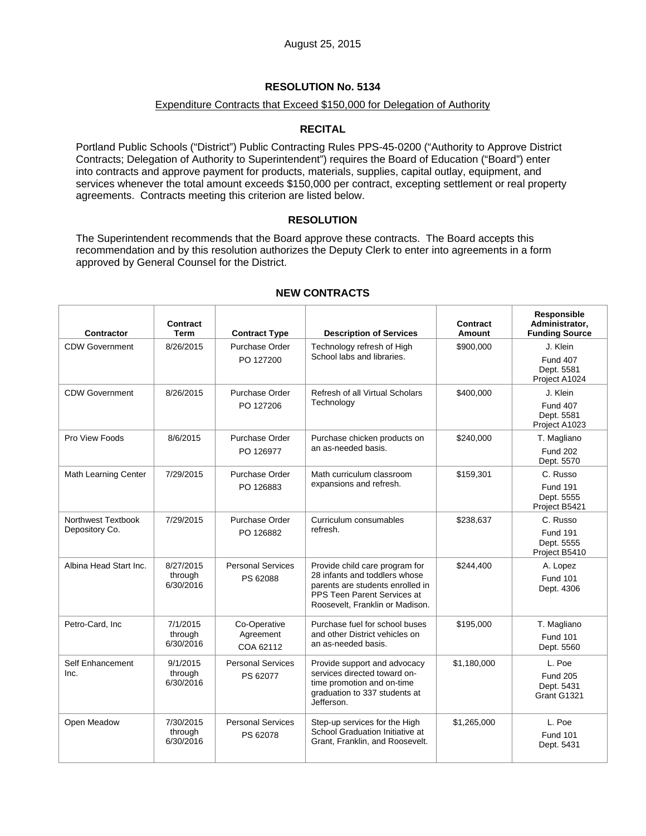### Expenditure Contracts that Exceed \$150,000 for Delegation of Authority

### **RECITAL**

Portland Public Schools ("District") Public Contracting Rules PPS-45-0200 ("Authority to Approve District Contracts; Delegation of Authority to Superintendent") requires the Board of Education ("Board") enter into contracts and approve payment for products, materials, supplies, capital outlay, equipment, and services whenever the total amount exceeds \$150,000 per contract, excepting settlement or real property agreements. Contracts meeting this criterion are listed below.

### **RESOLUTION**

The Superintendent recommends that the Board approve these contracts. The Board accepts this recommendation and by this resolution authorizes the Deputy Clerk to enter into agreements in a form approved by General Counsel for the District.

| <b>Contractor</b>                    | Contract<br>Term                  | <b>Contract Type</b>                   | <b>Description of Services</b>                                                                                                                                        | Contract<br>Amount | Responsible<br>Administrator,<br><b>Funding Source</b>     |
|--------------------------------------|-----------------------------------|----------------------------------------|-----------------------------------------------------------------------------------------------------------------------------------------------------------------------|--------------------|------------------------------------------------------------|
| <b>CDW Government</b>                | 8/26/2015                         | Purchase Order<br>PO 127200            | Technology refresh of High<br>School labs and libraries.                                                                                                              | \$900,000          | J. Klein<br><b>Fund 407</b><br>Dept. 5581<br>Project A1024 |
| <b>CDW Government</b>                | 8/26/2015                         | Purchase Order<br>PO 127206            | Refresh of all Virtual Scholars<br>Technology                                                                                                                         | \$400,000          | J. Klein<br><b>Fund 407</b><br>Dept. 5581<br>Project A1023 |
| Pro View Foods                       | 8/6/2015                          | Purchase Order<br>PO 126977            | Purchase chicken products on<br>an as-needed basis.                                                                                                                   | \$240.000          | T. Magliano<br><b>Fund 202</b><br>Dept. 5570               |
| <b>Math Learning Center</b>          | 7/29/2015                         | Purchase Order<br>PO 126883            | Math curriculum classroom<br>expansions and refresh.                                                                                                                  | \$159,301          | C. Russo<br><b>Fund 191</b><br>Dept. 5555<br>Project B5421 |
| Northwest Textbook<br>Depository Co. | 7/29/2015                         | Purchase Order<br>PO 126882            | Curriculum consumables<br>refresh.                                                                                                                                    | \$238,637          | C. Russo<br><b>Fund 191</b><br>Dept. 5555<br>Project B5410 |
| Albina Head Start Inc.               | 8/27/2015<br>through<br>6/30/2016 | <b>Personal Services</b><br>PS 62088   | Provide child care program for<br>28 infants and toddlers whose<br>parents are students enrolled in<br>PPS Teen Parent Services at<br>Roosevelt, Franklin or Madison. | \$244,400          | A. Lopez<br><b>Fund 101</b><br>Dept. 4306                  |
| Petro-Card, Inc                      | 7/1/2015<br>through<br>6/30/2016  | Co-Operative<br>Agreement<br>COA 62112 | Purchase fuel for school buses<br>and other District vehicles on<br>an as-needed basis.                                                                               | \$195,000          | T. Magliano<br><b>Fund 101</b><br>Dept. 5560               |
| Self Enhancement<br>Inc.             | 9/1/2015<br>through<br>6/30/2016  | <b>Personal Services</b><br>PS 62077   | Provide support and advocacy<br>services directed toward on-<br>time promotion and on-time<br>graduation to 337 students at<br>Jefferson.                             | \$1,180,000        | L. Poe<br><b>Fund 205</b><br>Dept. 5431<br>Grant G1321     |
| Open Meadow                          | 7/30/2015<br>through<br>6/30/2016 | <b>Personal Services</b><br>PS 62078   | Step-up services for the High<br>School Graduation Initiative at<br>Grant, Franklin, and Roosevelt.                                                                   | \$1,265,000        | L. Poe<br><b>Fund 101</b><br>Dept. 5431                    |

### **NEW CONTRACTS**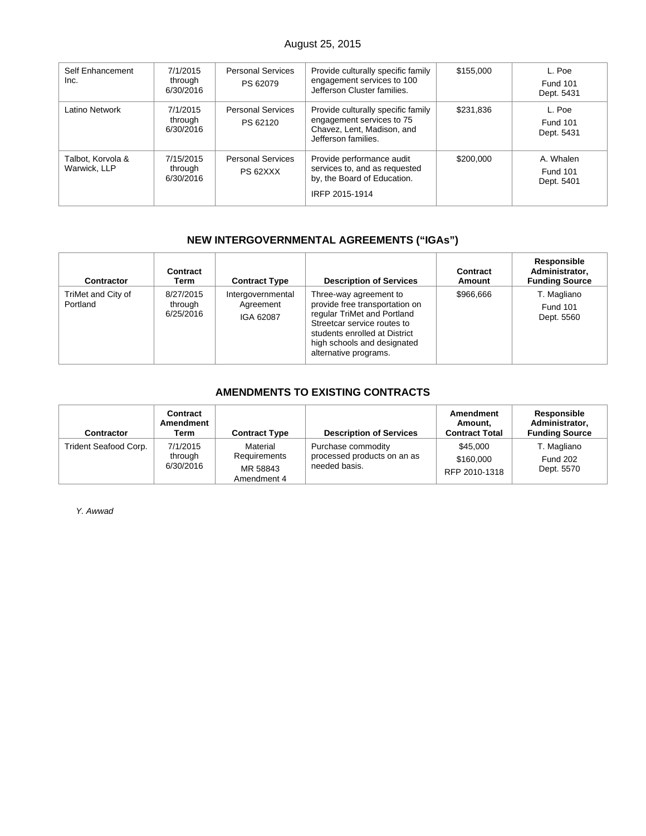# August 25, 2015

| Self Enhancement<br>Inc.          | 7/1/2015<br>through<br>6/30/2016  | <b>Personal Services</b><br>PS 62079 | Provide culturally specific family<br>engagement services to 100<br>Jefferson Cluster families.                      | \$155,000 | L. Poe<br><b>Fund 101</b><br>Dept. 5431    |
|-----------------------------------|-----------------------------------|--------------------------------------|----------------------------------------------------------------------------------------------------------------------|-----------|--------------------------------------------|
| Latino Network                    | 7/1/2015<br>through<br>6/30/2016  | <b>Personal Services</b><br>PS 62120 | Provide culturally specific family<br>engagement services to 75<br>Chavez, Lent, Madison, and<br>Jefferson families. | \$231,836 | L. Poe<br><b>Fund 101</b><br>Dept. 5431    |
| Talbot, Korvola &<br>Warwick, LLP | 7/15/2015<br>through<br>6/30/2016 | <b>Personal Services</b><br>PS 62XXX | Provide performance audit<br>services to, and as requested<br>by, the Board of Education.<br>IRFP 2015-1914          | \$200,000 | A. Whalen<br><b>Fund 101</b><br>Dept. 5401 |

# **NEW INTERGOVERNMENTAL AGREEMENTS ("IGAs")**

| <b>Contractor</b>              | Contract<br>Term                  | <b>Contract Type</b>                        | <b>Description of Services</b>                                                                                                                                                                                  | Contract<br>Amount | Responsible<br>Administrator.<br><b>Funding Source</b> |
|--------------------------------|-----------------------------------|---------------------------------------------|-----------------------------------------------------------------------------------------------------------------------------------------------------------------------------------------------------------------|--------------------|--------------------------------------------------------|
| TriMet and City of<br>Portland | 8/27/2015<br>through<br>6/25/2016 | Intergovernmental<br>Agreement<br>IGA 62087 | Three-way agreement to<br>provide free transportation on<br>regular TriMet and Portland<br>Streetcar service routes to<br>students enrolled at District<br>high schools and designated<br>alternative programs. | \$966.666          | T. Magliano<br><b>Fund 101</b><br>Dept. 5560           |

# **AMENDMENTS TO EXISTING CONTRACTS**

| Contractor            | Contract<br>Amendment<br>Term    | <b>Contract Type</b>                                | <b>Description of Services</b>                                     | Amendment<br>Amount.<br><b>Contract Total</b> | Responsible<br>Administrator,<br><b>Funding Source</b> |
|-----------------------|----------------------------------|-----------------------------------------------------|--------------------------------------------------------------------|-----------------------------------------------|--------------------------------------------------------|
| Trident Seafood Corp. | 7/1/2015<br>through<br>6/30/2016 | Material<br>Requirements<br>MR 58843<br>Amendment 4 | Purchase commodity<br>processed products on an as<br>needed basis. | \$45,000<br>\$160,000<br>RFP 2010-1318        | T. Magliano<br><b>Fund 202</b><br>Dept. 5570           |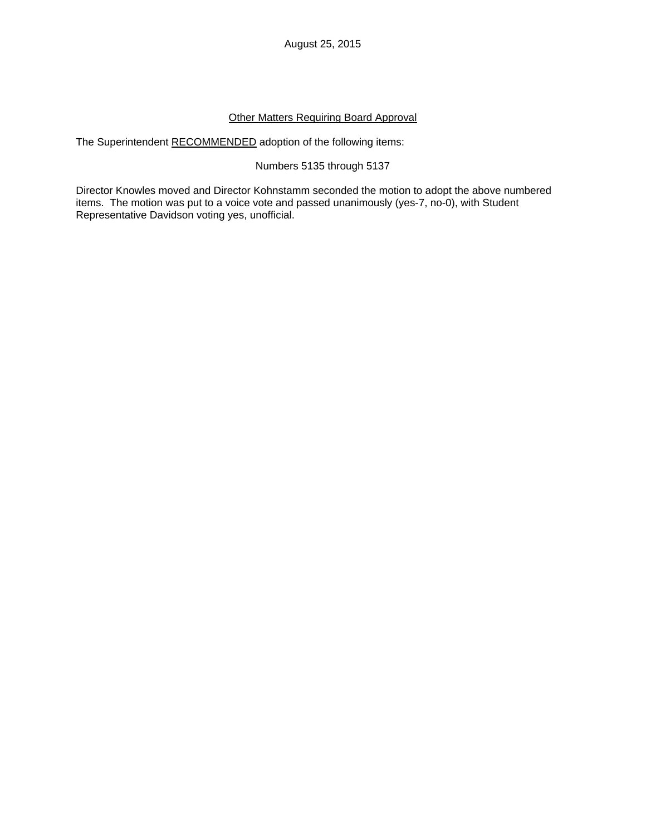### Other Matters Requiring Board Approval

The Superintendent RECOMMENDED adoption of the following items:

### Numbers 5135 through 5137

Director Knowles moved and Director Kohnstamm seconded the motion to adopt the above numbered items. The motion was put to a voice vote and passed unanimously (yes-7, no-0), with Student Representative Davidson voting yes, unofficial.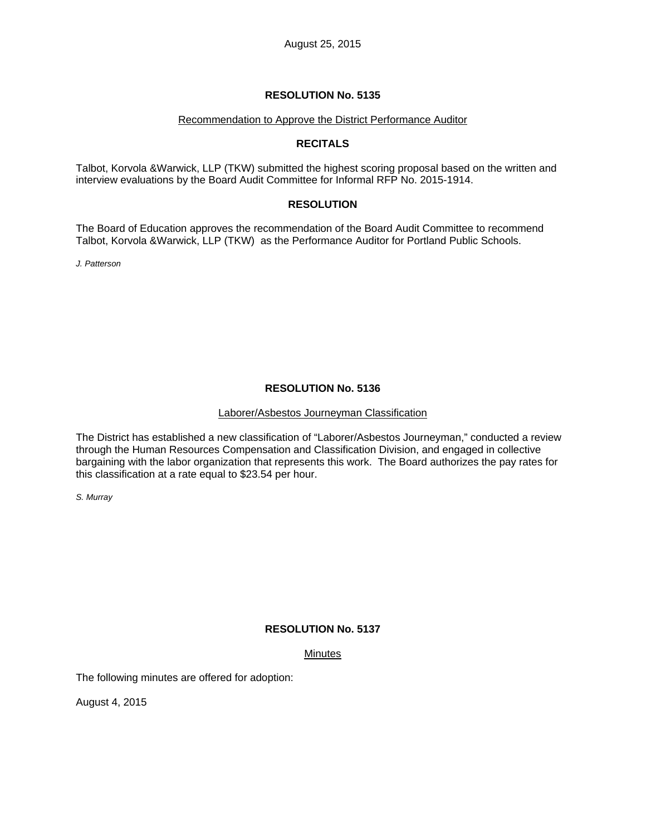### Recommendation to Approve the District Performance Auditor

### **RECITALS**

Talbot, Korvola &Warwick, LLP (TKW) submitted the highest scoring proposal based on the written and interview evaluations by the Board Audit Committee for Informal RFP No. 2015-1914.

### **RESOLUTION**

The Board of Education approves the recommendation of the Board Audit Committee to recommend Talbot, Korvola &Warwick, LLP (TKW) as the Performance Auditor for Portland Public Schools.

*J. Patterson* 

### **RESOLUTION No. 5136**

### Laborer/Asbestos Journeyman Classification

The District has established a new classification of "Laborer/Asbestos Journeyman," conducted a review through the Human Resources Compensation and Classification Division, and engaged in collective bargaining with the labor organization that represents this work. The Board authorizes the pay rates for this classification at a rate equal to \$23.54 per hour.

*S. Murray* 

# **RESOLUTION No. 5137**

### **Minutes**

The following minutes are offered for adoption:

August 4, 2015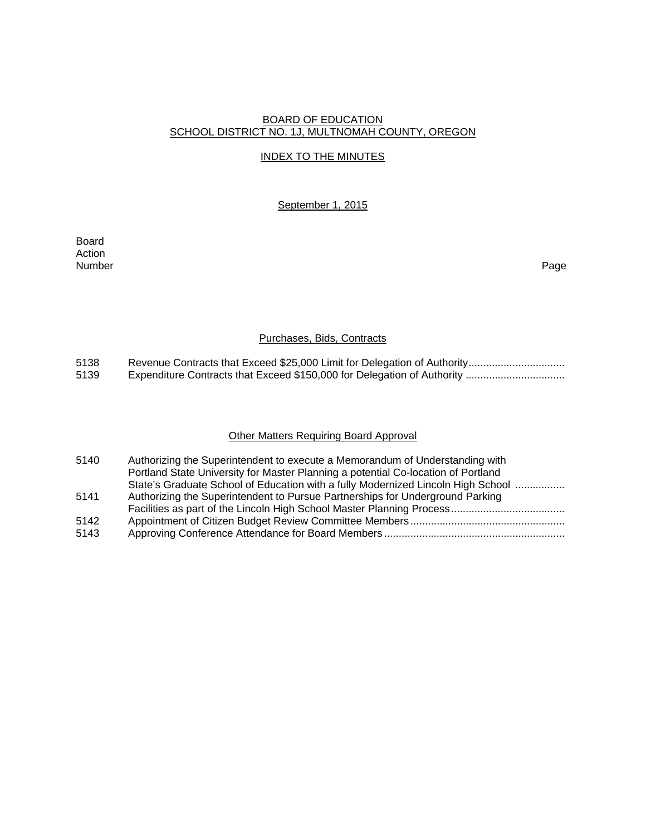### BOARD OF EDUCATION SCHOOL DISTRICT NO. 1J, MULTNOMAH COUNTY, OREGON

### INDEX TO THE MINUTES

### September 1, 2015

Board Action Number Page

### Purchases, Bids, Contracts

5138 Revenue Contracts that Exceed \$25,000 Limit for Delegation of Authority ................................<br>5139 Expenditure Contracts that Exceed \$150,000 for Delegation of Authority ................................. 5139 Expenditure Contracts that Exceed \$150,000 for Delegation of Authority ..................................

### Other Matters Requiring Board Approval

| 5140 | Authorizing the Superintendent to execute a Memorandum of Understanding with      |
|------|-----------------------------------------------------------------------------------|
|      | Portland State University for Master Planning a potential Co-location of Portland |
|      | State's Graduate School of Education with a fully Modernized Lincoln High School  |
| 5141 | Authorizing the Superintendent to Pursue Partnerships for Underground Parking     |
|      |                                                                                   |
| 5142 |                                                                                   |
| 5143 |                                                                                   |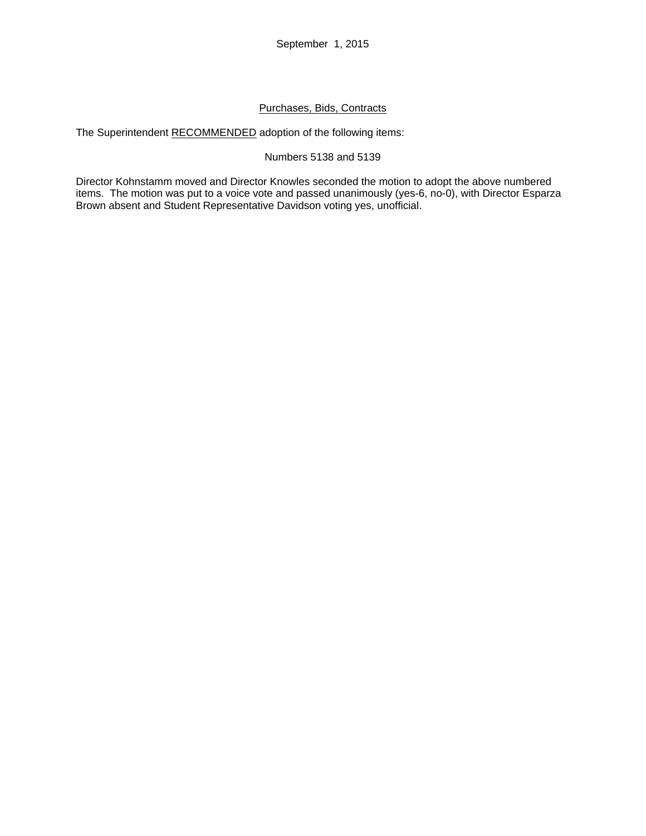# Purchases, Bids, Contracts

The Superintendent RECOMMENDED adoption of the following items:

## Numbers 5138 and 5139

Director Kohnstamm moved and Director Knowles seconded the motion to adopt the above numbered items. The motion was put to a voice vote and passed unanimously (yes-6, no-0), with Director Esparza Brown absent and Student Representative Davidson voting yes, unofficial.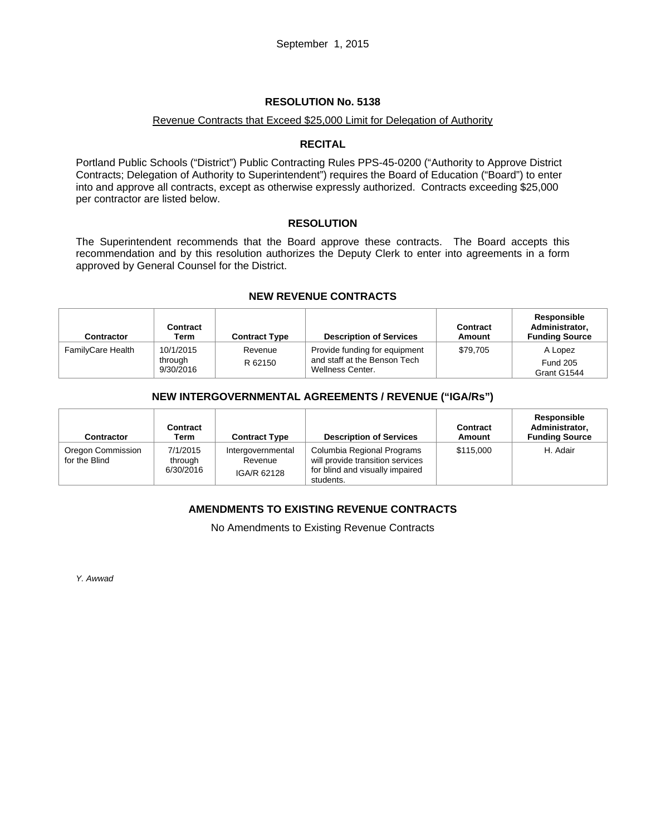#### Revenue Contracts that Exceed \$25,000 Limit for Delegation of Authority

#### **RECITAL**

Portland Public Schools ("District") Public Contracting Rules PPS-45-0200 ("Authority to Approve District Contracts; Delegation of Authority to Superintendent") requires the Board of Education ("Board") to enter into and approve all contracts, except as otherwise expressly authorized. Contracts exceeding \$25,000 per contractor are listed below.

#### **RESOLUTION**

The Superintendent recommends that the Board approve these contracts. The Board accepts this recommendation and by this resolution authorizes the Deputy Clerk to enter into agreements in a form approved by General Counsel for the District.

#### **NEW REVENUE CONTRACTS**

| <b>Contractor</b> | Contract<br>Term                  | <b>Contract Type</b> | <b>Description of Services</b>                                                    | Contract<br>Amount | Responsible<br>Administrator,<br><b>Funding Source</b> |
|-------------------|-----------------------------------|----------------------|-----------------------------------------------------------------------------------|--------------------|--------------------------------------------------------|
| FamilyCare Health | 10/1/2015<br>through<br>9/30/2016 | Revenue<br>R 62150   | Provide funding for equipment<br>and staff at the Benson Tech<br>Wellness Center. | \$79.705           | A Lopez<br><b>Fund 205</b><br>Grant G1544              |

## **NEW INTERGOVERNMENTAL AGREEMENTS / REVENUE ("IGA/Rs")**

| <b>Contractor</b>                  | Contract<br>Term                 | <b>Contract Type</b>                        | <b>Description of Services</b>                                                                                 | Contract<br>Amount | Responsible<br>Administrator.<br><b>Funding Source</b> |
|------------------------------------|----------------------------------|---------------------------------------------|----------------------------------------------------------------------------------------------------------------|--------------------|--------------------------------------------------------|
| Oregon Commission<br>for the Blind | 7/1/2015<br>through<br>6/30/2016 | Intergovernmental<br>Revenue<br>IGA/R 62128 | Columbia Regional Programs<br>will provide transition services<br>for blind and visually impaired<br>students. | \$115,000          | H. Adair                                               |

## **AMENDMENTS TO EXISTING REVENUE CONTRACTS**

No Amendments to Existing Revenue Contracts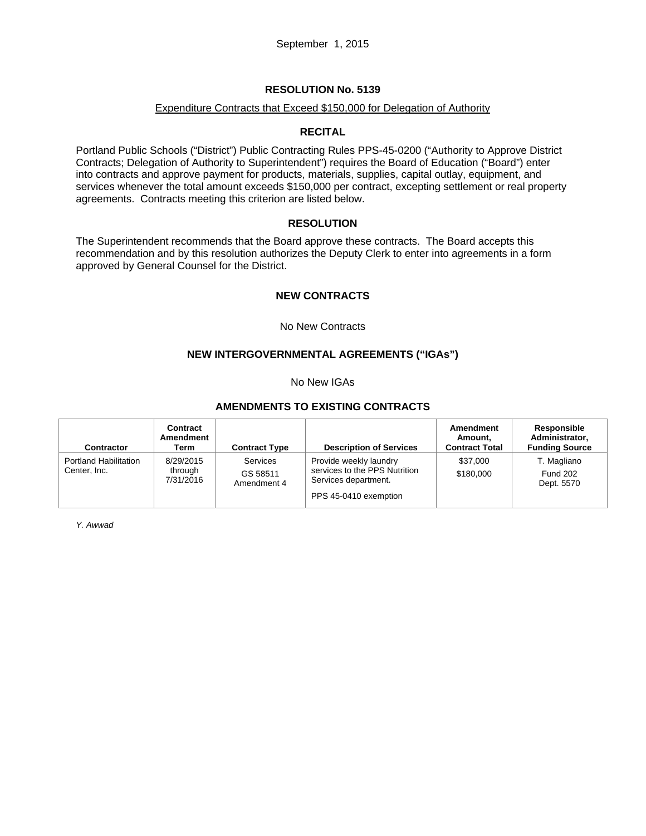#### Expenditure Contracts that Exceed \$150,000 for Delegation of Authority

## **RECITAL**

Portland Public Schools ("District") Public Contracting Rules PPS-45-0200 ("Authority to Approve District Contracts; Delegation of Authority to Superintendent") requires the Board of Education ("Board") enter into contracts and approve payment for products, materials, supplies, capital outlay, equipment, and services whenever the total amount exceeds \$150,000 per contract, excepting settlement or real property agreements. Contracts meeting this criterion are listed below.

#### **RESOLUTION**

The Superintendent recommends that the Board approve these contracts. The Board accepts this recommendation and by this resolution authorizes the Deputy Clerk to enter into agreements in a form approved by General Counsel for the District.

## **NEW CONTRACTS**

No New Contracts

# **NEW INTERGOVERNMENTAL AGREEMENTS ("IGAs")**

No New IGAs

# **AMENDMENTS TO EXISTING CONTRACTS**

| <b>Contractor</b>                            | Contract<br>Amendment<br>Term     | <b>Contract Type</b>                | <b>Description of Services</b>                                                                           | Amendment<br>Amount.<br><b>Contract Total</b> | Responsible<br>Administrator,<br><b>Funding Source</b> |
|----------------------------------------------|-----------------------------------|-------------------------------------|----------------------------------------------------------------------------------------------------------|-----------------------------------------------|--------------------------------------------------------|
| <b>Portland Habilitation</b><br>Center, Inc. | 8/29/2015<br>through<br>7/31/2016 | Services<br>GS 58511<br>Amendment 4 | Provide weekly laundry<br>services to the PPS Nutrition<br>Services department.<br>PPS 45-0410 exemption | \$37,000<br>\$180,000                         | T. Magliano<br><b>Fund 202</b><br>Dept. 5570           |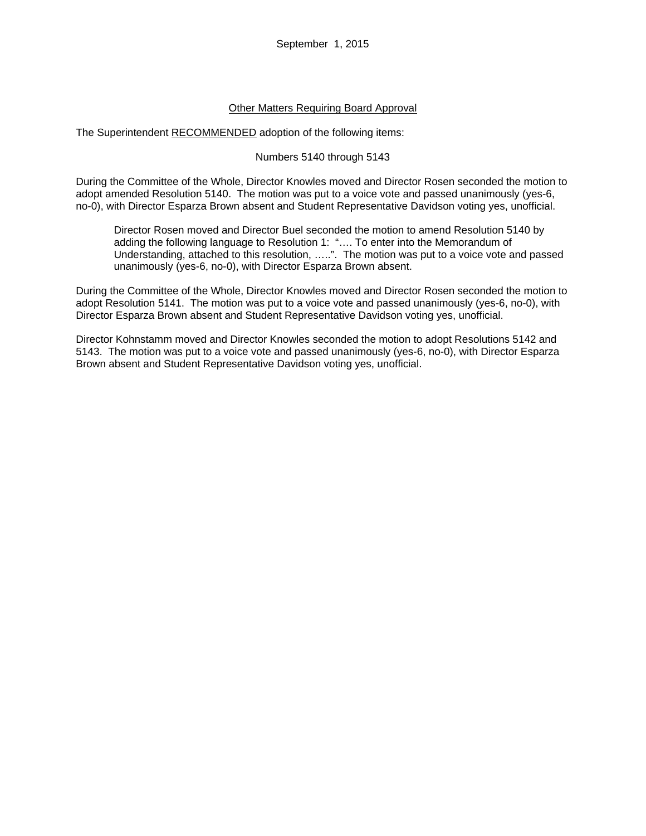## Other Matters Requiring Board Approval

The Superintendent RECOMMENDED adoption of the following items:

#### Numbers 5140 through 5143

During the Committee of the Whole, Director Knowles moved and Director Rosen seconded the motion to adopt amended Resolution 5140. The motion was put to a voice vote and passed unanimously (yes-6, no-0), with Director Esparza Brown absent and Student Representative Davidson voting yes, unofficial.

Director Rosen moved and Director Buel seconded the motion to amend Resolution 5140 by adding the following language to Resolution 1: "…. To enter into the Memorandum of Understanding, attached to this resolution, …..". The motion was put to a voice vote and passed unanimously (yes-6, no-0), with Director Esparza Brown absent.

During the Committee of the Whole, Director Knowles moved and Director Rosen seconded the motion to adopt Resolution 5141. The motion was put to a voice vote and passed unanimously (yes-6, no-0), with Director Esparza Brown absent and Student Representative Davidson voting yes, unofficial.

Director Kohnstamm moved and Director Knowles seconded the motion to adopt Resolutions 5142 and 5143. The motion was put to a voice vote and passed unanimously (yes-6, no-0), with Director Esparza Brown absent and Student Representative Davidson voting yes, unofficial.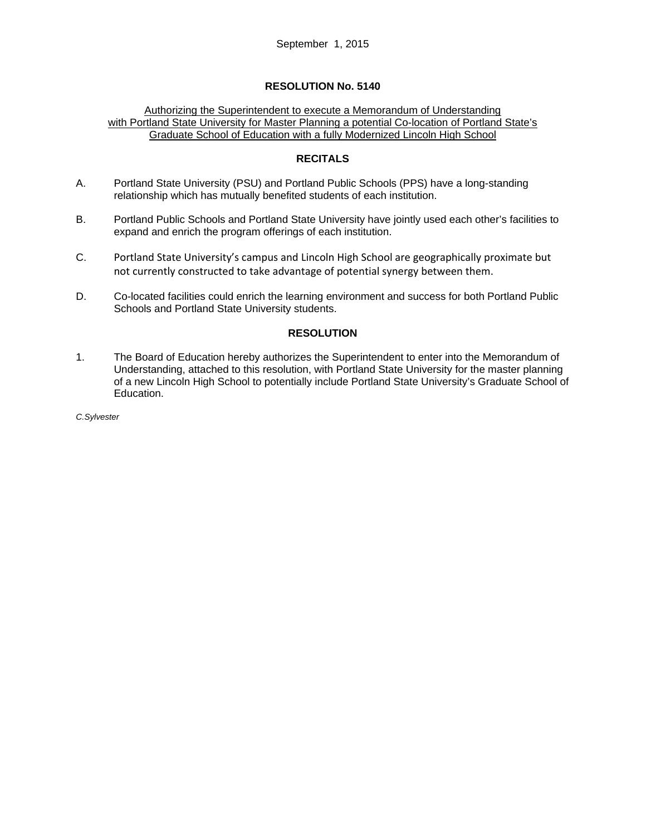#### Authorizing the Superintendent to execute a Memorandum of Understanding with Portland State University for Master Planning a potential Co-location of Portland State's Graduate School of Education with a fully Modernized Lincoln High School

## **RECITALS**

- A. Portland State University (PSU) and Portland Public Schools (PPS) have a long-standing relationship which has mutually benefited students of each institution.
- B. Portland Public Schools and Portland State University have jointly used each other's facilities to expand and enrich the program offerings of each institution.
- C. Portland State University's campus and Lincoln High School are geographically proximate but not currently constructed to take advantage of potential synergy between them.
- D. Co-located facilities could enrich the learning environment and success for both Portland Public Schools and Portland State University students.

## **RESOLUTION**

1. The Board of Education hereby authorizes the Superintendent to enter into the Memorandum of Understanding, attached to this resolution, with Portland State University for the master planning of a new Lincoln High School to potentially include Portland State University's Graduate School of Education.

*C.Sylvester*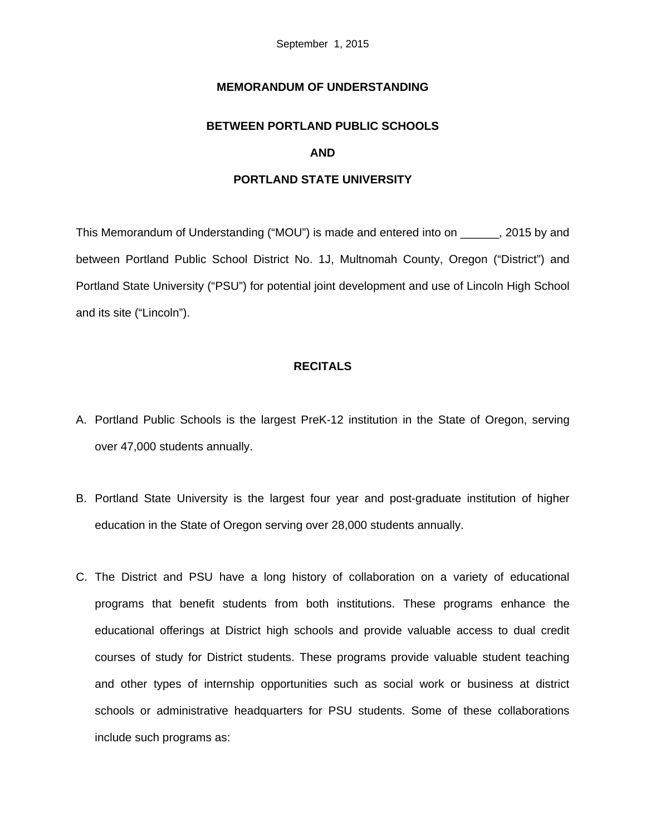# **MEMORANDUM OF UNDERSTANDING**

# **BETWEEN PORTLAND PUBLIC SCHOOLS AND**

#### **PORTLAND STATE UNIVERSITY**

This Memorandum of Understanding ("MOU") is made and entered into on \_\_\_\_\_\_, 2015 by and between Portland Public School District No. 1J, Multnomah County, Oregon ("District") and Portland State University ("PSU") for potential joint development and use of Lincoln High School and its site ("Lincoln").

# **RECITALS**

- A. Portland Public Schools is the largest PreK-12 institution in the State of Oregon, serving over 47,000 students annually.
- B. Portland State University is the largest four year and post-graduate institution of higher education in the State of Oregon serving over 28,000 students annually.
- C. The District and PSU have a long history of collaboration on a variety of educational programs that benefit students from both institutions. These programs enhance the educational offerings at District high schools and provide valuable access to dual credit courses of study for District students. These programs provide valuable student teaching and other types of internship opportunities such as social work or business at district schools or administrative headquarters for PSU students. Some of these collaborations include such programs as: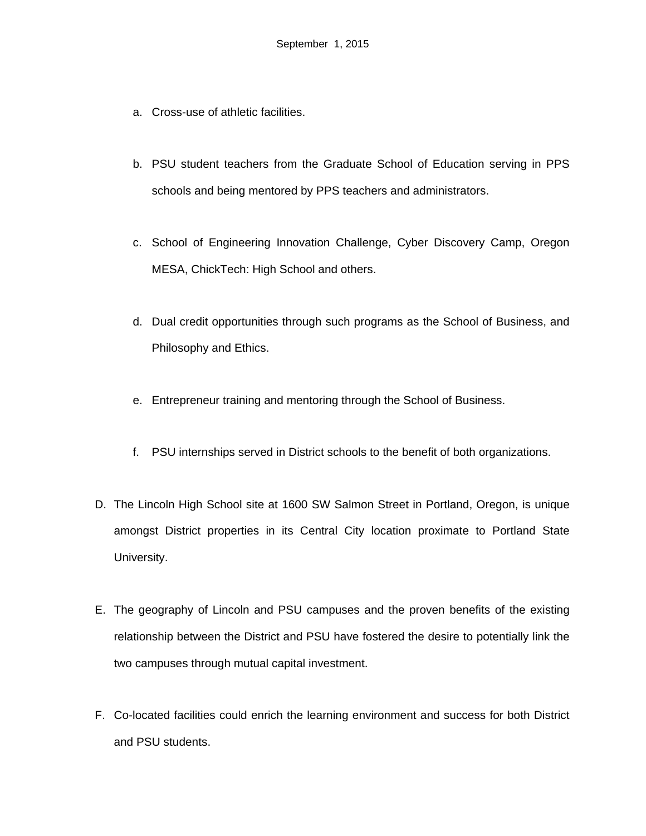- a. Cross-use of athletic facilities.
- b. PSU student teachers from the Graduate School of Education serving in PPS schools and being mentored by PPS teachers and administrators.
- c. School of Engineering Innovation Challenge, Cyber Discovery Camp, Oregon MESA, ChickTech: High School and others.
- d. Dual credit opportunities through such programs as the School of Business, and Philosophy and Ethics.
- e. Entrepreneur training and mentoring through the School of Business.
- f. PSU internships served in District schools to the benefit of both organizations.
- D. The Lincoln High School site at 1600 SW Salmon Street in Portland, Oregon, is unique amongst District properties in its Central City location proximate to Portland State University.
- E. The geography of Lincoln and PSU campuses and the proven benefits of the existing relationship between the District and PSU have fostered the desire to potentially link the two campuses through mutual capital investment.
- F. Co-located facilities could enrich the learning environment and success for both District and PSU students.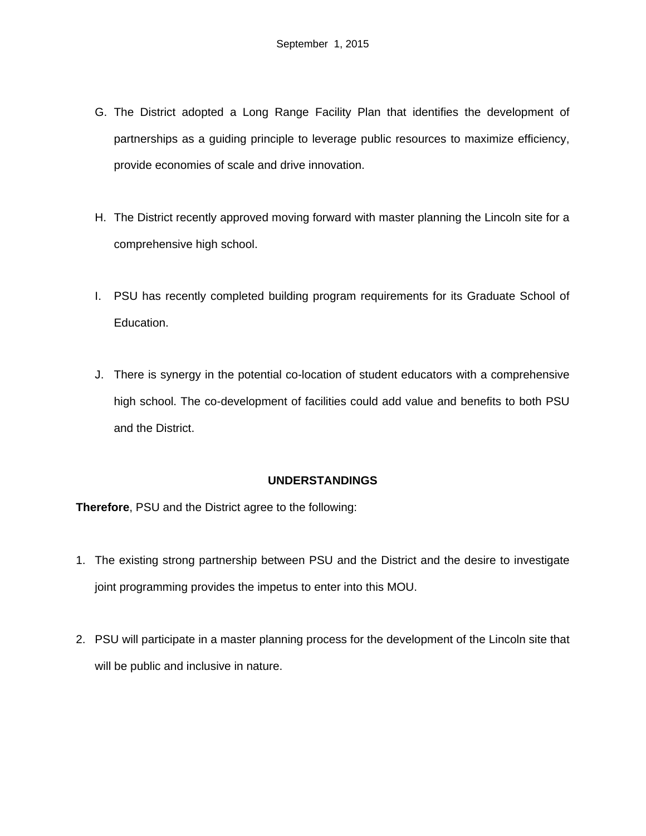- G. The District adopted a Long Range Facility Plan that identifies the development of partnerships as a guiding principle to leverage public resources to maximize efficiency, provide economies of scale and drive innovation.
- H. The District recently approved moving forward with master planning the Lincoln site for a comprehensive high school.
- I. PSU has recently completed building program requirements for its Graduate School of Education.
- J. There is synergy in the potential co-location of student educators with a comprehensive high school. The co-development of facilities could add value and benefits to both PSU and the District.

# **UNDERSTANDINGS**

**Therefore**, PSU and the District agree to the following:

- 1. The existing strong partnership between PSU and the District and the desire to investigate joint programming provides the impetus to enter into this MOU.
- 2. PSU will participate in a master planning process for the development of the Lincoln site that will be public and inclusive in nature.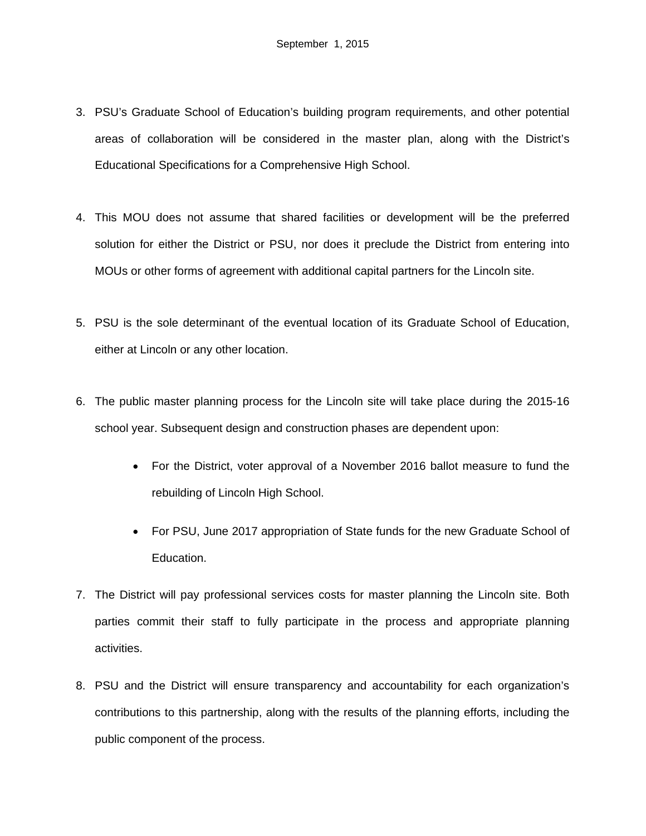- 3. PSU's Graduate School of Education's building program requirements, and other potential areas of collaboration will be considered in the master plan, along with the District's Educational Specifications for a Comprehensive High School.
- 4. This MOU does not assume that shared facilities or development will be the preferred solution for either the District or PSU, nor does it preclude the District from entering into MOUs or other forms of agreement with additional capital partners for the Lincoln site.
- 5. PSU is the sole determinant of the eventual location of its Graduate School of Education, either at Lincoln or any other location.
- 6. The public master planning process for the Lincoln site will take place during the 2015-16 school year. Subsequent design and construction phases are dependent upon:
	- For the District, voter approval of a November 2016 ballot measure to fund the rebuilding of Lincoln High School.
	- For PSU, June 2017 appropriation of State funds for the new Graduate School of Education.
- 7. The District will pay professional services costs for master planning the Lincoln site. Both parties commit their staff to fully participate in the process and appropriate planning activities.
- 8. PSU and the District will ensure transparency and accountability for each organization's contributions to this partnership, along with the results of the planning efforts, including the public component of the process.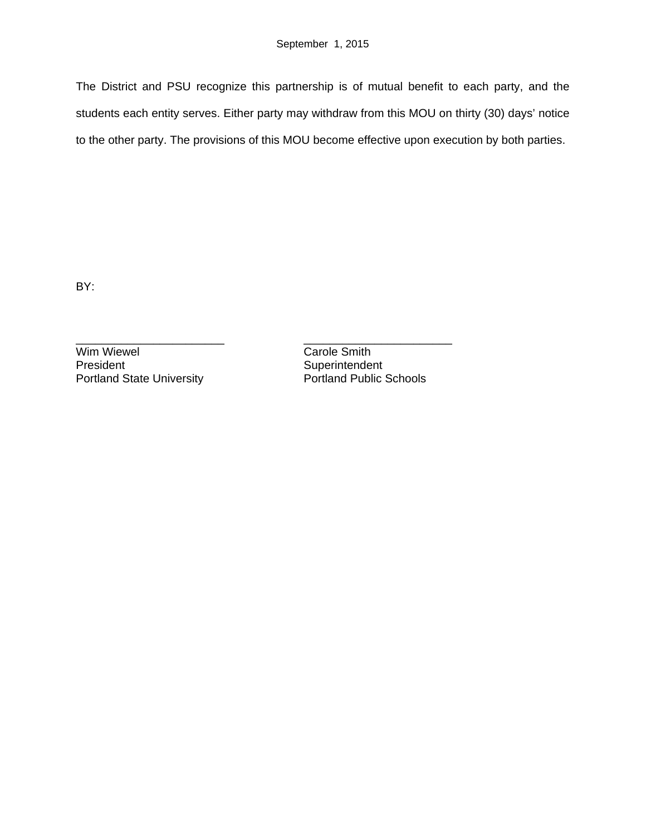The District and PSU recognize this partnership is of mutual benefit to each party, and the students each entity serves. Either party may withdraw from this MOU on thirty (30) days' notice to the other party. The provisions of this MOU become effective upon execution by both parties.

BY:

Wim Wiewel **Carole Smith**<br> **President** Carole Superintender Portland State University

\_\_\_\_\_\_\_\_\_\_\_\_\_\_\_\_\_\_\_\_\_\_\_ \_\_\_\_\_\_\_\_\_\_\_\_\_\_\_\_\_\_\_\_\_\_\_ Superintendent<br>Portland Public Schools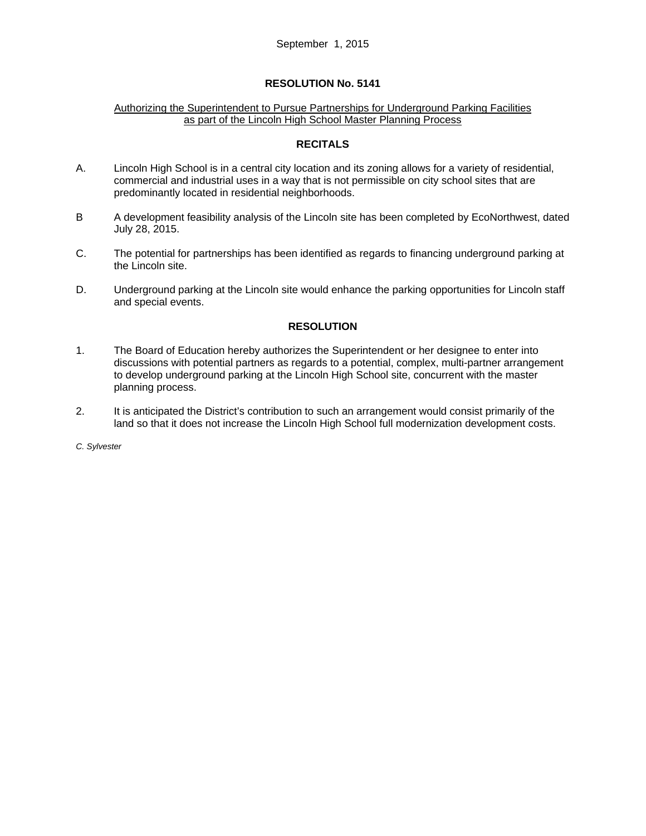#### Authorizing the Superintendent to Pursue Partnerships for Underground Parking Facilities as part of the Lincoln High School Master Planning Process

#### **RECITALS**

- A. Lincoln High School is in a central city location and its zoning allows for a variety of residential, commercial and industrial uses in a way that is not permissible on city school sites that are predominantly located in residential neighborhoods.
- B A development feasibility analysis of the Lincoln site has been completed by EcoNorthwest, dated July 28, 2015.
- C. The potential for partnerships has been identified as regards to financing underground parking at the Lincoln site.
- D. Underground parking at the Lincoln site would enhance the parking opportunities for Lincoln staff and special events.

#### **RESOLUTION**

- 1. The Board of Education hereby authorizes the Superintendent or her designee to enter into discussions with potential partners as regards to a potential, complex, multi-partner arrangement to develop underground parking at the Lincoln High School site, concurrent with the master planning process.
- 2. It is anticipated the District's contribution to such an arrangement would consist primarily of the land so that it does not increase the Lincoln High School full modernization development costs.

*C. Sylvester*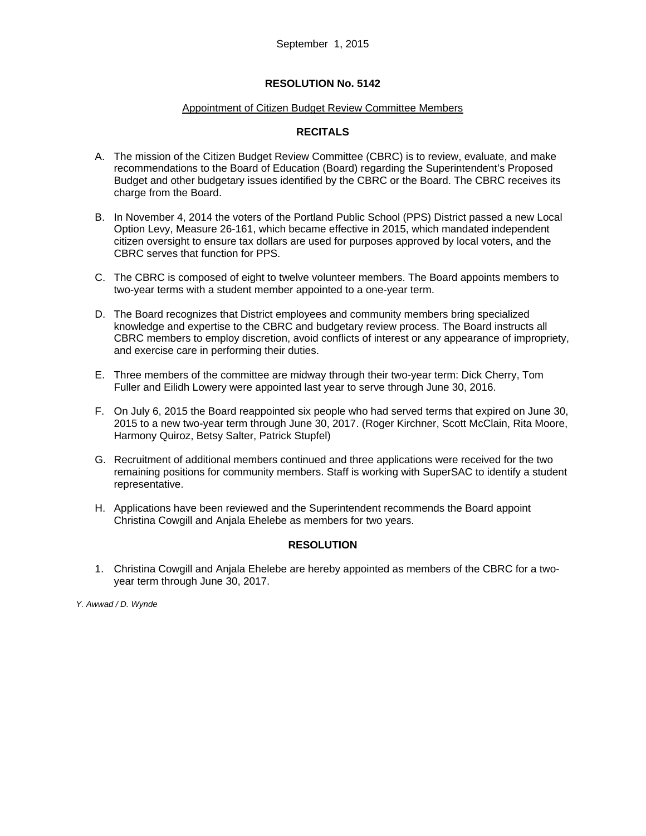#### Appointment of Citizen Budget Review Committee Members

## **RECITALS**

- A. The mission of the Citizen Budget Review Committee (CBRC) is to review, evaluate, and make recommendations to the Board of Education (Board) regarding the Superintendent's Proposed Budget and other budgetary issues identified by the CBRC or the Board. The CBRC receives its charge from the Board.
- B. In November 4, 2014 the voters of the Portland Public School (PPS) District passed a new Local Option Levy, Measure 26-161, which became effective in 2015, which mandated independent citizen oversight to ensure tax dollars are used for purposes approved by local voters, and the CBRC serves that function for PPS.
- C. The CBRC is composed of eight to twelve volunteer members. The Board appoints members to two-year terms with a student member appointed to a one-year term.
- D. The Board recognizes that District employees and community members bring specialized knowledge and expertise to the CBRC and budgetary review process. The Board instructs all CBRC members to employ discretion, avoid conflicts of interest or any appearance of impropriety, and exercise care in performing their duties.
- E. Three members of the committee are midway through their two-year term: Dick Cherry, Tom Fuller and Eilidh Lowery were appointed last year to serve through June 30, 2016.
- F. On July 6, 2015 the Board reappointed six people who had served terms that expired on June 30, 2015 to a new two-year term through June 30, 2017. (Roger Kirchner, Scott McClain, Rita Moore, Harmony Quiroz, Betsy Salter, Patrick Stupfel)
- G. Recruitment of additional members continued and three applications were received for the two remaining positions for community members. Staff is working with SuperSAC to identify a student representative.
- H. Applications have been reviewed and the Superintendent recommends the Board appoint Christina Cowgill and Anjala Ehelebe as members for two years.

## **RESOLUTION**

1. Christina Cowgill and Anjala Ehelebe are hereby appointed as members of the CBRC for a twoyear term through June 30, 2017.

*Y. Awwad / D. Wynde*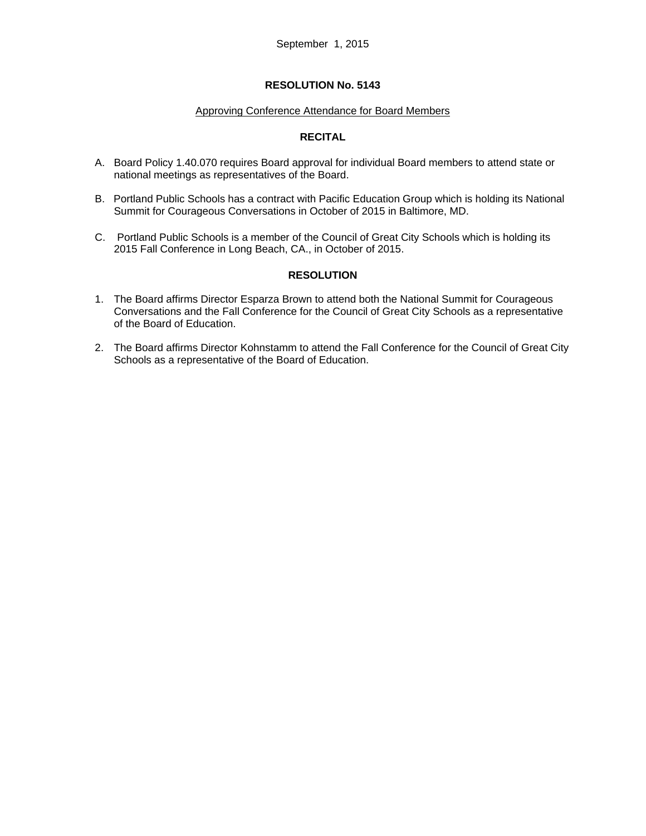#### Approving Conference Attendance for Board Members

## **RECITAL**

- A. Board Policy 1.40.070 requires Board approval for individual Board members to attend state or national meetings as representatives of the Board.
- B. Portland Public Schools has a contract with Pacific Education Group which is holding its National Summit for Courageous Conversations in October of 2015 in Baltimore, MD.
- C. Portland Public Schools is a member of the Council of Great City Schools which is holding its 2015 Fall Conference in Long Beach, CA., in October of 2015.

## **RESOLUTION**

- 1. The Board affirms Director Esparza Brown to attend both the National Summit for Courageous Conversations and the Fall Conference for the Council of Great City Schools as a representative of the Board of Education.
- 2. The Board affirms Director Kohnstamm to attend the Fall Conference for the Council of Great City Schools as a representative of the Board of Education.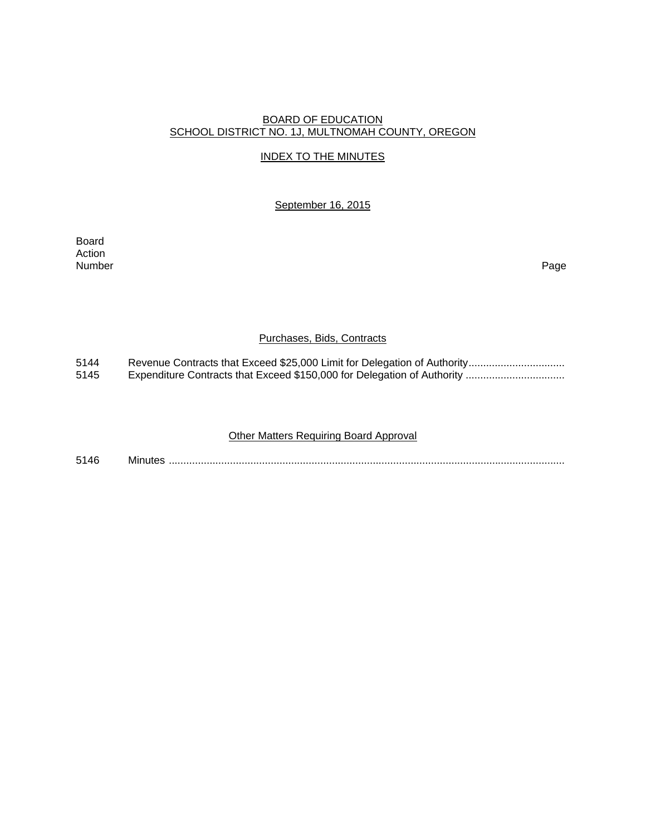#### BOARD OF EDUCATION SCHOOL DISTRICT NO. 1J, MULTNOMAH COUNTY, OREGON

## INDEX TO THE MINUTES

September 16, 2015

Board Action Number Page

#### Purchases, Bids, Contracts

5144 Revenue Contracts that Exceed \$25,000 Limit for Delegation of Authority ................................<br>5145 Expenditure Contracts that Exceed \$150,000 for Delegation of Authority ................................. 5145 Expenditure Contracts that Exceed \$150,000 for Delegation of Authority ..................................

## Other Matters Requiring Board Approval

5146 Minutes ........................................................................................................................................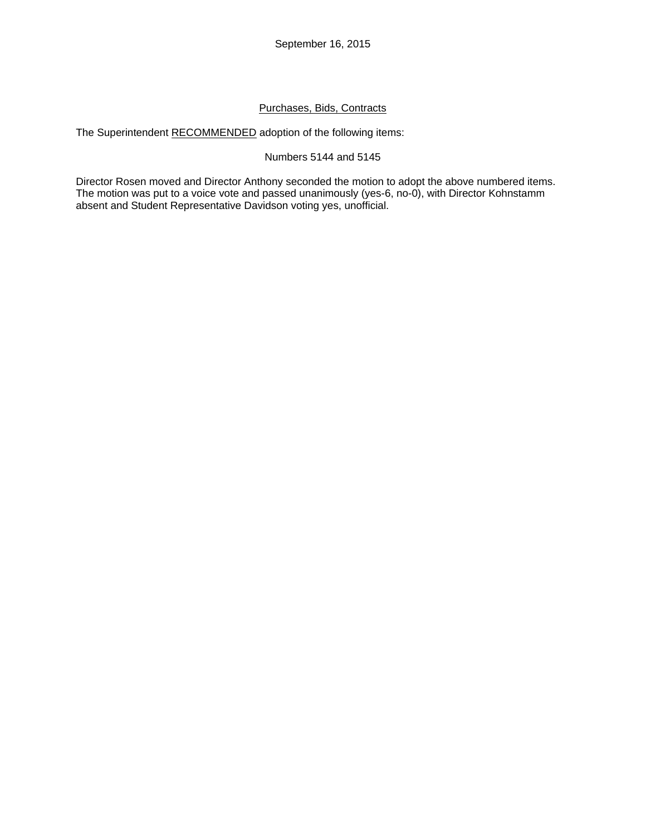# Purchases, Bids, Contracts

The Superintendent RECOMMENDED adoption of the following items:

## Numbers 5144 and 5145

Director Rosen moved and Director Anthony seconded the motion to adopt the above numbered items. The motion was put to a voice vote and passed unanimously (yes-6, no-0), with Director Kohnstamm absent and Student Representative Davidson voting yes, unofficial.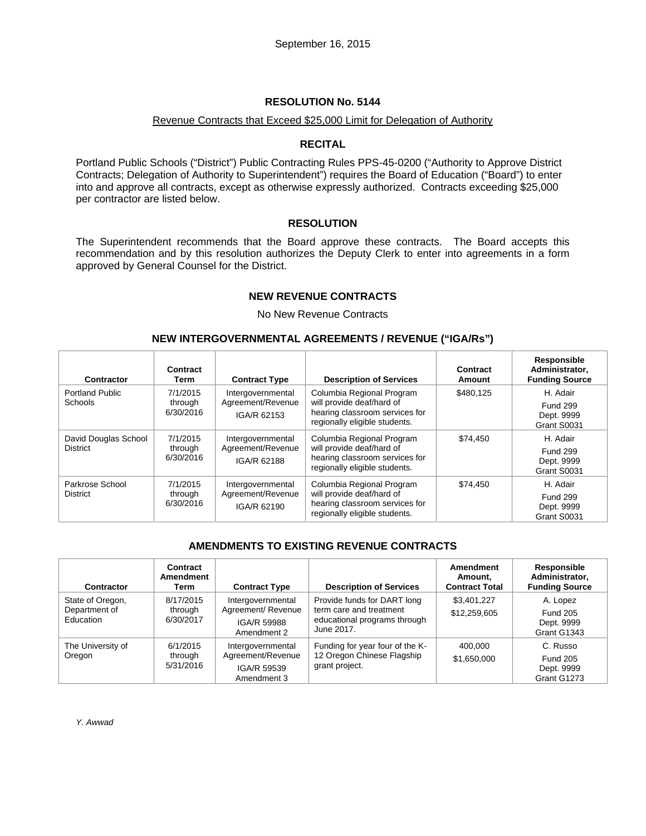#### Revenue Contracts that Exceed \$25,000 Limit for Delegation of Authority

#### **RECITAL**

Portland Public Schools ("District") Public Contracting Rules PPS-45-0200 ("Authority to Approve District Contracts; Delegation of Authority to Superintendent") requires the Board of Education ("Board") to enter into and approve all contracts, except as otherwise expressly authorized. Contracts exceeding \$25,000 per contractor are listed below.

#### **RESOLUTION**

The Superintendent recommends that the Board approve these contracts. The Board accepts this recommendation and by this resolution authorizes the Deputy Clerk to enter into agreements in a form approved by General Counsel for the District.

#### **NEW REVENUE CONTRACTS**

#### No New Revenue Contracts

#### **NEW INTERGOVERNMENTAL AGREEMENTS / REVENUE ("IGA/Rs")**

| Contractor                              | Contract<br>Term                 | <b>Contract Type</b>                                  | <b>Description of Services</b>                                                                                            | Contract<br>Amount | Responsible<br>Administrator,<br><b>Funding Source</b>   |
|-----------------------------------------|----------------------------------|-------------------------------------------------------|---------------------------------------------------------------------------------------------------------------------------|--------------------|----------------------------------------------------------|
| <b>Portland Public</b><br>Schools       | 7/1/2015<br>through<br>6/30/2016 | Intergovernmental<br>Agreement/Revenue<br>IGA/R 62153 | Columbia Regional Program<br>will provide deaf/hard of<br>hearing classroom services for<br>regionally eligible students. | \$480.125          | H. Adair<br><b>Fund 299</b><br>Dept. 9999<br>Grant S0031 |
| David Douglas School<br><b>District</b> | 7/1/2015<br>through<br>6/30/2016 | Intergovernmental<br>Agreement/Revenue<br>IGA/R 62188 | Columbia Regional Program<br>will provide deaf/hard of<br>hearing classroom services for<br>regionally eligible students. | \$74.450           | H. Adair<br><b>Fund 299</b><br>Dept. 9999<br>Grant S0031 |
| Parkrose School<br><b>District</b>      | 7/1/2015<br>through<br>6/30/2016 | Intergovernmental<br>Agreement/Revenue<br>IGA/R 62190 | Columbia Regional Program<br>will provide deaf/hard of<br>hearing classroom services for<br>regionally eligible students. | \$74.450           | H. Adair<br><b>Fund 299</b><br>Dept. 9999<br>Grant S0031 |

# **AMENDMENTS TO EXISTING REVENUE CONTRACTS**

| Contractor                                     | Contract<br>Amendment<br>Term     | <b>Contract Type</b>                                                  | <b>Description of Services</b>                                                                       | <b>Amendment</b><br>Amount,<br><b>Contract Total</b> | Responsible<br>Administrator,<br><b>Funding Source</b>   |
|------------------------------------------------|-----------------------------------|-----------------------------------------------------------------------|------------------------------------------------------------------------------------------------------|------------------------------------------------------|----------------------------------------------------------|
| State of Oregon,<br>Department of<br>Education | 8/17/2015<br>through<br>6/30/2017 | Intergovernmental<br>Agreement/ Revenue<br>IGA/R 59988<br>Amendment 2 | Provide funds for DART long<br>term care and treatment<br>educational programs through<br>June 2017. | \$3,401,227<br>\$12,259,605                          | A. Lopez<br><b>Fund 205</b><br>Dept. 9999<br>Grant G1343 |
| The University of<br>Oregon                    | 6/1/2015<br>through<br>5/31/2016  | Intergovernmental<br>Agreement/Revenue<br>IGA/R 59539<br>Amendment 3  | Funding for year four of the K-<br>12 Oregon Chinese Flagship<br>grant project.                      | 400.000<br>\$1,650,000                               | C. Russo<br><b>Fund 205</b><br>Dept. 9999<br>Grant G1273 |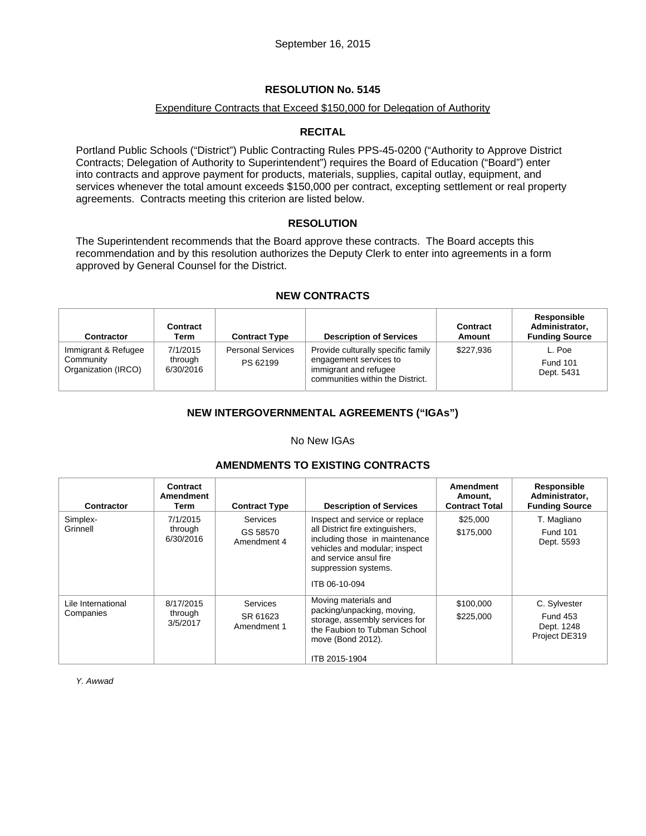#### Expenditure Contracts that Exceed \$150,000 for Delegation of Authority

## **RECITAL**

Portland Public Schools ("District") Public Contracting Rules PPS-45-0200 ("Authority to Approve District Contracts; Delegation of Authority to Superintendent") requires the Board of Education ("Board") enter into contracts and approve payment for products, materials, supplies, capital outlay, equipment, and services whenever the total amount exceeds \$150,000 per contract, excepting settlement or real property agreements. Contracts meeting this criterion are listed below.

#### **RESOLUTION**

The Superintendent recommends that the Board approve these contracts. The Board accepts this recommendation and by this resolution authorizes the Deputy Clerk to enter into agreements in a form approved by General Counsel for the District.

## **NEW CONTRACTS**

| <b>Contractor</b>                                       | <b>Contract</b><br>Term          | <b>Contract Type</b>                 | <b>Description of Services</b>                                                                                            | <b>Contract</b><br>Amount | Responsible<br>Administrator,<br><b>Funding Source</b> |
|---------------------------------------------------------|----------------------------------|--------------------------------------|---------------------------------------------------------------------------------------------------------------------------|---------------------------|--------------------------------------------------------|
| Immigrant & Refugee<br>Community<br>Organization (IRCO) | 7/1/2015<br>through<br>6/30/2016 | <b>Personal Services</b><br>PS 62199 | Provide culturally specific family<br>engagement services to<br>immigrant and refugee<br>communities within the District. | \$227,936                 | L. Poe<br><b>Fund 101</b><br>Dept. 5431                |

# **NEW INTERGOVERNMENTAL AGREEMENTS ("IGAs")**

### No New IGAs

## **AMENDMENTS TO EXISTING CONTRACTS**

| Contractor                      | Contract<br>Amendment<br>Term    | <b>Contract Type</b>                       | <b>Description of Services</b>                                                                                                                                                                           | Amendment<br>Amount.<br><b>Contract Total</b> | Responsible<br>Administrator,<br><b>Funding Source</b>         |
|---------------------------------|----------------------------------|--------------------------------------------|----------------------------------------------------------------------------------------------------------------------------------------------------------------------------------------------------------|-----------------------------------------------|----------------------------------------------------------------|
| Simplex-<br>Grinnell            | 7/1/2015<br>through<br>6/30/2016 | <b>Services</b><br>GS 58570<br>Amendment 4 | Inspect and service or replace<br>all District fire extinguishers,<br>including those in maintenance<br>vehicles and modular; inspect<br>and service ansul fire<br>suppression systems.<br>ITB 06-10-094 | \$25,000<br>\$175,000                         | T. Magliano<br><b>Fund 101</b><br>Dept. 5593                   |
| Lile International<br>Companies | 8/17/2015<br>through<br>3/5/2017 | <b>Services</b><br>SR 61623<br>Amendment 1 | Moving materials and<br>packing/unpacking, moving,<br>storage, assembly services for<br>the Faubion to Tubman School<br>move (Bond 2012).<br>ITB 2015-1904                                               | \$100,000<br>\$225,000                        | C. Sylvester<br><b>Fund 453</b><br>Dept. 1248<br>Project DE319 |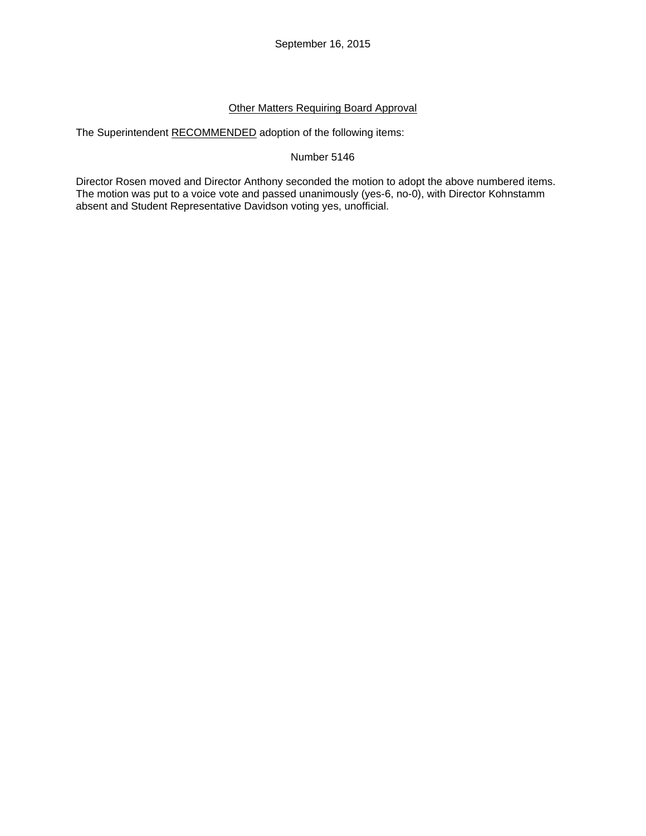# Other Matters Requiring Board Approval

The Superintendent RECOMMENDED adoption of the following items:

Number 5146

Director Rosen moved and Director Anthony seconded the motion to adopt the above numbered items. The motion was put to a voice vote and passed unanimously (yes-6, no-0), with Director Kohnstamm absent and Student Representative Davidson voting yes, unofficial.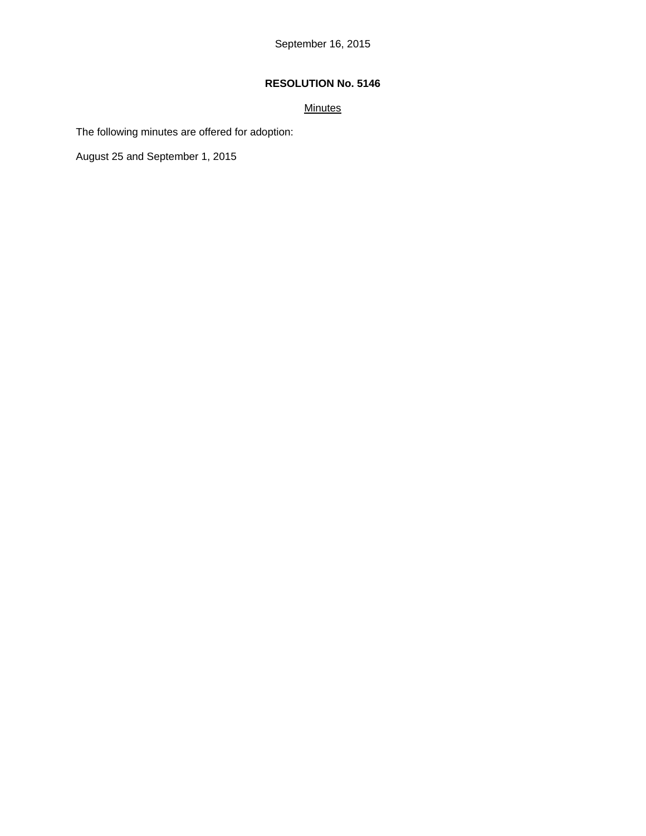# **Minutes**

The following minutes are offered for adoption:

August 25 and September 1, 2015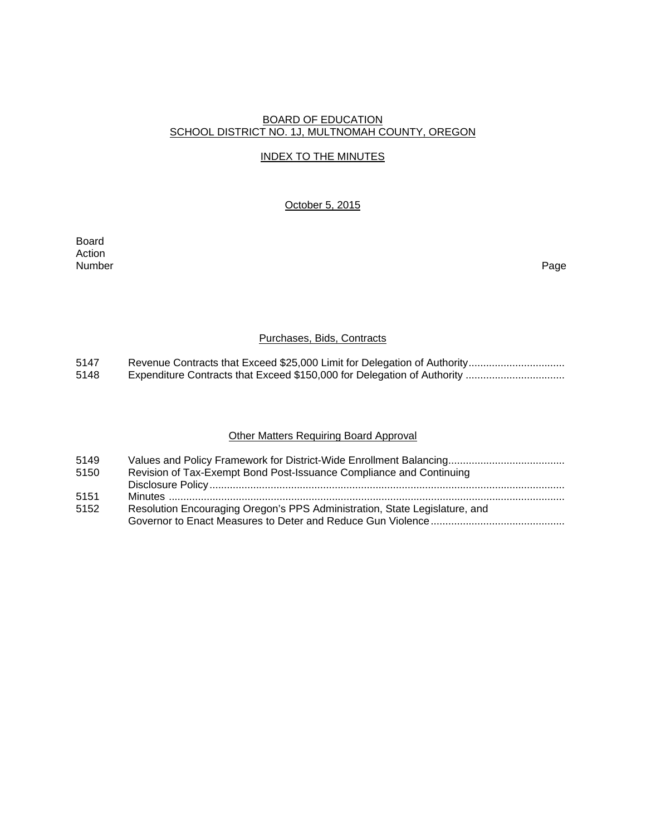### BOARD OF EDUCATION SCHOOL DISTRICT NO. 1J, MULTNOMAH COUNTY, OREGON

# INDEX TO THE MINUTES

### October 5, 2015

Board Action Number Page

#### Purchases, Bids, Contracts

5147 Revenue Contracts that Exceed \$25,000 Limit for Delegation of Authority ................................<br>5148 Expenditure Contracts that Exceed \$150,000 for Delegation of Authority ................................. 5148 Expenditure Contracts that Exceed \$150,000 for Delegation of Authority ..................................

## Other Matters Requiring Board Approval

| 5149 |                                                                            |
|------|----------------------------------------------------------------------------|
| 5150 | Revision of Tax-Exempt Bond Post-Issuance Compliance and Continuing        |
|      |                                                                            |
| 5151 |                                                                            |
| 5152 | Resolution Encouraging Oregon's PPS Administration, State Legislature, and |
|      |                                                                            |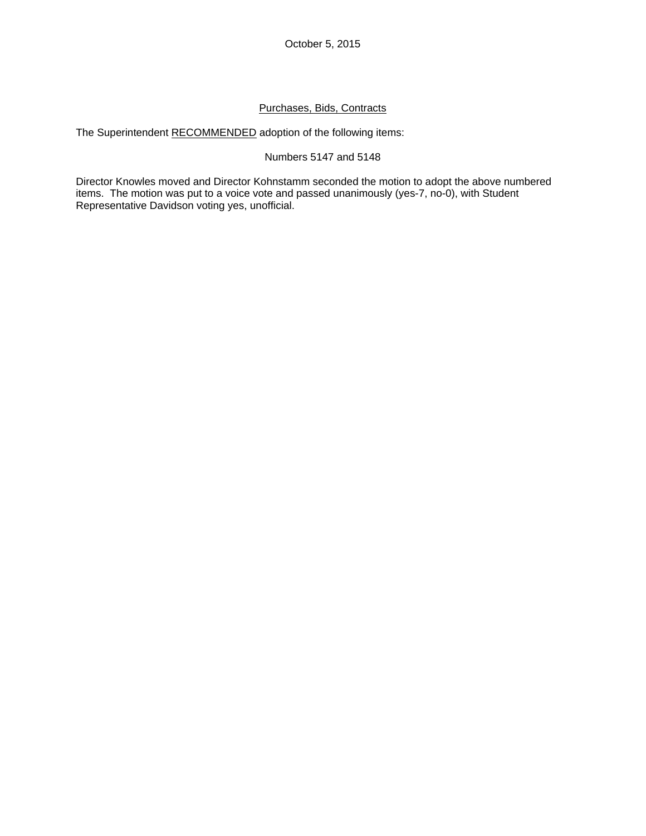October 5, 2015

## Purchases, Bids, Contracts

The Superintendent RECOMMENDED adoption of the following items:

## Numbers 5147 and 5148

Director Knowles moved and Director Kohnstamm seconded the motion to adopt the above numbered items. The motion was put to a voice vote and passed unanimously (yes-7, no-0), with Student Representative Davidson voting yes, unofficial.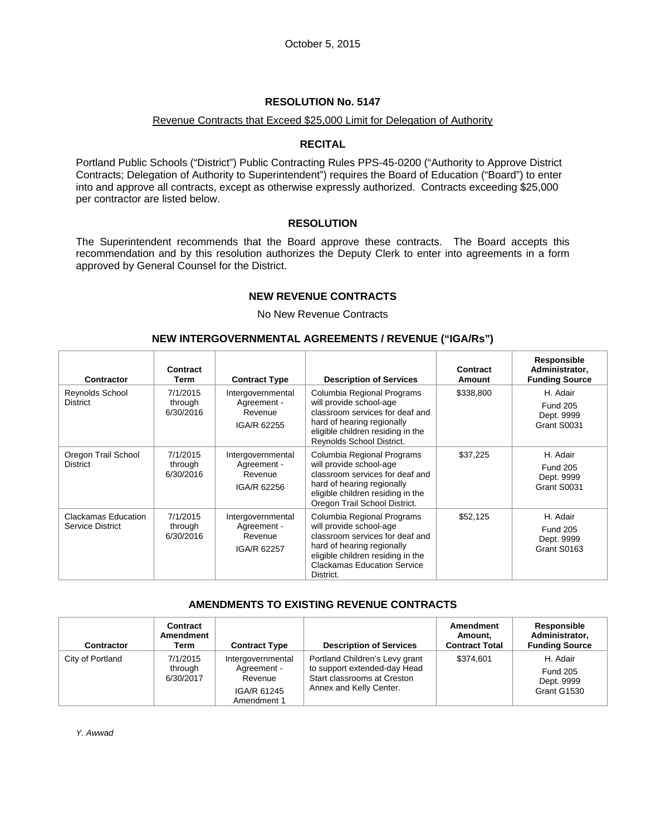#### Revenue Contracts that Exceed \$25,000 Limit for Delegation of Authority

## **RECITAL**

Portland Public Schools ("District") Public Contracting Rules PPS-45-0200 ("Authority to Approve District Contracts; Delegation of Authority to Superintendent") requires the Board of Education ("Board") to enter into and approve all contracts, except as otherwise expressly authorized. Contracts exceeding \$25,000 per contractor are listed below.

#### **RESOLUTION**

The Superintendent recommends that the Board approve these contracts. The Board accepts this recommendation and by this resolution authorizes the Deputy Clerk to enter into agreements in a form approved by General Counsel for the District.

## **NEW REVENUE CONTRACTS**

#### No New Revenue Contracts

#### **NEW INTERGOVERNMENTAL AGREEMENTS / REVENUE ("IGA/Rs")**

| <b>Contractor</b>                              | Contract<br>Term                 | <b>Contract Type</b>                                       | <b>Description of Services</b>                                                                                                                                                                                 | Contract<br>Amount | Responsible<br>Administrator,<br><b>Funding Source</b>   |
|------------------------------------------------|----------------------------------|------------------------------------------------------------|----------------------------------------------------------------------------------------------------------------------------------------------------------------------------------------------------------------|--------------------|----------------------------------------------------------|
| Reynolds School<br><b>District</b>             | 7/1/2015<br>through<br>6/30/2016 | Intergovernmental<br>Agreement -<br>Revenue<br>IGA/R 62255 | Columbia Regional Programs<br>will provide school-age<br>classroom services for deaf and<br>hard of hearing regionally<br>eligible children residing in the<br>Reynolds School District.                       | \$338,800          | H. Adair<br><b>Fund 205</b><br>Dept. 9999<br>Grant S0031 |
| Oregon Trail School<br><b>District</b>         | 7/1/2015<br>through<br>6/30/2016 | Intergovernmental<br>Agreement -<br>Revenue<br>IGA/R 62256 | Columbia Regional Programs<br>will provide school-age<br>classroom services for deaf and<br>hard of hearing regionally<br>eligible children residing in the<br>Oregon Trail School District.                   | \$37,225           | H. Adair<br><b>Fund 205</b><br>Dept. 9999<br>Grant S0031 |
| Clackamas Education<br><b>Service District</b> | 7/1/2015<br>through<br>6/30/2016 | Intergovernmental<br>Agreement -<br>Revenue<br>IGA/R 62257 | Columbia Regional Programs<br>will provide school-age<br>classroom services for deaf and<br>hard of hearing regionally<br>eligible children residing in the<br><b>Clackamas Education Service</b><br>District. | \$52,125           | H. Adair<br><b>Fund 205</b><br>Dept. 9999<br>Grant S0163 |

# **AMENDMENTS TO EXISTING REVENUE CONTRACTS**

| <b>Contractor</b> | Contract<br>Amendment<br>Term    | <b>Contract Type</b>                                                      | <b>Description of Services</b>                                                                                           | Amendment<br>Amount,<br><b>Contract Total</b> | Responsible<br>Administrator,<br><b>Funding Source</b>   |
|-------------------|----------------------------------|---------------------------------------------------------------------------|--------------------------------------------------------------------------------------------------------------------------|-----------------------------------------------|----------------------------------------------------------|
| City of Portland  | 7/1/2015<br>through<br>6/30/2017 | Intergovernmental<br>Agreement -<br>Revenue<br>IGA/R 61245<br>Amendment 1 | Portland Children's Levy grant<br>to support extended-day Head<br>Start classrooms at Creston<br>Annex and Kelly Center. | \$374,601                                     | H. Adair<br><b>Fund 205</b><br>Dept. 9999<br>Grant G1530 |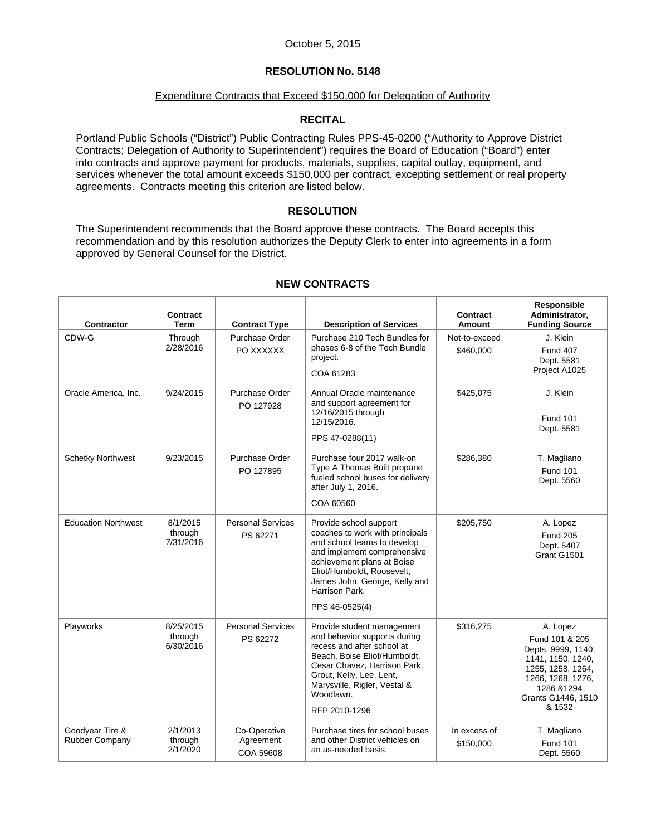#### Expenditure Contracts that Exceed \$150,000 for Delegation of Authority

## **RECITAL**

Portland Public Schools ("District") Public Contracting Rules PPS-45-0200 ("Authority to Approve District Contracts; Delegation of Authority to Superintendent") requires the Board of Education ("Board") enter into contracts and approve payment for products, materials, supplies, capital outlay, equipment, and services whenever the total amount exceeds \$150,000 per contract, excepting settlement or real property agreements. Contracts meeting this criterion are listed below.

#### **RESOLUTION**

The Superintendent recommends that the Board approve these contracts. The Board accepts this recommendation and by this resolution authorizes the Deputy Clerk to enter into agreements in a form approved by General Counsel for the District.

| Contractor                               | Contract<br>Term                  | <b>Contract Type</b>                   | <b>Description of Services</b>                                                                                                                                                                                                                     | Contract<br>Amount        | Responsible<br>Administrator,<br><b>Funding Source</b>                                                                                                         |
|------------------------------------------|-----------------------------------|----------------------------------------|----------------------------------------------------------------------------------------------------------------------------------------------------------------------------------------------------------------------------------------------------|---------------------------|----------------------------------------------------------------------------------------------------------------------------------------------------------------|
| CDW-G                                    | Through                           | Purchase Order                         | Purchase 210 Tech Bundles for                                                                                                                                                                                                                      | Not-to-exceed             | J. Klein                                                                                                                                                       |
|                                          | 2/28/2016                         | PO XXXXXX                              | phases 6-8 of the Tech Bundle<br>project.                                                                                                                                                                                                          | \$460,000                 | <b>Fund 407</b><br>Dept. 5581                                                                                                                                  |
|                                          |                                   |                                        | COA 61283                                                                                                                                                                                                                                          |                           | Project A1025                                                                                                                                                  |
| Oracle America, Inc.                     | 9/24/2015                         | Purchase Order<br>PO 127928            | Annual Oracle maintenance<br>and support agreement for<br>12/16/2015 through<br>12/15/2016.<br>PPS 47-0288(11)                                                                                                                                     | \$425,075                 | J. Klein<br><b>Fund 101</b><br>Dept. 5581                                                                                                                      |
| <b>Schetky Northwest</b>                 | 9/23/2015                         | <b>Purchase Order</b><br>PO 127895     | Purchase four 2017 walk-on<br>Type A Thomas Built propane<br>fueled school buses for delivery<br>after July 1, 2016.                                                                                                                               | \$286,380                 | T. Magliano<br><b>Fund 101</b><br>Dept. 5560                                                                                                                   |
|                                          |                                   |                                        | COA 60560                                                                                                                                                                                                                                          |                           |                                                                                                                                                                |
| <b>Education Northwest</b>               | 8/1/2015<br>through<br>7/31/2016  | <b>Personal Services</b><br>PS 62271   | Provide school support<br>coaches to work with principals<br>and school teams to develop<br>and implement comprehensive<br>achievement plans at Boise<br>Eliot/Humboldt, Roosevelt,<br>James John, George, Kelly and<br>Harrison Park.             | \$205,750                 | A. Lopez<br><b>Fund 205</b><br>Dept. 5407<br>Grant G1501                                                                                                       |
|                                          |                                   |                                        | PPS 46-0525(4)                                                                                                                                                                                                                                     |                           |                                                                                                                                                                |
| Playworks                                | 8/25/2015<br>through<br>6/30/2016 | <b>Personal Services</b><br>PS 62272   | Provide student management<br>and behavior supports during<br>recess and after school at<br>Beach, Boise Eliot/Humboldt,<br>Cesar Chavez, Harrison Park,<br>Grout, Kelly, Lee, Lent,<br>Marysville, Rigler, Vestal &<br>Woodlawn.<br>RFP 2010-1296 | \$316,275                 | A. Lopez<br>Fund 101 & 205<br>Depts. 9999, 1140,<br>1141, 1150, 1240,<br>1255, 1258, 1264,<br>1266, 1268, 1276,<br>1286 & 1294<br>Grants G1446, 1510<br>& 1532 |
| Goodyear Tire &<br><b>Rubber Company</b> | 2/1/2013<br>through<br>2/1/2020   | Co-Operative<br>Agreement<br>COA 59608 | Purchase tires for school buses<br>and other District vehicles on<br>an as-needed basis.                                                                                                                                                           | In excess of<br>\$150,000 | T. Magliano<br><b>Fund 101</b><br>Dept. 5560                                                                                                                   |

# **NEW CONTRACTS**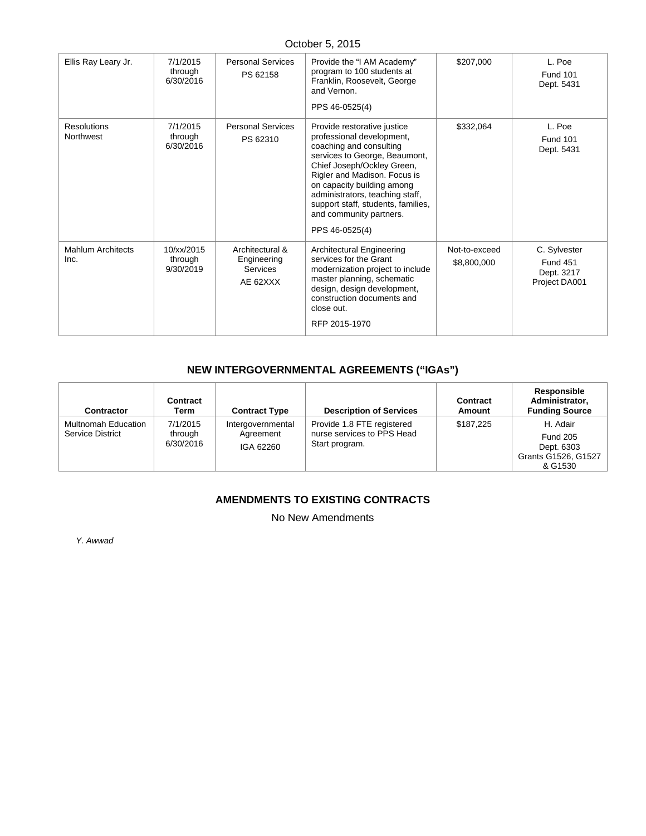# October 5, 2015

| Ellis Ray Leary Jr.              | 7/1/2015<br>through<br>6/30/2016   | <b>Personal Services</b><br>PS 62158                   | Provide the "I AM Academy"<br>program to 100 students at<br>Franklin, Roosevelt, George<br>and Vernon.<br>PPS 46-0525(4)                                                                                                                                                                                                               | \$207,000                    | L. Poe<br><b>Fund 101</b><br>Dept. 5431                        |
|----------------------------------|------------------------------------|--------------------------------------------------------|----------------------------------------------------------------------------------------------------------------------------------------------------------------------------------------------------------------------------------------------------------------------------------------------------------------------------------------|------------------------------|----------------------------------------------------------------|
| <b>Resolutions</b><br>Northwest  | 7/1/2015<br>through<br>6/30/2016   | <b>Personal Services</b><br>PS 62310                   | Provide restorative justice<br>professional development,<br>coaching and consulting<br>services to George, Beaumont,<br>Chief Joseph/Ockley Green,<br>Rigler and Madison. Focus is<br>on capacity building among<br>administrators, teaching staff,<br>support staff, students, families,<br>and community partners.<br>PPS 46-0525(4) | \$332,064                    | L. Poe<br><b>Fund 101</b><br>Dept. 5431                        |
| <b>Mahlum Architects</b><br>Inc. | 10/xx/2015<br>through<br>9/30/2019 | Architectural &<br>Engineering<br>Services<br>AE 62XXX | Architectural Engineering<br>services for the Grant<br>modernization project to include<br>master planning, schematic<br>design, design development,<br>construction documents and<br>close out.<br>RFP 2015-1970                                                                                                                      | Not-to-exceed<br>\$8,800,000 | C. Sylvester<br><b>Fund 451</b><br>Dept. 3217<br>Project DA001 |

# **NEW INTERGOVERNMENTAL AGREEMENTS ("IGAs")**

| Contractor                              | Contract<br>Term                 | <b>Contract Type</b>                        | <b>Description of Services</b>                                             | Contract<br>Amount | Responsible<br>Administrator,<br><b>Funding Source</b>                      |
|-----------------------------------------|----------------------------------|---------------------------------------------|----------------------------------------------------------------------------|--------------------|-----------------------------------------------------------------------------|
| Multnomah Education<br>Service District | 7/1/2015<br>through<br>6/30/2016 | Intergovernmental<br>Agreement<br>IGA 62260 | Provide 1.8 FTE registered<br>nurse services to PPS Head<br>Start program. | \$187.225          | H. Adair<br><b>Fund 205</b><br>Dept. 6303<br>Grants G1526, G1527<br>& G1530 |

# **AMENDMENTS TO EXISTING CONTRACTS**

No New Amendments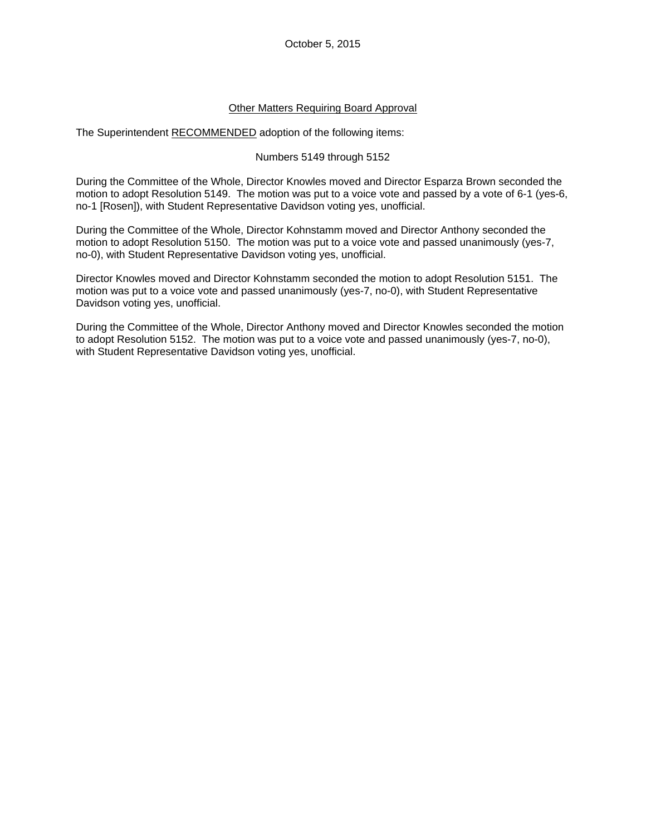## Other Matters Requiring Board Approval

The Superintendent RECOMMENDED adoption of the following items:

### Numbers 5149 through 5152

During the Committee of the Whole, Director Knowles moved and Director Esparza Brown seconded the motion to adopt Resolution 5149. The motion was put to a voice vote and passed by a vote of 6-1 (yes-6, no-1 [Rosen]), with Student Representative Davidson voting yes, unofficial.

During the Committee of the Whole, Director Kohnstamm moved and Director Anthony seconded the motion to adopt Resolution 5150. The motion was put to a voice vote and passed unanimously (yes-7, no-0), with Student Representative Davidson voting yes, unofficial.

Director Knowles moved and Director Kohnstamm seconded the motion to adopt Resolution 5151. The motion was put to a voice vote and passed unanimously (yes-7, no-0), with Student Representative Davidson voting yes, unofficial.

During the Committee of the Whole, Director Anthony moved and Director Knowles seconded the motion to adopt Resolution 5152. The motion was put to a voice vote and passed unanimously (yes-7, no-0), with Student Representative Davidson voting yes, unofficial.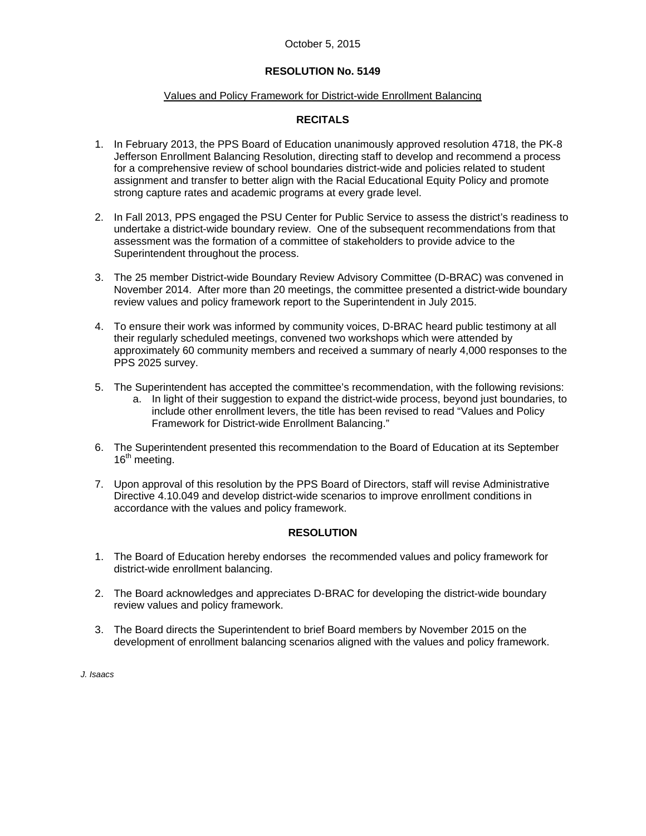### October 5, 2015

## **RESOLUTION No. 5149**

#### Values and Policy Framework for District-wide Enrollment Balancing

#### **RECITALS**

- 1. In February 2013, the PPS Board of Education unanimously approved resolution 4718, the PK-8 Jefferson Enrollment Balancing Resolution, directing staff to develop and recommend a process for a comprehensive review of school boundaries district-wide and policies related to student assignment and transfer to better align with the Racial Educational Equity Policy and promote strong capture rates and academic programs at every grade level.
- 2. In Fall 2013, PPS engaged the PSU Center for Public Service to assess the district's readiness to undertake a district-wide boundary review. One of the subsequent recommendations from that assessment was the formation of a committee of stakeholders to provide advice to the Superintendent throughout the process.
- 3. The 25 member District-wide Boundary Review Advisory Committee (D-BRAC) was convened in November 2014. After more than 20 meetings, the committee presented a district-wide boundary review values and policy framework report to the Superintendent in July 2015.
- 4. To ensure their work was informed by community voices, D-BRAC heard public testimony at all their regularly scheduled meetings, convened two workshops which were attended by approximately 60 community members and received a summary of nearly 4,000 responses to the PPS 2025 survey.
- 5. The Superintendent has accepted the committee's recommendation, with the following revisions:
	- a. In light of their suggestion to expand the district-wide process, beyond just boundaries, to include other enrollment levers, the title has been revised to read "Values and Policy Framework for District-wide Enrollment Balancing."
- 6. The Superintendent presented this recommendation to the Board of Education at its September 16<sup>th</sup> meeting.
- 7. Upon approval of this resolution by the PPS Board of Directors, staff will revise Administrative Directive 4.10.049 and develop district-wide scenarios to improve enrollment conditions in accordance with the values and policy framework.

#### **RESOLUTION**

- 1. The Board of Education hereby endorses the recommended values and policy framework for district-wide enrollment balancing.
- 2. The Board acknowledges and appreciates D-BRAC for developing the district-wide boundary review values and policy framework.
- 3. The Board directs the Superintendent to brief Board members by November 2015 on the development of enrollment balancing scenarios aligned with the values and policy framework.

*J. Isaacs*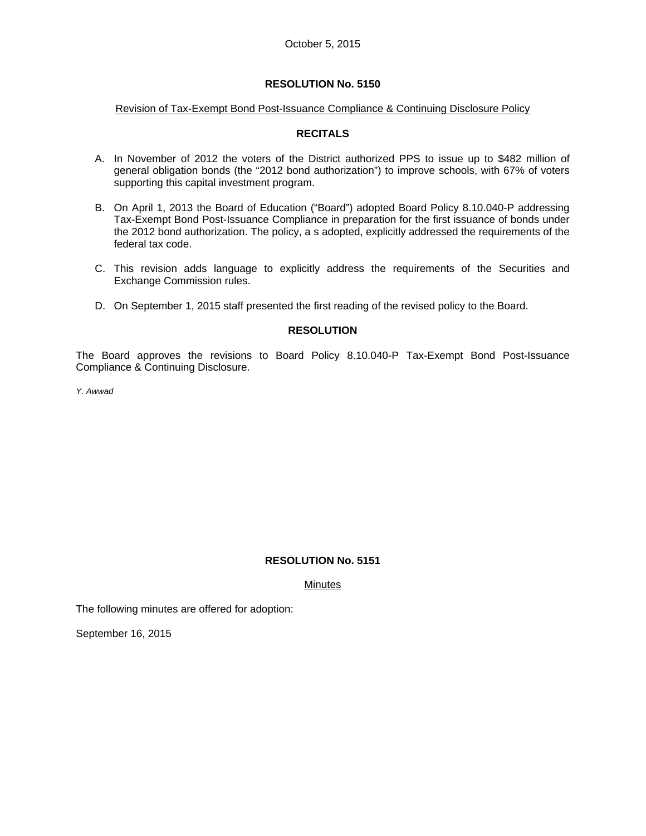#### Revision of Tax-Exempt Bond Post-Issuance Compliance & Continuing Disclosure Policy

## **RECITALS**

- A. In November of 2012 the voters of the District authorized PPS to issue up to \$482 million of general obligation bonds (the "2012 bond authorization") to improve schools, with 67% of voters supporting this capital investment program.
- B. On April 1, 2013 the Board of Education ("Board") adopted Board Policy 8.10.040-P addressing Tax-Exempt Bond Post-Issuance Compliance in preparation for the first issuance of bonds under the 2012 bond authorization. The policy, a s adopted, explicitly addressed the requirements of the federal tax code.
- C. This revision adds language to explicitly address the requirements of the Securities and Exchange Commission rules.
- D. On September 1, 2015 staff presented the first reading of the revised policy to the Board.

## **RESOLUTION**

The Board approves the revisions to Board Policy 8.10.040-P Tax-Exempt Bond Post-Issuance Compliance & Continuing Disclosure.

*Y. Awwad* 

## **RESOLUTION No. 5151**

Minutes

The following minutes are offered for adoption:

September 16, 2015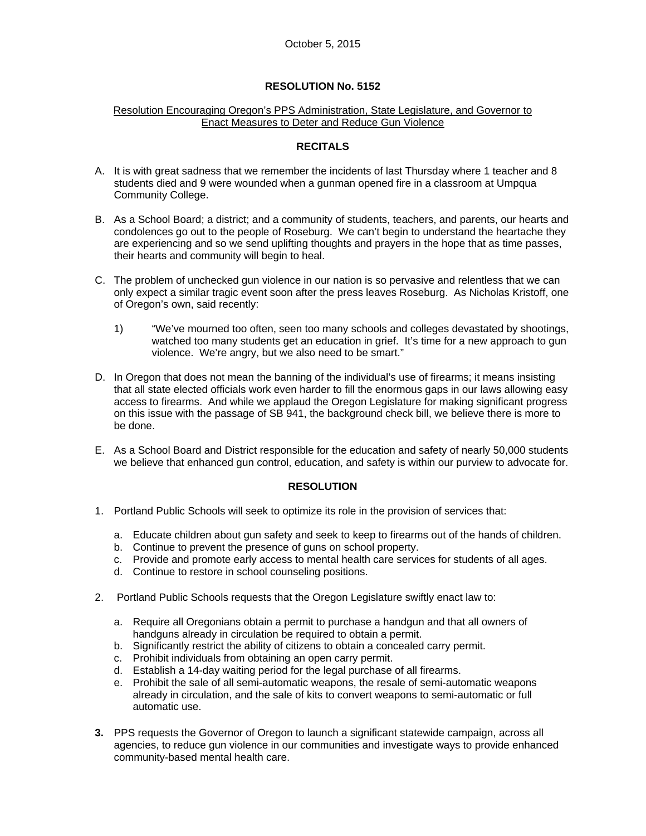#### Resolution Encouraging Oregon's PPS Administration, State Legislature, and Governor to Enact Measures to Deter and Reduce Gun Violence

### **RECITALS**

- A. It is with great sadness that we remember the incidents of last Thursday where 1 teacher and 8 students died and 9 were wounded when a gunman opened fire in a classroom at Umpqua Community College.
- B. As a School Board; a district; and a community of students, teachers, and parents, our hearts and condolences go out to the people of Roseburg. We can't begin to understand the heartache they are experiencing and so we send uplifting thoughts and prayers in the hope that as time passes, their hearts and community will begin to heal.
- C. The problem of unchecked gun violence in our nation is so pervasive and relentless that we can only expect a similar tragic event soon after the press leaves Roseburg. As Nicholas Kristoff, one of Oregon's own, said recently:
	- 1) "We've mourned too often, seen too many schools and colleges devastated by shootings, watched too many students get an education in grief. It's time for a new approach to gun violence. We're angry, but we also need to be smart."
- D. In Oregon that does not mean the banning of the individual's use of firearms; it means insisting that all state elected officials work even harder to fill the enormous gaps in our laws allowing easy access to firearms. And while we applaud the Oregon Legislature for making significant progress on this issue with the passage of SB 941, the background check bill, we believe there is more to be done.
- E. As a School Board and District responsible for the education and safety of nearly 50,000 students we believe that enhanced gun control, education, and safety is within our purview to advocate for.

#### **RESOLUTION**

- 1. Portland Public Schools will seek to optimize its role in the provision of services that:
	- a. Educate children about gun safety and seek to keep to firearms out of the hands of children.
	- b. Continue to prevent the presence of guns on school property.
	- c. Provide and promote early access to mental health care services for students of all ages.
	- d. Continue to restore in school counseling positions.
- 2. Portland Public Schools requests that the Oregon Legislature swiftly enact law to:
	- a. Require all Oregonians obtain a permit to purchase a handgun and that all owners of handguns already in circulation be required to obtain a permit.
	- b. Significantly restrict the ability of citizens to obtain a concealed carry permit.
	- c. Prohibit individuals from obtaining an open carry permit.
	- d. Establish a 14-day waiting period for the legal purchase of all firearms.
	- e. Prohibit the sale of all semi-automatic weapons, the resale of semi-automatic weapons already in circulation, and the sale of kits to convert weapons to semi-automatic or full automatic use.
- **3.** PPS requests the Governor of Oregon to launch a significant statewide campaign, across all agencies, to reduce gun violence in our communities and investigate ways to provide enhanced community-based mental health care.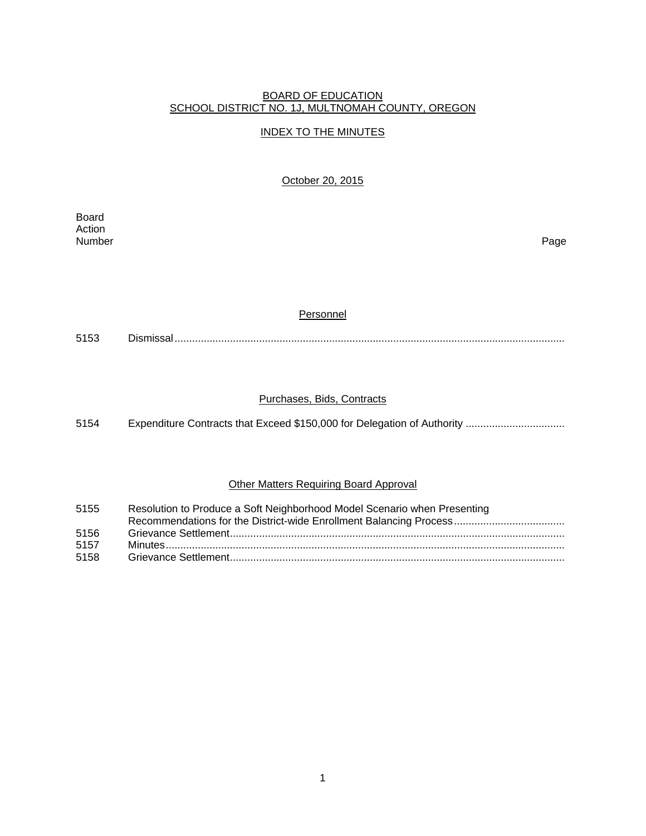#### BOARD OF EDUCATION SCHOOL DISTRICT NO. 1J, MULTNOMAH COUNTY, OREGON

## INDEX TO THE MINUTES

October 20, 2015

Board Action<br>Number Number Page

#### Personnel

5153 Dismissal ......................................................................................................................................

## Purchases, Bids, Contracts

5154 Expenditure Contracts that Exceed \$150,000 for Delegation of Authority .................................

## Other Matters Requiring Board Approval

| 5155                 | Resolution to Produce a Soft Neighborhood Model Scenario when Presenting |
|----------------------|--------------------------------------------------------------------------|
| 5156<br>5157<br>5158 |                                                                          |
|                      |                                                                          |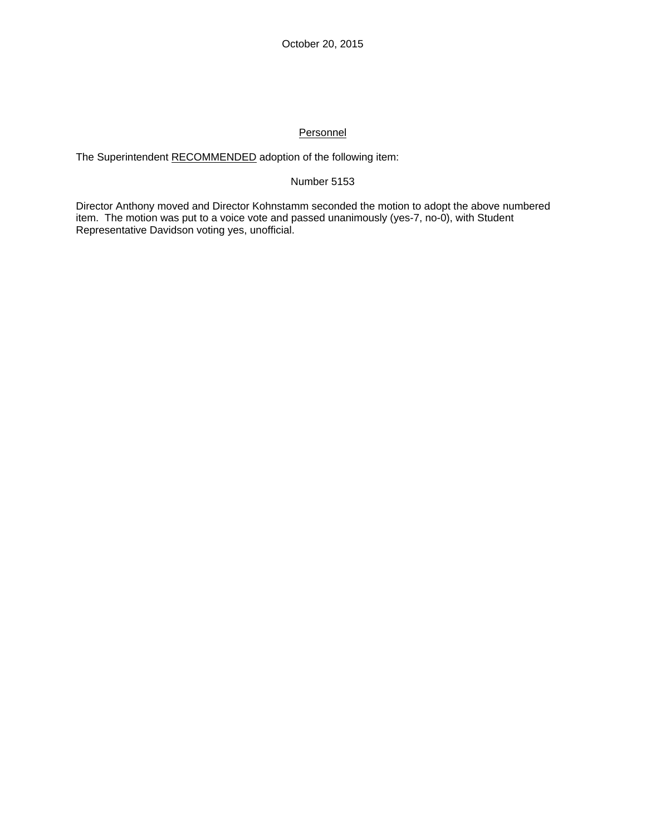# Personnel

The Superintendent RECOMMENDED adoption of the following item:

## Number 5153

Director Anthony moved and Director Kohnstamm seconded the motion to adopt the above numbered item. The motion was put to a voice vote and passed unanimously (yes-7, no-0), with Student Representative Davidson voting yes, unofficial.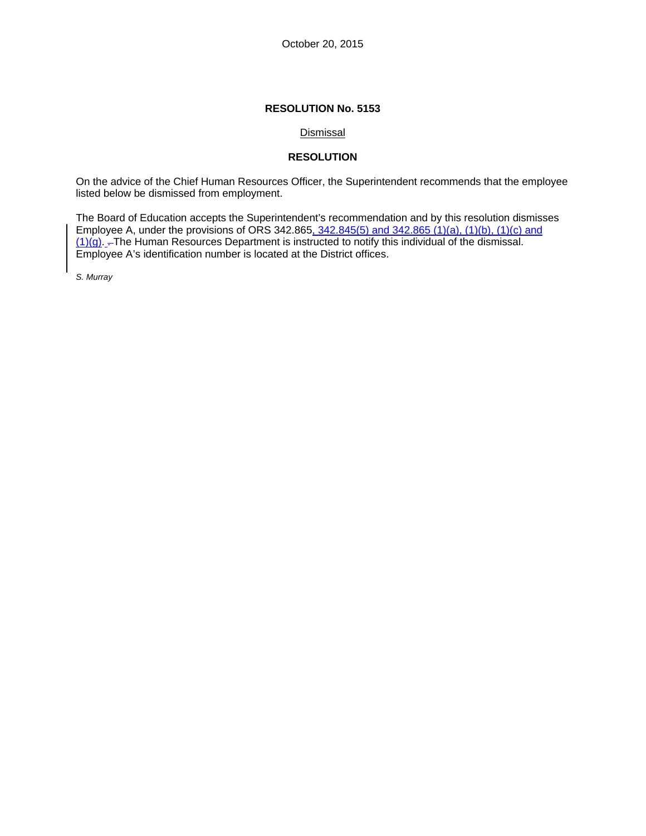## Dismissal

## **RESOLUTION**

On the advice of the Chief Human Resources Officer, the Superintendent recommends that the employee listed below be dismissed from employment.

The Board of Education accepts the Superintendent's recommendation and by this resolution dismisses Employee A, under the provisions of ORS 342.865, 342.845(5) and 342.865 (1)(a), (1)(b), (1)(c) and (1)(g). . The Human Resources Department is instructed to notify this individual of the dismissal. Employee A's identification number is located at the District offices.

*S. Murray*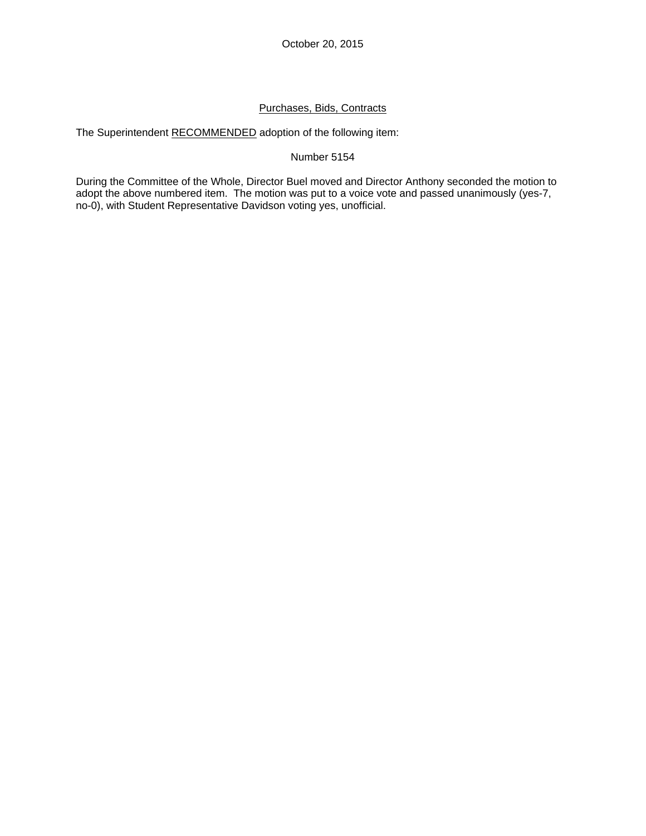# Purchases, Bids, Contracts

The Superintendent RECOMMENDED adoption of the following item:

## Number 5154

During the Committee of the Whole, Director Buel moved and Director Anthony seconded the motion to adopt the above numbered item. The motion was put to a voice vote and passed unanimously (yes-7, no-0), with Student Representative Davidson voting yes, unofficial.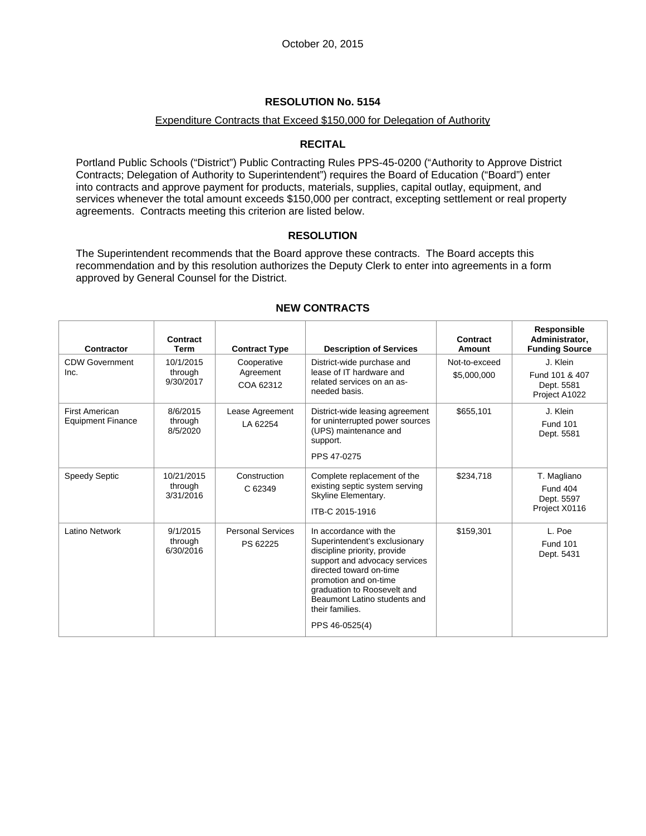#### Expenditure Contracts that Exceed \$150,000 for Delegation of Authority

## **RECITAL**

Portland Public Schools ("District") Public Contracting Rules PPS-45-0200 ("Authority to Approve District Contracts; Delegation of Authority to Superintendent") requires the Board of Education ("Board") enter into contracts and approve payment for products, materials, supplies, capital outlay, equipment, and services whenever the total amount exceeds \$150,000 per contract, excepting settlement or real property agreements. Contracts meeting this criterion are listed below.

## **RESOLUTION**

The Superintendent recommends that the Board approve these contracts. The Board accepts this recommendation and by this resolution authorizes the Deputy Clerk to enter into agreements in a form approved by General Counsel for the District.

| Contractor                                        | Contract<br><b>Term</b>            | <b>Contract Type</b>                  | <b>Description of Services</b>                                                                                                                                                                                                                                                   | Contract<br>Amount           | Responsible<br>Administrator,<br><b>Funding Source</b>        |
|---------------------------------------------------|------------------------------------|---------------------------------------|----------------------------------------------------------------------------------------------------------------------------------------------------------------------------------------------------------------------------------------------------------------------------------|------------------------------|---------------------------------------------------------------|
| <b>CDW Government</b><br>Inc.                     | 10/1/2015<br>through<br>9/30/2017  | Cooperative<br>Agreement<br>COA 62312 | District-wide purchase and<br>lease of IT hardware and<br>related services on an as-<br>needed basis.                                                                                                                                                                            | Not-to-exceed<br>\$5,000,000 | J. Klein<br>Fund 101 & 407<br>Dept. 5581<br>Project A1022     |
| <b>First American</b><br><b>Equipment Finance</b> | 8/6/2015<br>through<br>8/5/2020    | Lease Agreement<br>LA 62254           | District-wide leasing agreement<br>for uninterrupted power sources<br>(UPS) maintenance and<br>support.<br>PPS 47-0275                                                                                                                                                           | \$655,101                    | J. Klein<br><b>Fund 101</b><br>Dept. 5581                     |
| <b>Speedy Septic</b>                              | 10/21/2015<br>through<br>3/31/2016 | Construction<br>C 62349               | Complete replacement of the<br>existing septic system serving<br>Skyline Elementary.<br>ITB-C 2015-1916                                                                                                                                                                          | \$234,718                    | T. Magliano<br><b>Fund 404</b><br>Dept. 5597<br>Project X0116 |
| Latino Network                                    | 9/1/2015<br>through<br>6/30/2016   | <b>Personal Services</b><br>PS 62225  | In accordance with the<br>Superintendent's exclusionary<br>discipline priority, provide<br>support and advocacy services<br>directed toward on-time<br>promotion and on-time<br>graduation to Roosevelt and<br>Beaumont Latino students and<br>their families.<br>PPS 46-0525(4) | \$159,301                    | L. Poe<br><b>Fund 101</b><br>Dept. 5431                       |

# **NEW CONTRACTS**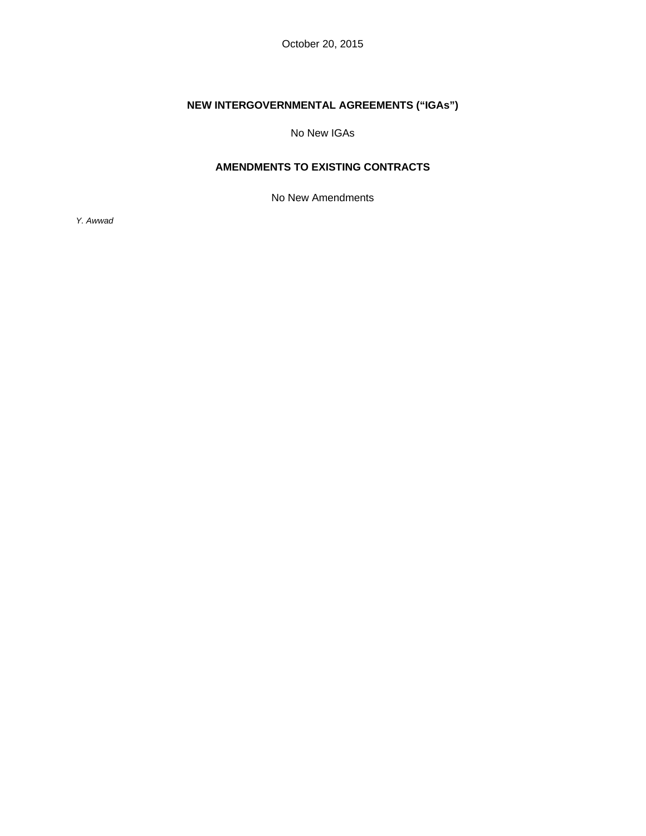October 20, 2015

# **NEW INTERGOVERNMENTAL AGREEMENTS ("IGAs")**

No New IGAs

# **AMENDMENTS TO EXISTING CONTRACTS**

No New Amendments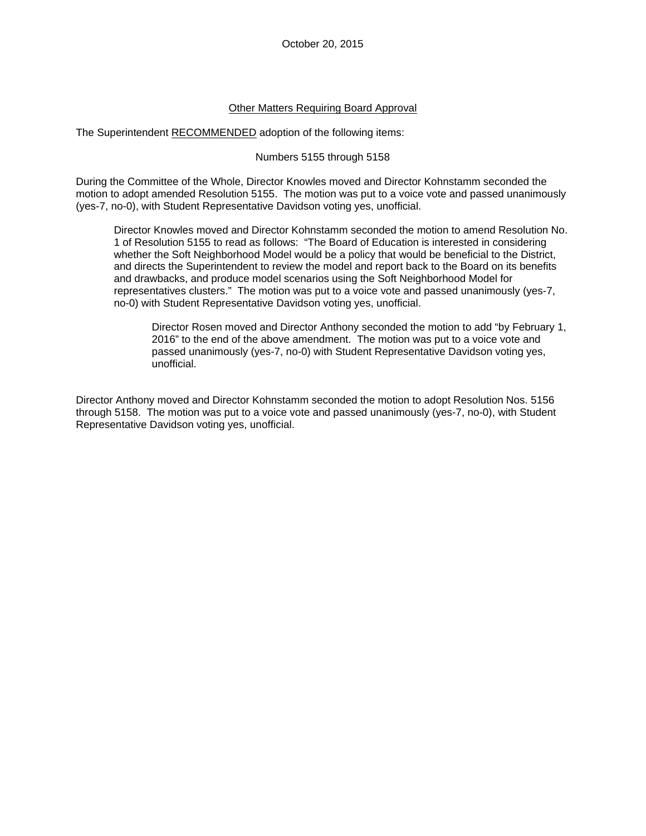#### Other Matters Requiring Board Approval

The Superintendent RECOMMENDED adoption of the following items:

#### Numbers 5155 through 5158

During the Committee of the Whole, Director Knowles moved and Director Kohnstamm seconded the motion to adopt amended Resolution 5155. The motion was put to a voice vote and passed unanimously (yes-7, no-0), with Student Representative Davidson voting yes, unofficial.

Director Knowles moved and Director Kohnstamm seconded the motion to amend Resolution No. 1 of Resolution 5155 to read as follows: "The Board of Education is interested in considering whether the Soft Neighborhood Model would be a policy that would be beneficial to the District, and directs the Superintendent to review the model and report back to the Board on its benefits and drawbacks, and produce model scenarios using the Soft Neighborhood Model for representatives clusters." The motion was put to a voice vote and passed unanimously (yes-7, no-0) with Student Representative Davidson voting yes, unofficial.

Director Rosen moved and Director Anthony seconded the motion to add "by February 1, 2016" to the end of the above amendment. The motion was put to a voice vote and passed unanimously (yes-7, no-0) with Student Representative Davidson voting yes, unofficial.

Director Anthony moved and Director Kohnstamm seconded the motion to adopt Resolution Nos. 5156 through 5158. The motion was put to a voice vote and passed unanimously (yes-7, no-0), with Student Representative Davidson voting yes, unofficial.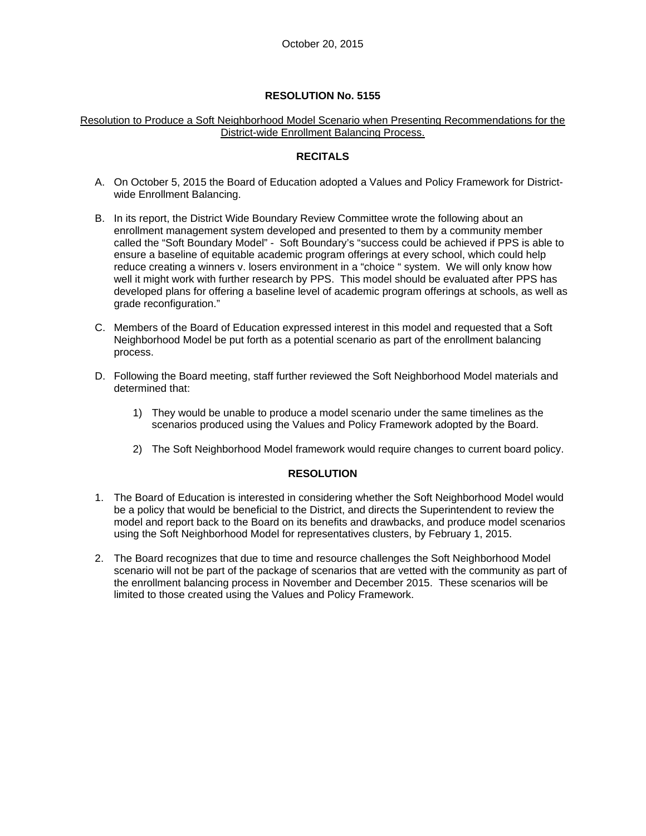## Resolution to Produce a Soft Neighborhood Model Scenario when Presenting Recommendations for the District-wide Enrollment Balancing Process.

# **RECITALS**

- A. On October 5, 2015 the Board of Education adopted a Values and Policy Framework for Districtwide Enrollment Balancing.
- B. In its report, the District Wide Boundary Review Committee wrote the following about an enrollment management system developed and presented to them by a community member called the "Soft Boundary Model" - Soft Boundary's "success could be achieved if PPS is able to ensure a baseline of equitable academic program offerings at every school, which could help reduce creating a winners v. losers environment in a "choice " system. We will only know how well it might work with further research by PPS. This model should be evaluated after PPS has developed plans for offering a baseline level of academic program offerings at schools, as well as grade reconfiguration."
- C. Members of the Board of Education expressed interest in this model and requested that a Soft Neighborhood Model be put forth as a potential scenario as part of the enrollment balancing process.
- D. Following the Board meeting, staff further reviewed the Soft Neighborhood Model materials and determined that:
	- 1) They would be unable to produce a model scenario under the same timelines as the scenarios produced using the Values and Policy Framework adopted by the Board.
	- 2) The Soft Neighborhood Model framework would require changes to current board policy.

## **RESOLUTION**

- 1. The Board of Education is interested in considering whether the Soft Neighborhood Model would be a policy that would be beneficial to the District, and directs the Superintendent to review the model and report back to the Board on its benefits and drawbacks, and produce model scenarios using the Soft Neighborhood Model for representatives clusters, by February 1, 2015.
- 2. The Board recognizes that due to time and resource challenges the Soft Neighborhood Model scenario will not be part of the package of scenarios that are vetted with the community as part of the enrollment balancing process in November and December 2015. These scenarios will be limited to those created using the Values and Policy Framework.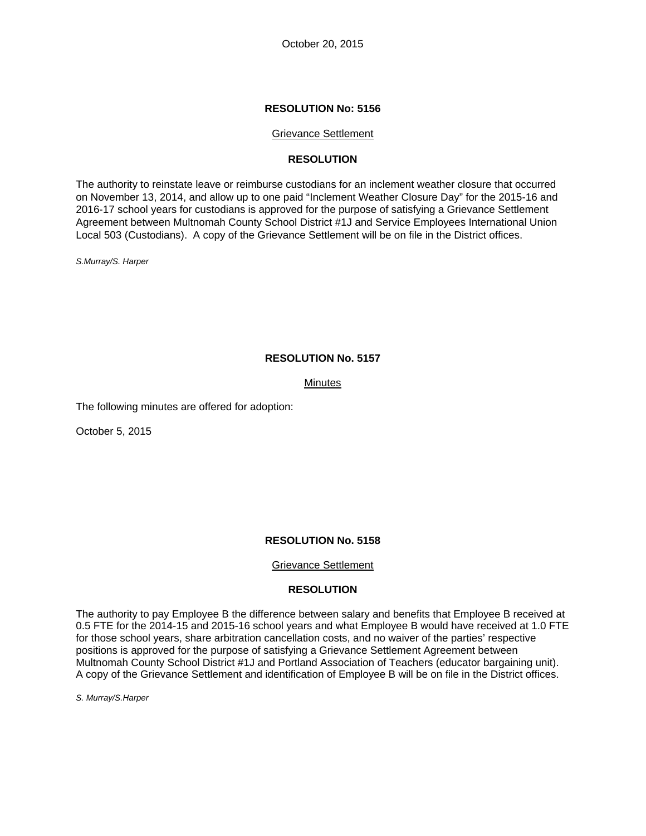October 20, 2015

#### **RESOLUTION No: 5156**

#### Grievance Settlement

### **RESOLUTION**

The authority to reinstate leave or reimburse custodians for an inclement weather closure that occurred on November 13, 2014, and allow up to one paid "Inclement Weather Closure Day" for the 2015-16 and 2016-17 school years for custodians is approved for the purpose of satisfying a Grievance Settlement Agreement between Multnomah County School District #1J and Service Employees International Union Local 503 (Custodians). A copy of the Grievance Settlement will be on file in the District offices.

*S.Murray/S. Harper* 

#### **RESOLUTION No. 5157**

#### **Minutes**

The following minutes are offered for adoption:

October 5, 2015

#### **RESOLUTION No. 5158**

#### Grievance Settlement

#### **RESOLUTION**

The authority to pay Employee B the difference between salary and benefits that Employee B received at 0.5 FTE for the 2014-15 and 2015-16 school years and what Employee B would have received at 1.0 FTE for those school years, share arbitration cancellation costs, and no waiver of the parties' respective positions is approved for the purpose of satisfying a Grievance Settlement Agreement between Multnomah County School District #1J and Portland Association of Teachers (educator bargaining unit). A copy of the Grievance Settlement and identification of Employee B will be on file in the District offices.

*S. Murray/S.Harper*